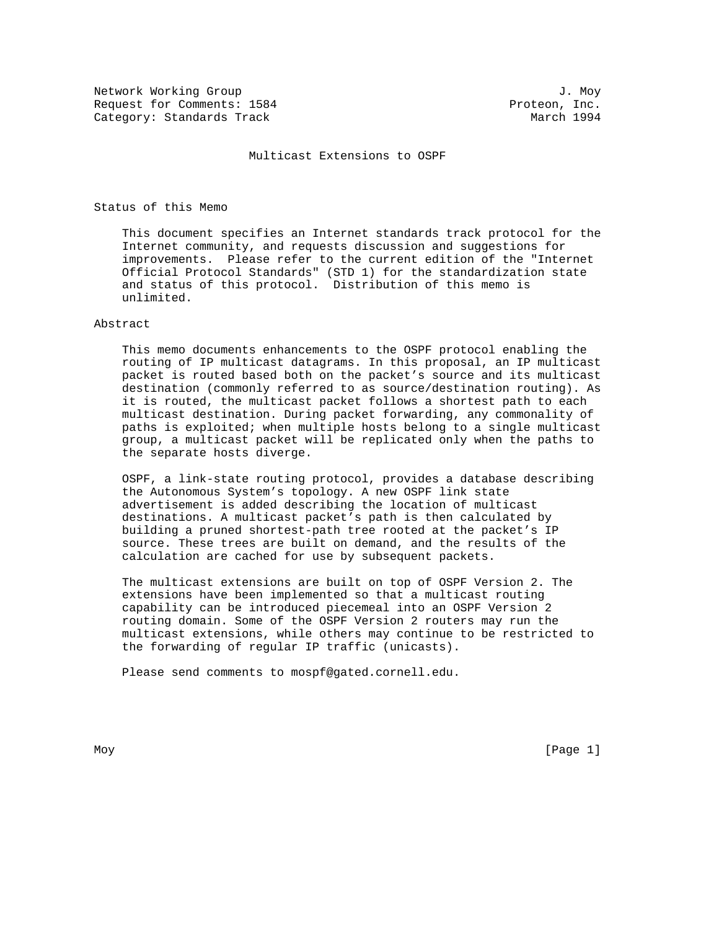Network Working Group and J. Moy<br>Request for Comments: 1584 and J. Moy Request for Comments: 1584 Category: Standards Track March 1994

Multicast Extensions to OSPF

# Status of this Memo

 This document specifies an Internet standards track protocol for the Internet community, and requests discussion and suggestions for improvements. Please refer to the current edition of the "Internet Official Protocol Standards" (STD 1) for the standardization state and status of this protocol. Distribution of this memo is unlimited.

# Abstract

 This memo documents enhancements to the OSPF protocol enabling the routing of IP multicast datagrams. In this proposal, an IP multicast packet is routed based both on the packet's source and its multicast destination (commonly referred to as source/destination routing). As it is routed, the multicast packet follows a shortest path to each multicast destination. During packet forwarding, any commonality of paths is exploited; when multiple hosts belong to a single multicast group, a multicast packet will be replicated only when the paths to the separate hosts diverge.

 OSPF, a link-state routing protocol, provides a database describing the Autonomous System's topology. A new OSPF link state advertisement is added describing the location of multicast destinations. A multicast packet's path is then calculated by building a pruned shortest-path tree rooted at the packet's IP source. These trees are built on demand, and the results of the calculation are cached for use by subsequent packets.

 The multicast extensions are built on top of OSPF Version 2. The extensions have been implemented so that a multicast routing capability can be introduced piecemeal into an OSPF Version 2 routing domain. Some of the OSPF Version 2 routers may run the multicast extensions, while others may continue to be restricted to the forwarding of regular IP traffic (unicasts).

Please send comments to mospf@gated.cornell.edu.

Moy [Page 1]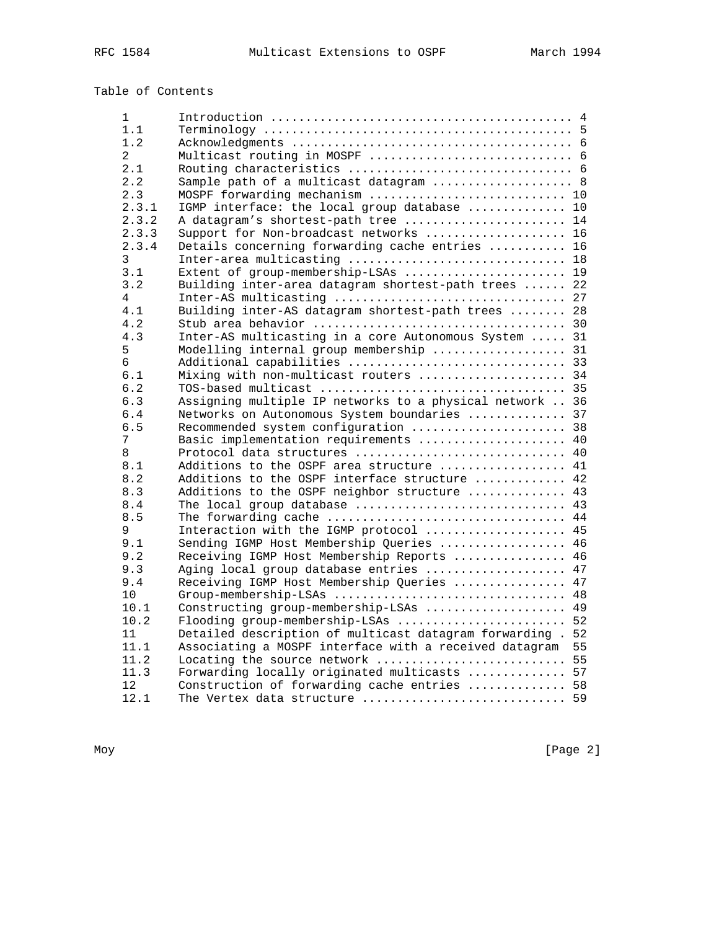# Table of Contents

| 1              |                                                                                           |          |
|----------------|-------------------------------------------------------------------------------------------|----------|
| 1.1            |                                                                                           |          |
| 1.2            |                                                                                           |          |
| $\overline{2}$ |                                                                                           |          |
| 2.1            |                                                                                           |          |
| 2.2            | Sample path of a multicast datagram  8                                                    |          |
| 2.3            | MOSPF forwarding mechanism  10                                                            |          |
| 2.3.1          | IGMP interface: the local group database  10                                              |          |
| 2.3.2          | A datagram's shortest-path tree  14                                                       |          |
| 2.3.3          | Support for Non-broadcast networks  16                                                    |          |
| 2.3.4          | Details concerning forwarding cache entries  16                                           |          |
| 3              | Inter-area multicasting  18                                                               |          |
| 3.1            | Extent of group-membership-LSAs  19                                                       |          |
| 3.2            | Building inter-area datagram shortest-path trees  22                                      |          |
| 4              |                                                                                           |          |
| 4.1            | Building inter-AS datagram shortest-path trees  28                                        |          |
| 4.2            |                                                                                           |          |
| 4.3            | Inter-AS multicasting in a core Autonomous System  31                                     |          |
| 5              | Modelling internal group membership  31                                                   |          |
| 6              | Additional capabilities  33                                                               |          |
| 6.1            | Mixing with non-multicast routers  34                                                     |          |
| 6.2            |                                                                                           |          |
| 6.3            | Assigning multiple IP networks to a physical network  36                                  |          |
| 6.4            | Networks on Autonomous System boundaries  37                                              |          |
| 6.5            |                                                                                           |          |
| 7              | Basic implementation requirements  40                                                     |          |
| 8              | Protocol data structures  40                                                              |          |
| 8.1            | Additions to the OSPF area structure                                                      | 41       |
| 8.2            | Additions to the OSPF interface structure  42                                             |          |
| 8.3            | Additions to the OSPF neighbor structure  43                                              |          |
| 8.4            | The local group database  43                                                              |          |
| 8.5            | The forwarding cache                                                                      | 44       |
| 9              | Interaction with the IGMP protocol  45                                                    |          |
| 9.1            | Sending IGMP Host Membership Queries  46                                                  |          |
| 9.2            | Receiving IGMP Host Membership Reports  46                                                |          |
| 9.3            | Aging local group database entries  47                                                    |          |
| 9.4            | Receiving IGMP Host Membership Queries  47                                                |          |
| 10             | Group-membership-LSAs  48                                                                 |          |
| 10.1           | Constructing group-membership-LSAs  49                                                    |          |
| 10.2<br>11     | Flooding group-membership-LSAs<br>Detailed description of multicast datagram forwarding . | 52<br>52 |
| 11.1           | Associating a MOSPF interface with a received datagram                                    | 55       |
| 11.2           | Locating the source network                                                               | 55       |
| 11.3           | Forwarding locally originated multicasts  57                                              |          |
| 12             | Construction of forwarding cache entries  58                                              |          |
| 12.1           | The Vertex data structure  59                                                             |          |
|                |                                                                                           |          |

Moy [Page 2]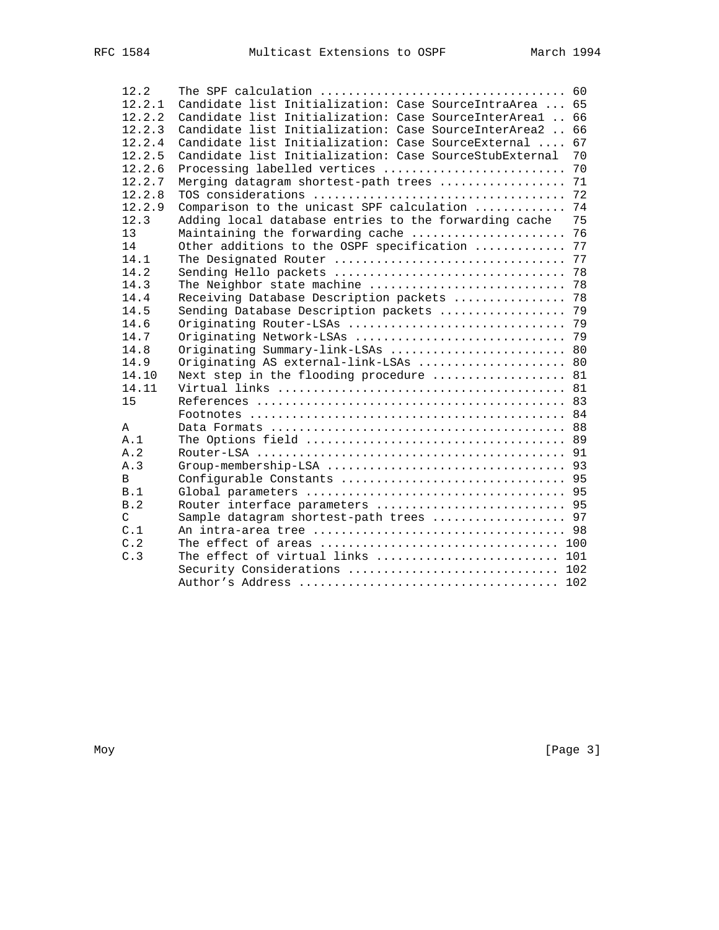| 12.2         |                                                          |    |
|--------------|----------------------------------------------------------|----|
| 12.2.1       | Candidate list Initialization: Case SourceIntraArea  65  |    |
| 12.2.2       | Candidate list Initialization: Case SourceInterAreal  66 |    |
| 12.2.3       | Candidate list Initialization: Case SourceInterArea2     | 66 |
| 12.2.4       | Candidate list Initialization: Case SourceExternal       | 67 |
| 12.2.5       | Candidate list Initialization: Case SourceStubExternal   | 70 |
| 12.2.6       | Processing labelled vertices                             | 70 |
| 12.2.7       | Merging datagram shortest-path trees                     | 71 |
| 12.2.8       |                                                          |    |
| 12.2.9       | Comparison to the unicast SPF calculation                | 74 |
| 12.3         | Adding local database entries to the forwarding cache    | 75 |
| 13           | Maintaining the forwarding cache                         | 76 |
| 14           | Other additions to the OSPF specification                | 77 |
| 14.1         | The Designated Router                                    | 77 |
| 14.2         | Sending Hello packets                                    | 78 |
| 14.3         | The Neighbor state machine                               | 78 |
| 14.4         | Receiving Database Description packets                   | 78 |
| 14.5         | Sending Database Description packets                     | 79 |
| 14.6         | Originating Router-LSAs                                  | 79 |
| 14.7         |                                                          |    |
| 14.8         | Originating Summary-link-LSAs  80                        |    |
| 14.9         | Originating AS external-link-LSAs  80                    |    |
| 14.10        | Next step in the flooding procedure  81                  |    |
| 14.11        |                                                          |    |
| 15           |                                                          |    |
|              |                                                          |    |
| A            |                                                          |    |
| A.1          |                                                          |    |
| A.2          |                                                          |    |
| A.3          |                                                          |    |
| <sub>R</sub> |                                                          |    |
| B.1          |                                                          |    |
| B.2          | Router interface parameters  95                          |    |
| C            | Sample datagram shortest-path trees  97                  |    |
| C.1          |                                                          |    |
| C.2          |                                                          |    |
| C.3          | The effect of virtual links  101                         |    |
|              | Security Considerations  102                             |    |
|              |                                                          |    |

Moy [Page 3]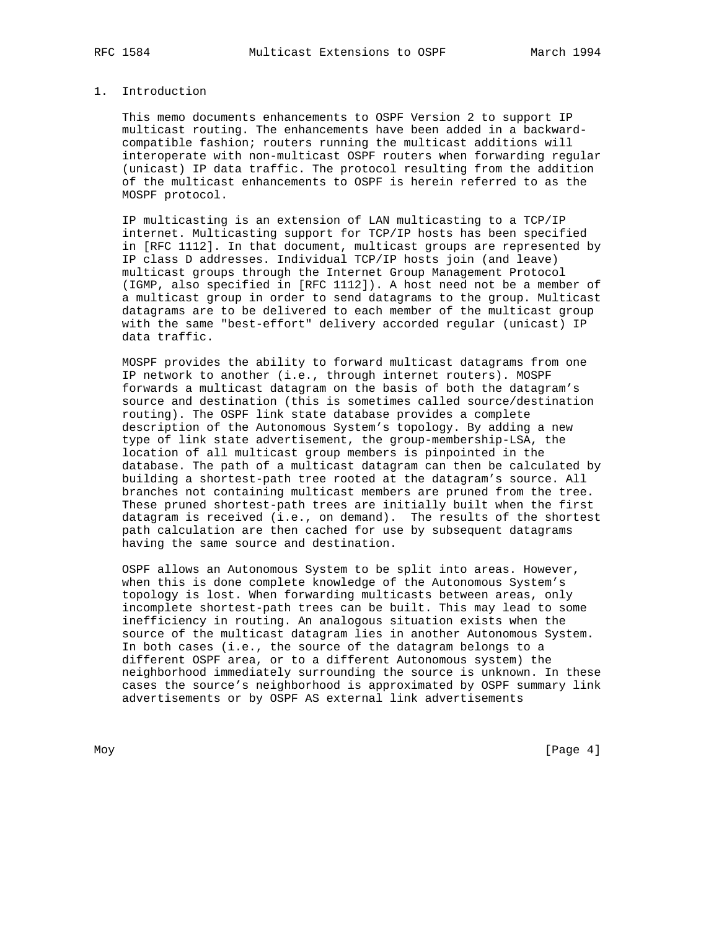#### 1. Introduction

 This memo documents enhancements to OSPF Version 2 to support IP multicast routing. The enhancements have been added in a backward compatible fashion; routers running the multicast additions will interoperate with non-multicast OSPF routers when forwarding regular (unicast) IP data traffic. The protocol resulting from the addition of the multicast enhancements to OSPF is herein referred to as the MOSPF protocol.

 IP multicasting is an extension of LAN multicasting to a TCP/IP internet. Multicasting support for TCP/IP hosts has been specified in [RFC 1112]. In that document, multicast groups are represented by IP class D addresses. Individual TCP/IP hosts join (and leave) multicast groups through the Internet Group Management Protocol (IGMP, also specified in [RFC 1112]). A host need not be a member of a multicast group in order to send datagrams to the group. Multicast datagrams are to be delivered to each member of the multicast group with the same "best-effort" delivery accorded regular (unicast) IP data traffic.

 MOSPF provides the ability to forward multicast datagrams from one IP network to another (i.e., through internet routers). MOSPF forwards a multicast datagram on the basis of both the datagram's source and destination (this is sometimes called source/destination routing). The OSPF link state database provides a complete description of the Autonomous System's topology. By adding a new type of link state advertisement, the group-membership-LSA, the location of all multicast group members is pinpointed in the database. The path of a multicast datagram can then be calculated by building a shortest-path tree rooted at the datagram's source. All branches not containing multicast members are pruned from the tree. These pruned shortest-path trees are initially built when the first datagram is received (i.e., on demand). The results of the shortest path calculation are then cached for use by subsequent datagrams having the same source and destination.

 OSPF allows an Autonomous System to be split into areas. However, when this is done complete knowledge of the Autonomous System's topology is lost. When forwarding multicasts between areas, only incomplete shortest-path trees can be built. This may lead to some inefficiency in routing. An analogous situation exists when the source of the multicast datagram lies in another Autonomous System. In both cases (i.e., the source of the datagram belongs to a different OSPF area, or to a different Autonomous system) the neighborhood immediately surrounding the source is unknown. In these cases the source's neighborhood is approximated by OSPF summary link advertisements or by OSPF AS external link advertisements

Moy [Page 4]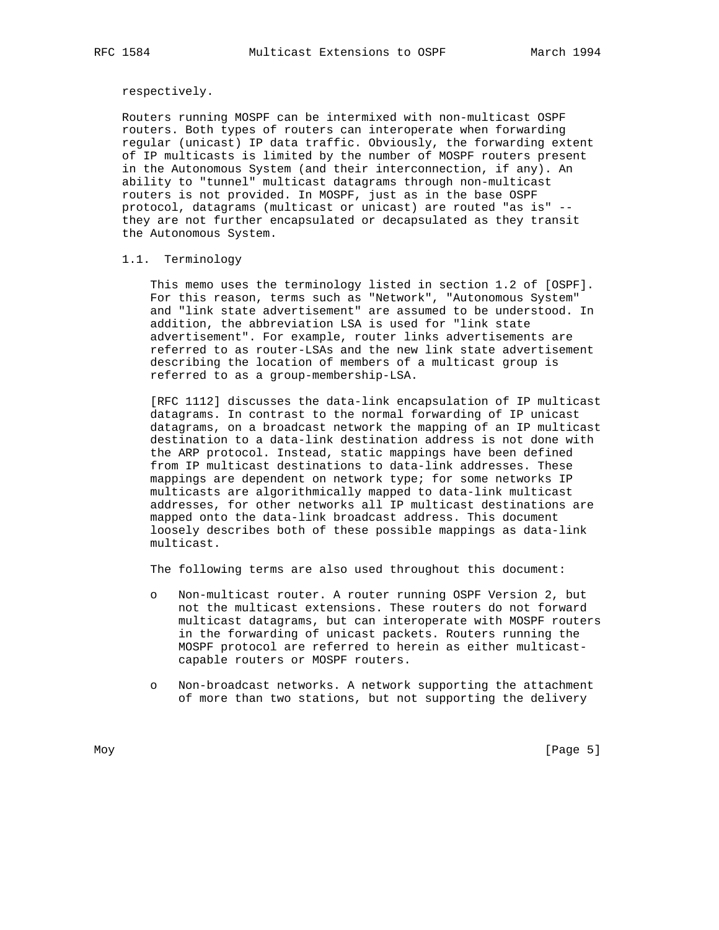### respectively.

 Routers running MOSPF can be intermixed with non-multicast OSPF routers. Both types of routers can interoperate when forwarding regular (unicast) IP data traffic. Obviously, the forwarding extent of IP multicasts is limited by the number of MOSPF routers present in the Autonomous System (and their interconnection, if any). An ability to "tunnel" multicast datagrams through non-multicast routers is not provided. In MOSPF, just as in the base OSPF protocol, datagrams (multicast or unicast) are routed "as is" - they are not further encapsulated or decapsulated as they transit the Autonomous System.

# 1.1. Terminology

 This memo uses the terminology listed in section 1.2 of [OSPF]. For this reason, terms such as "Network", "Autonomous System" and "link state advertisement" are assumed to be understood. In addition, the abbreviation LSA is used for "link state advertisement". For example, router links advertisements are referred to as router-LSAs and the new link state advertisement describing the location of members of a multicast group is referred to as a group-membership-LSA.

 [RFC 1112] discusses the data-link encapsulation of IP multicast datagrams. In contrast to the normal forwarding of IP unicast datagrams, on a broadcast network the mapping of an IP multicast destination to a data-link destination address is not done with the ARP protocol. Instead, static mappings have been defined from IP multicast destinations to data-link addresses. These mappings are dependent on network type; for some networks IP multicasts are algorithmically mapped to data-link multicast addresses, for other networks all IP multicast destinations are mapped onto the data-link broadcast address. This document loosely describes both of these possible mappings as data-link multicast.

The following terms are also used throughout this document:

- o Non-multicast router. A router running OSPF Version 2, but not the multicast extensions. These routers do not forward multicast datagrams, but can interoperate with MOSPF routers in the forwarding of unicast packets. Routers running the MOSPF protocol are referred to herein as either multicast capable routers or MOSPF routers.
- o Non-broadcast networks. A network supporting the attachment of more than two stations, but not supporting the delivery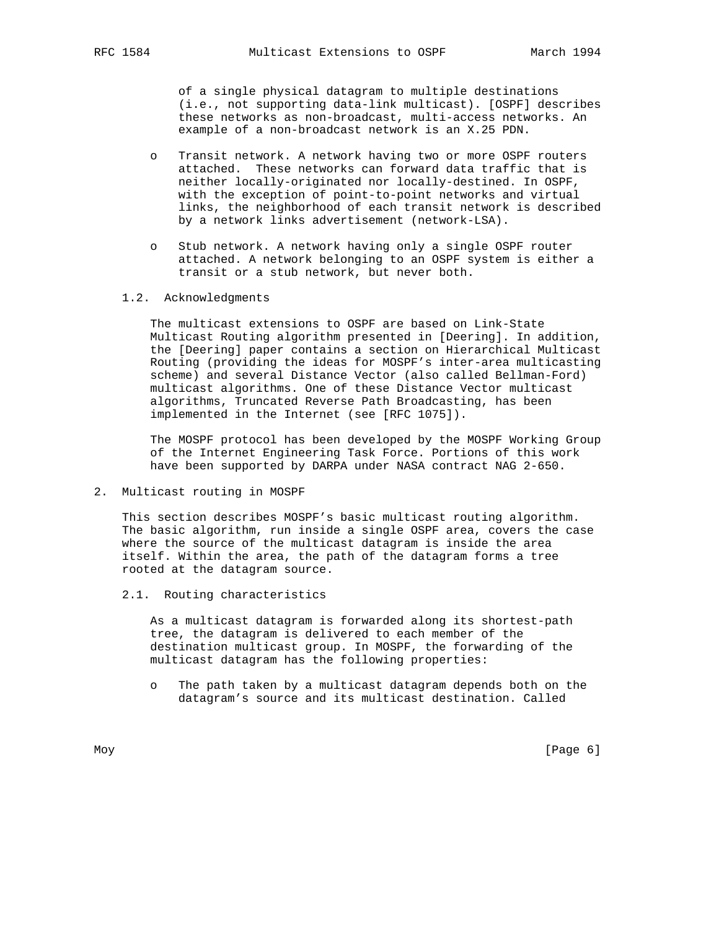of a single physical datagram to multiple destinations (i.e., not supporting data-link multicast). [OSPF] describes these networks as non-broadcast, multi-access networks. An example of a non-broadcast network is an X.25 PDN.

- o Transit network. A network having two or more OSPF routers attached. These networks can forward data traffic that is neither locally-originated nor locally-destined. In OSPF, with the exception of point-to-point networks and virtual links, the neighborhood of each transit network is described by a network links advertisement (network-LSA).
- o Stub network. A network having only a single OSPF router attached. A network belonging to an OSPF system is either a transit or a stub network, but never both.
- 1.2. Acknowledgments

 The multicast extensions to OSPF are based on Link-State Multicast Routing algorithm presented in [Deering]. In addition, the [Deering] paper contains a section on Hierarchical Multicast Routing (providing the ideas for MOSPF's inter-area multicasting scheme) and several Distance Vector (also called Bellman-Ford) multicast algorithms. One of these Distance Vector multicast algorithms, Truncated Reverse Path Broadcasting, has been implemented in the Internet (see [RFC 1075]).

 The MOSPF protocol has been developed by the MOSPF Working Group of the Internet Engineering Task Force. Portions of this work have been supported by DARPA under NASA contract NAG 2-650.

2. Multicast routing in MOSPF

 This section describes MOSPF's basic multicast routing algorithm. The basic algorithm, run inside a single OSPF area, covers the case where the source of the multicast datagram is inside the area itself. Within the area, the path of the datagram forms a tree rooted at the datagram source.

2.1. Routing characteristics

 As a multicast datagram is forwarded along its shortest-path tree, the datagram is delivered to each member of the destination multicast group. In MOSPF, the forwarding of the multicast datagram has the following properties:

 o The path taken by a multicast datagram depends both on the datagram's source and its multicast destination. Called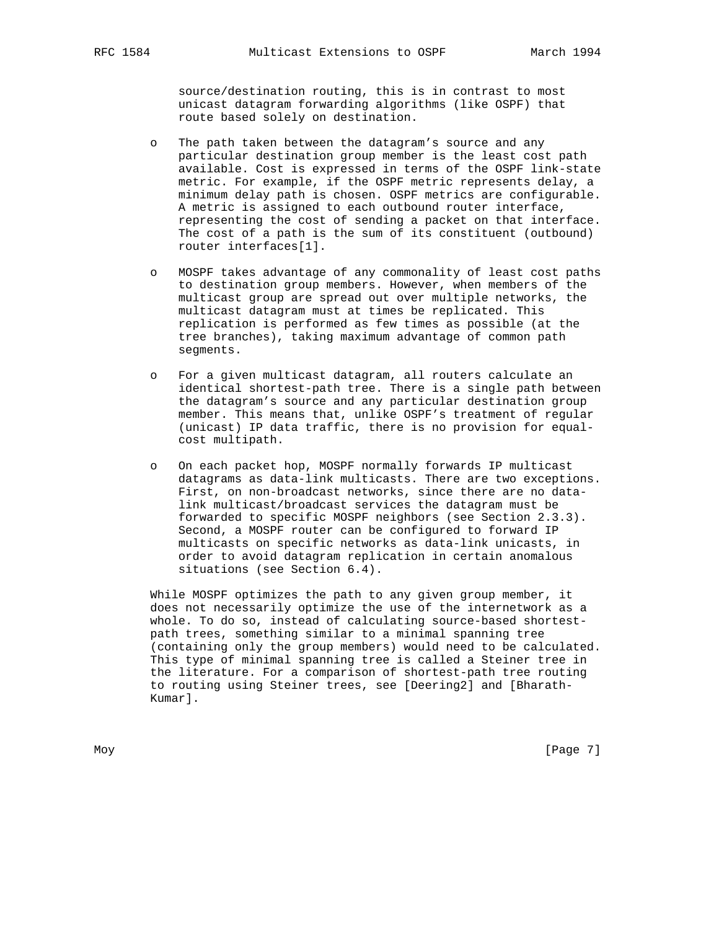source/destination routing, this is in contrast to most unicast datagram forwarding algorithms (like OSPF) that route based solely on destination.

- o The path taken between the datagram's source and any particular destination group member is the least cost path available. Cost is expressed in terms of the OSPF link-state metric. For example, if the OSPF metric represents delay, a minimum delay path is chosen. OSPF metrics are configurable. A metric is assigned to each outbound router interface, representing the cost of sending a packet on that interface. The cost of a path is the sum of its constituent (outbound) router interfaces[1].
- o MOSPF takes advantage of any commonality of least cost paths to destination group members. However, when members of the multicast group are spread out over multiple networks, the multicast datagram must at times be replicated. This replication is performed as few times as possible (at the tree branches), taking maximum advantage of common path segments.
- o For a given multicast datagram, all routers calculate an identical shortest-path tree. There is a single path between the datagram's source and any particular destination group member. This means that, unlike OSPF's treatment of regular (unicast) IP data traffic, there is no provision for equal cost multipath.
- o On each packet hop, MOSPF normally forwards IP multicast datagrams as data-link multicasts. There are two exceptions. First, on non-broadcast networks, since there are no data link multicast/broadcast services the datagram must be forwarded to specific MOSPF neighbors (see Section 2.3.3). Second, a MOSPF router can be configured to forward IP multicasts on specific networks as data-link unicasts, in order to avoid datagram replication in certain anomalous situations (see Section 6.4).

 While MOSPF optimizes the path to any given group member, it does not necessarily optimize the use of the internetwork as a whole. To do so, instead of calculating source-based shortest path trees, something similar to a minimal spanning tree (containing only the group members) would need to be calculated. This type of minimal spanning tree is called a Steiner tree in the literature. For a comparison of shortest-path tree routing to routing using Steiner trees, see [Deering2] and [Bharath- Kumar].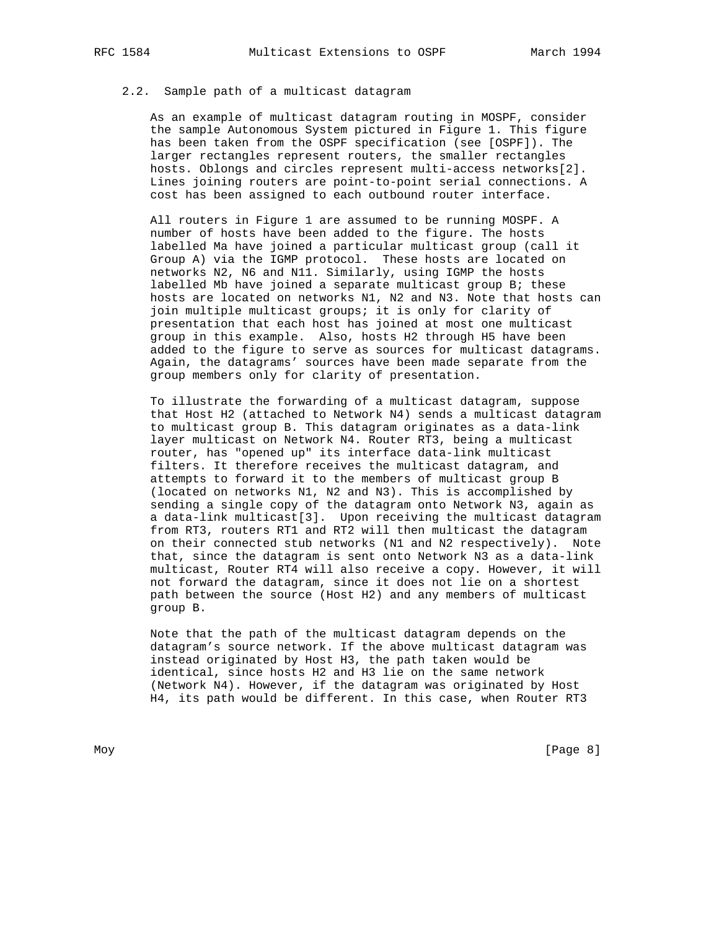# 2.2. Sample path of a multicast datagram

 As an example of multicast datagram routing in MOSPF, consider the sample Autonomous System pictured in Figure 1. This figure has been taken from the OSPF specification (see [OSPF]). The larger rectangles represent routers, the smaller rectangles hosts. Oblongs and circles represent multi-access networks[2]. Lines joining routers are point-to-point serial connections. A cost has been assigned to each outbound router interface.

 All routers in Figure 1 are assumed to be running MOSPF. A number of hosts have been added to the figure. The hosts labelled Ma have joined a particular multicast group (call it Group A) via the IGMP protocol. These hosts are located on networks N2, N6 and N11. Similarly, using IGMP the hosts labelled Mb have joined a separate multicast group B; these hosts are located on networks N1, N2 and N3. Note that hosts can join multiple multicast groups; it is only for clarity of presentation that each host has joined at most one multicast group in this example. Also, hosts H2 through H5 have been added to the figure to serve as sources for multicast datagrams. Again, the datagrams' sources have been made separate from the group members only for clarity of presentation.

 To illustrate the forwarding of a multicast datagram, suppose that Host H2 (attached to Network N4) sends a multicast datagram to multicast group B. This datagram originates as a data-link layer multicast on Network N4. Router RT3, being a multicast router, has "opened up" its interface data-link multicast filters. It therefore receives the multicast datagram, and attempts to forward it to the members of multicast group B (located on networks N1, N2 and N3). This is accomplished by sending a single copy of the datagram onto Network N3, again as a data-link multicast[3]. Upon receiving the multicast datagram from RT3, routers RT1 and RT2 will then multicast the datagram on their connected stub networks (N1 and N2 respectively). Note that, since the datagram is sent onto Network N3 as a data-link multicast, Router RT4 will also receive a copy. However, it will not forward the datagram, since it does not lie on a shortest path between the source (Host H2) and any members of multicast group B.

 Note that the path of the multicast datagram depends on the datagram's source network. If the above multicast datagram was instead originated by Host H3, the path taken would be identical, since hosts H2 and H3 lie on the same network (Network N4). However, if the datagram was originated by Host H4, its path would be different. In this case, when Router RT3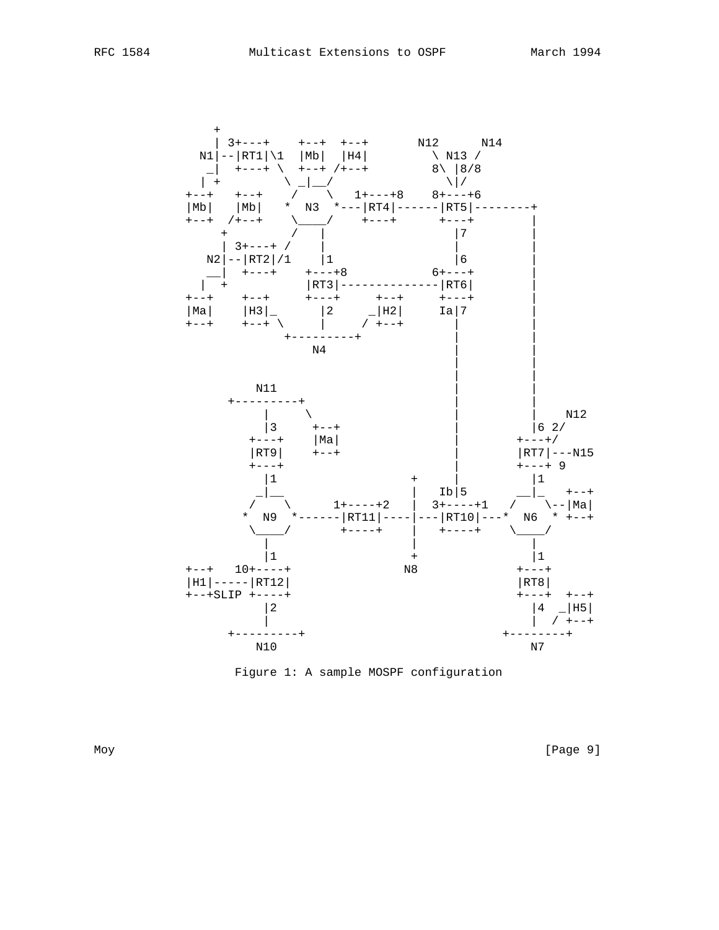

Figure 1: A sample MOSPF configuration

Moy [Page 9]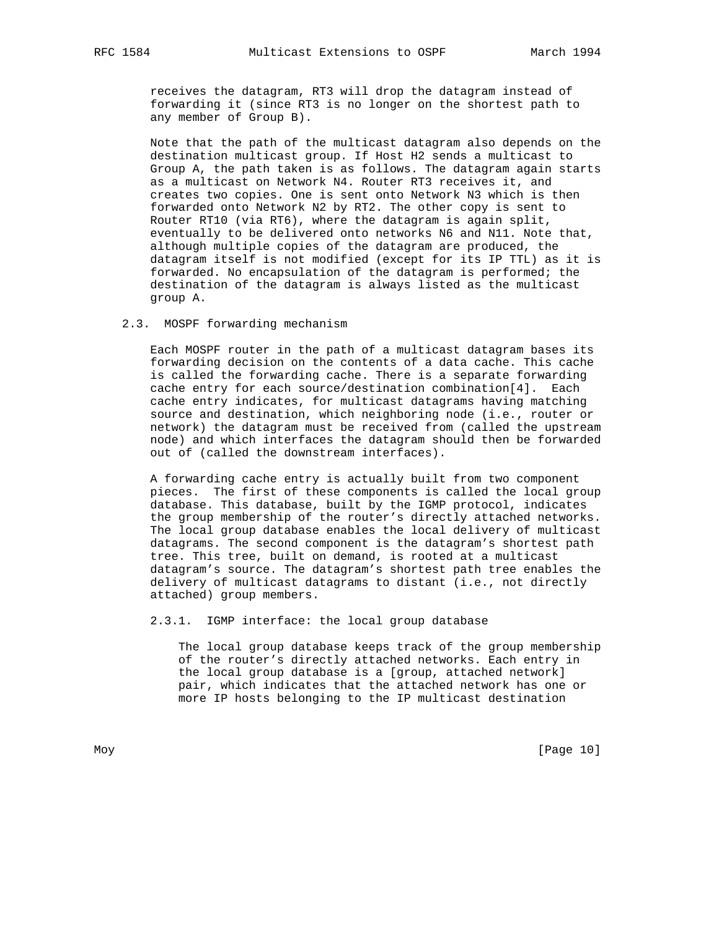receives the datagram, RT3 will drop the datagram instead of forwarding it (since RT3 is no longer on the shortest path to any member of Group B).

 Note that the path of the multicast datagram also depends on the destination multicast group. If Host H2 sends a multicast to Group A, the path taken is as follows. The datagram again starts as a multicast on Network N4. Router RT3 receives it, and creates two copies. One is sent onto Network N3 which is then forwarded onto Network N2 by RT2. The other copy is sent to Router RT10 (via RT6), where the datagram is again split, eventually to be delivered onto networks N6 and N11. Note that, although multiple copies of the datagram are produced, the datagram itself is not modified (except for its IP TTL) as it is forwarded. No encapsulation of the datagram is performed; the destination of the datagram is always listed as the multicast group A.

# 2.3. MOSPF forwarding mechanism

 Each MOSPF router in the path of a multicast datagram bases its forwarding decision on the contents of a data cache. This cache is called the forwarding cache. There is a separate forwarding cache entry for each source/destination combination[4]. Each cache entry indicates, for multicast datagrams having matching source and destination, which neighboring node (i.e., router or network) the datagram must be received from (called the upstream node) and which interfaces the datagram should then be forwarded out of (called the downstream interfaces).

 A forwarding cache entry is actually built from two component pieces. The first of these components is called the local group database. This database, built by the IGMP protocol, indicates the group membership of the router's directly attached networks. The local group database enables the local delivery of multicast datagrams. The second component is the datagram's shortest path tree. This tree, built on demand, is rooted at a multicast datagram's source. The datagram's shortest path tree enables the delivery of multicast datagrams to distant (i.e., not directly attached) group members.

2.3.1. IGMP interface: the local group database

 The local group database keeps track of the group membership of the router's directly attached networks. Each entry in the local group database is a [group, attached network] pair, which indicates that the attached network has one or more IP hosts belonging to the IP multicast destination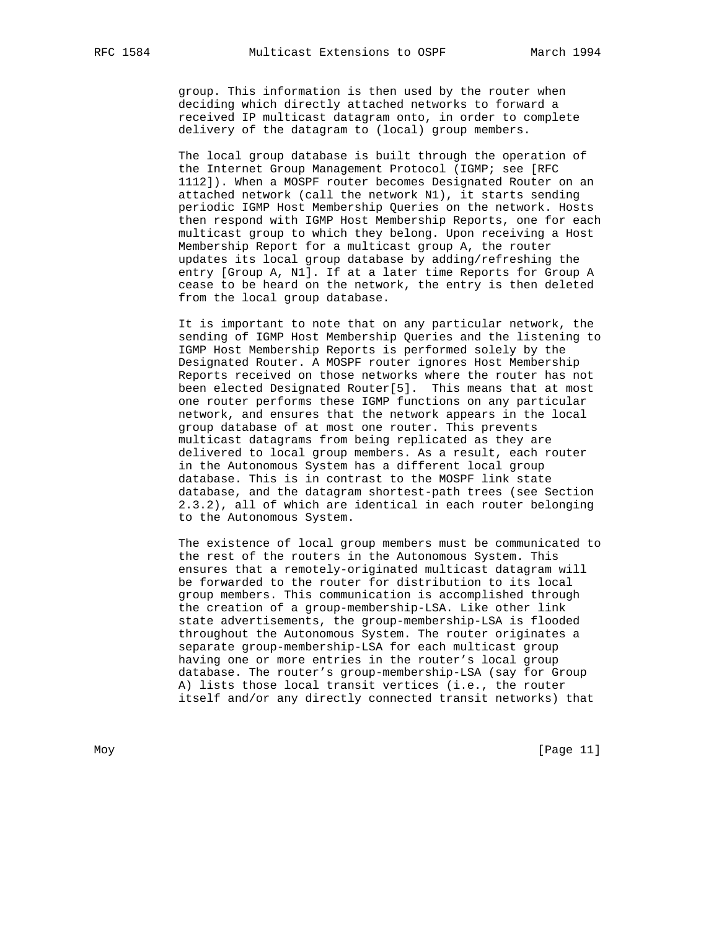group. This information is then used by the router when deciding which directly attached networks to forward a received IP multicast datagram onto, in order to complete delivery of the datagram to (local) group members.

 The local group database is built through the operation of the Internet Group Management Protocol (IGMP; see [RFC 1112]). When a MOSPF router becomes Designated Router on an attached network (call the network N1), it starts sending periodic IGMP Host Membership Queries on the network. Hosts then respond with IGMP Host Membership Reports, one for each multicast group to which they belong. Upon receiving a Host Membership Report for a multicast group A, the router updates its local group database by adding/refreshing the entry [Group A, N1]. If at a later time Reports for Group A cease to be heard on the network, the entry is then deleted from the local group database.

 It is important to note that on any particular network, the sending of IGMP Host Membership Queries and the listening to IGMP Host Membership Reports is performed solely by the Designated Router. A MOSPF router ignores Host Membership Reports received on those networks where the router has not been elected Designated Router[5]. This means that at most one router performs these IGMP functions on any particular network, and ensures that the network appears in the local group database of at most one router. This prevents multicast datagrams from being replicated as they are delivered to local group members. As a result, each router in the Autonomous System has a different local group database. This is in contrast to the MOSPF link state database, and the datagram shortest-path trees (see Section 2.3.2), all of which are identical in each router belonging to the Autonomous System.

 The existence of local group members must be communicated to the rest of the routers in the Autonomous System. This ensures that a remotely-originated multicast datagram will be forwarded to the router for distribution to its local group members. This communication is accomplished through the creation of a group-membership-LSA. Like other link state advertisements, the group-membership-LSA is flooded throughout the Autonomous System. The router originates a separate group-membership-LSA for each multicast group having one or more entries in the router's local group database. The router's group-membership-LSA (say for Group A) lists those local transit vertices (i.e., the router itself and/or any directly connected transit networks) that

Moy [Page 11]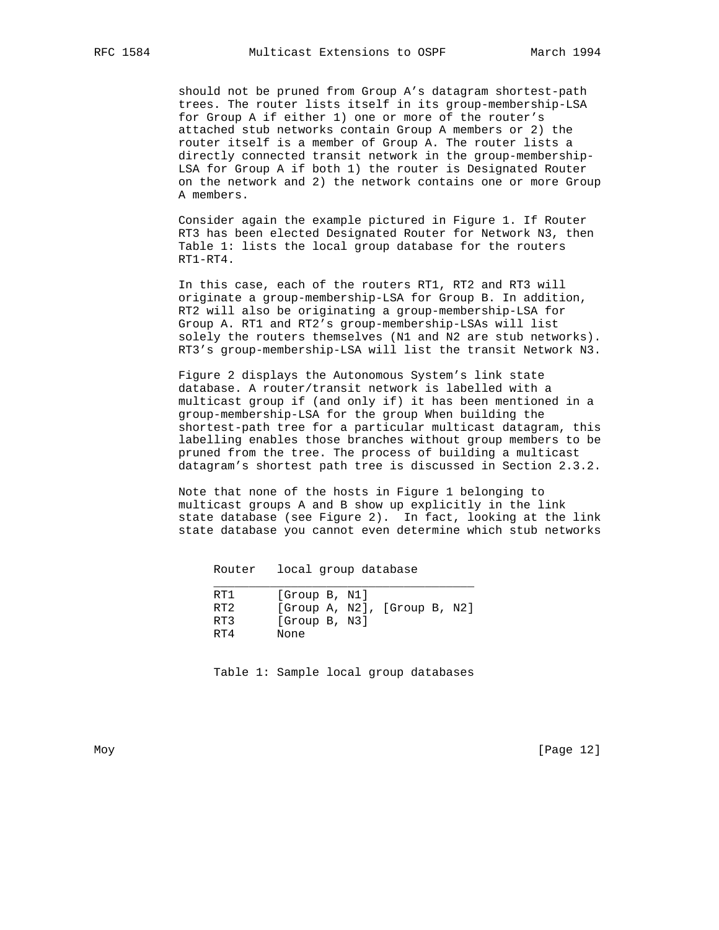should not be pruned from Group A's datagram shortest-path trees. The router lists itself in its group-membership-LSA for Group A if either 1) one or more of the router's attached stub networks contain Group A members or 2) the router itself is a member of Group A. The router lists a directly connected transit network in the group-membership- LSA for Group A if both 1) the router is Designated Router on the network and 2) the network contains one or more Group A members.

 Consider again the example pictured in Figure 1. If Router RT3 has been elected Designated Router for Network N3, then Table 1: lists the local group database for the routers RT1-RT4.

 In this case, each of the routers RT1, RT2 and RT3 will originate a group-membership-LSA for Group B. In addition, RT2 will also be originating a group-membership-LSA for Group A. RT1 and RT2's group-membership-LSAs will list solely the routers themselves (N1 and N2 are stub networks). RT3's group-membership-LSA will list the transit Network N3.

 Figure 2 displays the Autonomous System's link state database. A router/transit network is labelled with a multicast group if (and only if) it has been mentioned in a group-membership-LSA for the group When building the shortest-path tree for a particular multicast datagram, this labelling enables those branches without group members to be pruned from the tree. The process of building a multicast datagram's shortest path tree is discussed in Section 2.3.2.

 Note that none of the hosts in Figure 1 belonging to multicast groups A and B show up explicitly in the link state database (see Figure 2). In fact, looking at the link state database you cannot even determine which stub networks

Router local group database

| RT1             | [Group B, N1] |  |                              |  |
|-----------------|---------------|--|------------------------------|--|
| RT <sub>2</sub> |               |  | [Group A, N2], [Group B, N2] |  |
| RT3             | [Group B, N3] |  |                              |  |
| $R_{T}$         | None          |  |                              |  |

Table 1: Sample local group databases

Moy [Page 12]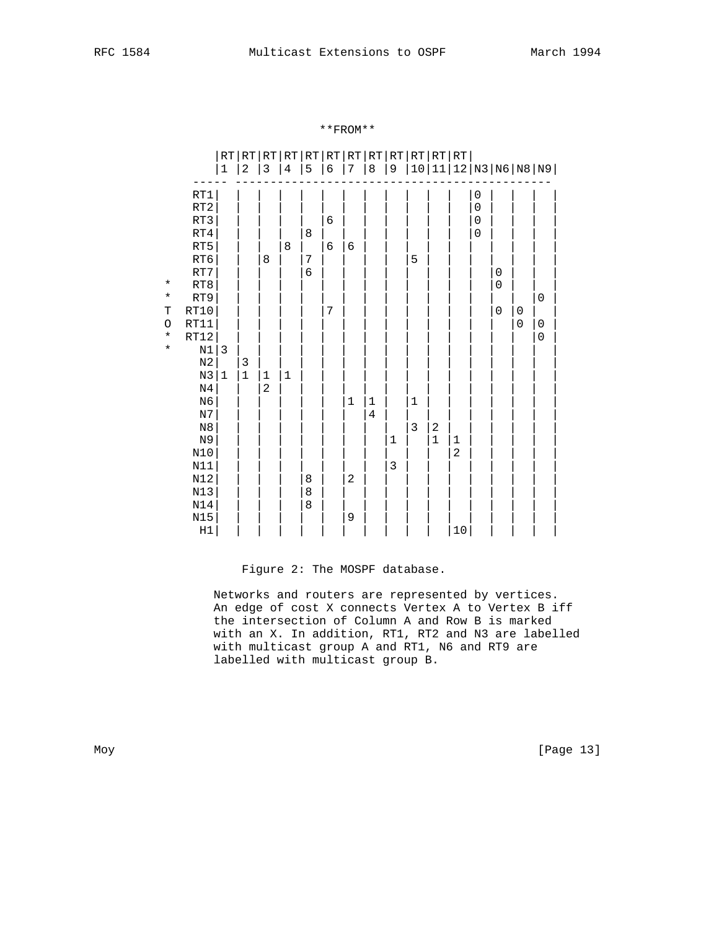|                                                          |                                                                                                                                                                                                                                                                                                                       | RT<br>$\mathbf{1}$ | $\overline{c}$   | $\mathfrak{Z}$                   | $\sqrt{4}$ | 5                                                                                                                                                                                                    | RT RT RT RT RT RT RT RT RT RT RT RT <br>6 | 7                             | $\,8\,$                   | 9                           |                            |                       |                                        |                                              |                                                   |                            | 10 11 12 N3 N6 N8 N9                              |
|----------------------------------------------------------|-----------------------------------------------------------------------------------------------------------------------------------------------------------------------------------------------------------------------------------------------------------------------------------------------------------------------|--------------------|------------------|----------------------------------|------------|------------------------------------------------------------------------------------------------------------------------------------------------------------------------------------------------------|-------------------------------------------|-------------------------------|---------------------------|-----------------------------|----------------------------|-----------------------|----------------------------------------|----------------------------------------------|---------------------------------------------------|----------------------------|---------------------------------------------------|
| $\star$<br>$\star$<br>T<br>$\circ$<br>$\star$<br>$\star$ | RT1<br>RT2<br>RT3<br>$\mathtt{RT4}$<br>RT5<br>RT6<br>RT7<br>RT8<br>RT9<br>RT10<br>RT11<br>RT12<br>$\rm N1$<br>$_{\rm N2}$<br>$\rm N3$<br>$\mathbb{N}4$<br>N <sub>6</sub><br>$_{\rm N7}$<br>$_{\rm N8}$<br>N9<br>$\texttt{N10}$<br>$\texttt{N11}$<br>$\mathtt{N}12$<br>$N13$<br>$\texttt{N14}$<br>$N15$<br>$_{\rm H1}$ | $\mathbf{3}$<br> 1 | 3<br>$\mathbf 1$ | 8<br>$\mathbf 1$<br>$\mathbf{2}$ | 8<br>$1\,$ | 8<br>$\mathcal{I}_{\mathcal{I}}^{(n)}(\mathcal{I}_{\mathcal{I}}^{(n)})=\mathcal{I}_{\mathcal{I}}^{(n)}(\mathcal{I}_{\mathcal{I}}^{(n)})$<br>$\sqrt{6}$<br>$\begin{array}{c} 8 \\ 8 \end{array}$<br>8 | $\epsilon$<br>6<br>7                      | 6<br>1<br>$\overline{c}$<br>9 | $\mathbf 1$<br>$\sqrt{4}$ | $\mathbf 1$<br>$\mathsf{3}$ | 5<br>$1\,$<br>$\mathbf{3}$ | $\boldsymbol{2}$<br>1 | $\mathbf{1}$<br>$\overline{a}$<br>$10$ | 0<br>0<br>$\mathbf 0$<br>$\mathsf{O}\xspace$ | $\mathbf 0$<br>$\mathbf 0$<br>$\mathsf{O}\xspace$ | $\mathbf 0$<br>$\mathbf 0$ | $\mathsf 0$<br>$\mathsf{O}\xspace$<br>$\mathbf 0$ |

\*\*FROM\*\*

# Figure 2: The MOSPF database.

 Networks and routers are represented by vertices. An edge of cost X connects Vertex A to Vertex B iff the intersection of Column A and Row B is marked with an X. In addition, RT1, RT2 and N3 are labelled with multicast group A and RT1, N6 and RT9 are labelled with multicast group B.

Moy [Page 13]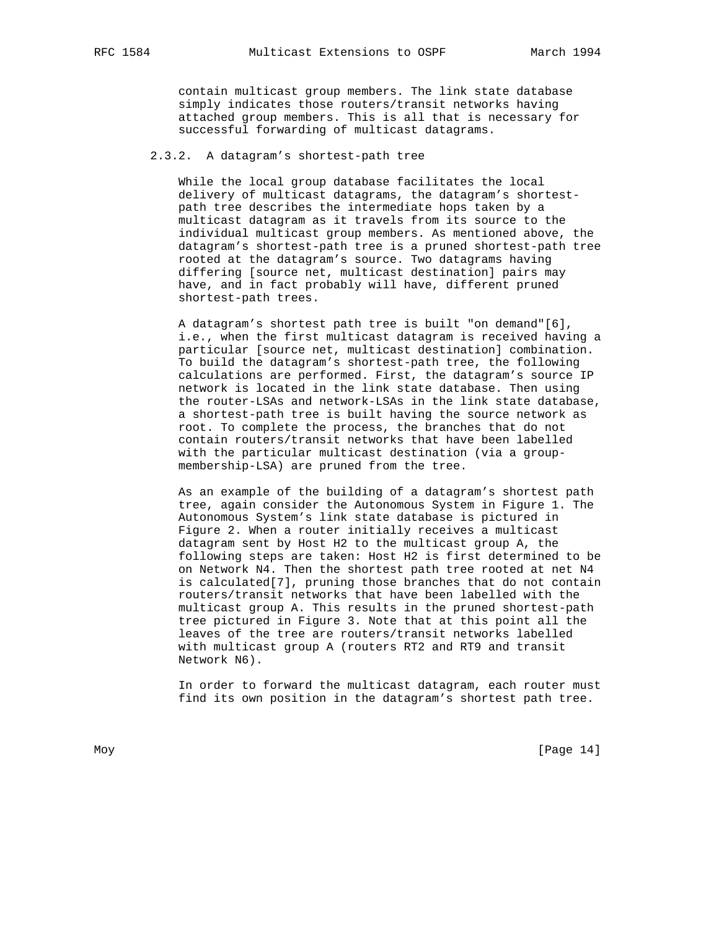contain multicast group members. The link state database simply indicates those routers/transit networks having attached group members. This is all that is necessary for successful forwarding of multicast datagrams.

# 2.3.2. A datagram's shortest-path tree

 While the local group database facilitates the local delivery of multicast datagrams, the datagram's shortest path tree describes the intermediate hops taken by a multicast datagram as it travels from its source to the individual multicast group members. As mentioned above, the datagram's shortest-path tree is a pruned shortest-path tree rooted at the datagram's source. Two datagrams having differing [source net, multicast destination] pairs may have, and in fact probably will have, different pruned shortest-path trees.

 A datagram's shortest path tree is built "on demand"[6], i.e., when the first multicast datagram is received having a particular [source net, multicast destination] combination. To build the datagram's shortest-path tree, the following calculations are performed. First, the datagram's source IP network is located in the link state database. Then using the router-LSAs and network-LSAs in the link state database, a shortest-path tree is built having the source network as root. To complete the process, the branches that do not contain routers/transit networks that have been labelled with the particular multicast destination (via a group membership-LSA) are pruned from the tree.

 As an example of the building of a datagram's shortest path tree, again consider the Autonomous System in Figure 1. The Autonomous System's link state database is pictured in Figure 2. When a router initially receives a multicast datagram sent by Host H2 to the multicast group A, the following steps are taken: Host H2 is first determined to be on Network N4. Then the shortest path tree rooted at net N4 is calculated[7], pruning those branches that do not contain routers/transit networks that have been labelled with the multicast group A. This results in the pruned shortest-path tree pictured in Figure 3. Note that at this point all the leaves of the tree are routers/transit networks labelled with multicast group A (routers RT2 and RT9 and transit Network N6).

 In order to forward the multicast datagram, each router must find its own position in the datagram's shortest path tree.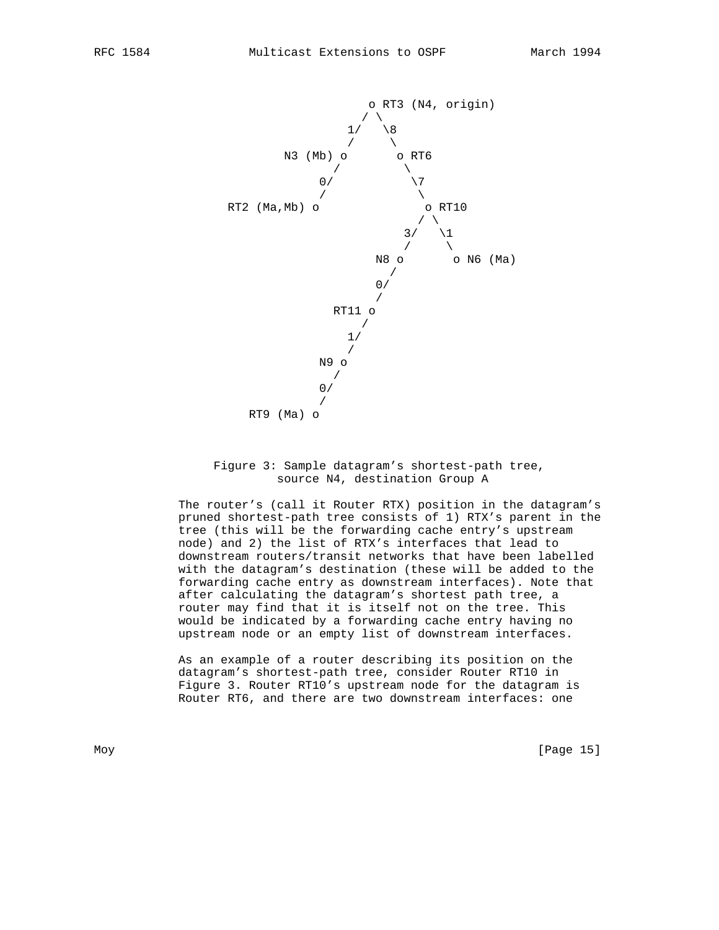

# Figure 3: Sample datagram's shortest-path tree, source N4, destination Group A

 The router's (call it Router RTX) position in the datagram's pruned shortest-path tree consists of 1) RTX's parent in the tree (this will be the forwarding cache entry's upstream node) and 2) the list of RTX's interfaces that lead to downstream routers/transit networks that have been labelled with the datagram's destination (these will be added to the forwarding cache entry as downstream interfaces). Note that after calculating the datagram's shortest path tree, a router may find that it is itself not on the tree. This would be indicated by a forwarding cache entry having no upstream node or an empty list of downstream interfaces.

 As an example of a router describing its position on the datagram's shortest-path tree, consider Router RT10 in Figure 3. Router RT10's upstream node for the datagram is Router RT6, and there are two downstream interfaces: one

Moy [Page 15]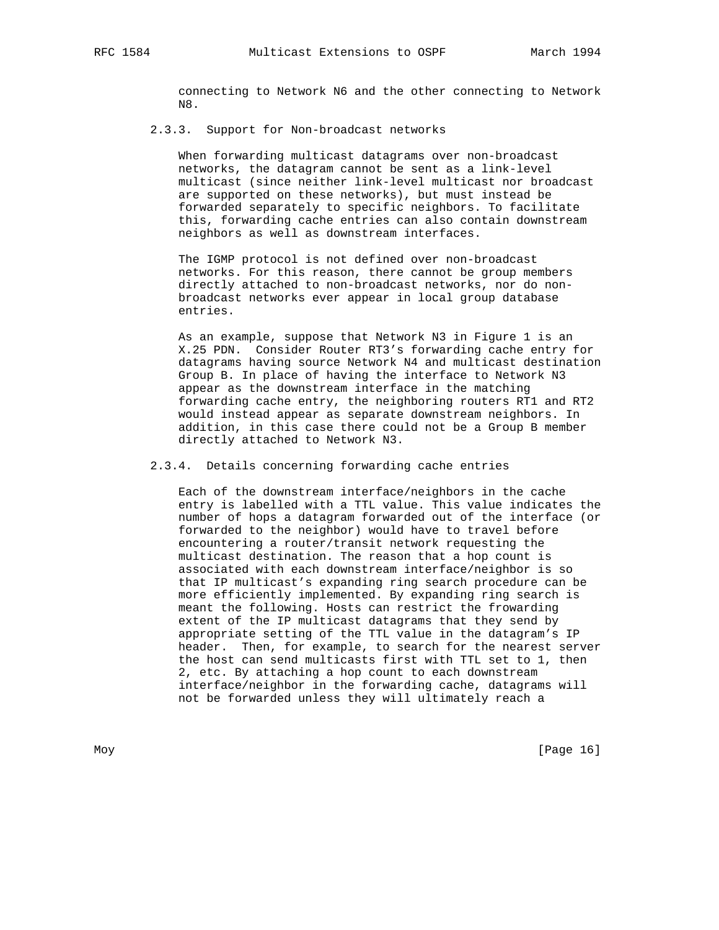connecting to Network N6 and the other connecting to Network N8.

### 2.3.3. Support for Non-broadcast networks

 When forwarding multicast datagrams over non-broadcast networks, the datagram cannot be sent as a link-level multicast (since neither link-level multicast nor broadcast are supported on these networks), but must instead be forwarded separately to specific neighbors. To facilitate this, forwarding cache entries can also contain downstream neighbors as well as downstream interfaces.

 The IGMP protocol is not defined over non-broadcast networks. For this reason, there cannot be group members directly attached to non-broadcast networks, nor do non broadcast networks ever appear in local group database entries.

 As an example, suppose that Network N3 in Figure 1 is an X.25 PDN. Consider Router RT3's forwarding cache entry for datagrams having source Network N4 and multicast destination Group B. In place of having the interface to Network N3 appear as the downstream interface in the matching forwarding cache entry, the neighboring routers RT1 and RT2 would instead appear as separate downstream neighbors. In addition, in this case there could not be a Group B member directly attached to Network N3.

2.3.4. Details concerning forwarding cache entries

 Each of the downstream interface/neighbors in the cache entry is labelled with a TTL value. This value indicates the number of hops a datagram forwarded out of the interface (or forwarded to the neighbor) would have to travel before encountering a router/transit network requesting the multicast destination. The reason that a hop count is associated with each downstream interface/neighbor is so that IP multicast's expanding ring search procedure can be more efficiently implemented. By expanding ring search is meant the following. Hosts can restrict the frowarding extent of the IP multicast datagrams that they send by appropriate setting of the TTL value in the datagram's IP header. Then, for example, to search for the nearest server the host can send multicasts first with TTL set to 1, then 2, etc. By attaching a hop count to each downstream interface/neighbor in the forwarding cache, datagrams will not be forwarded unless they will ultimately reach a

Moy [Page 16]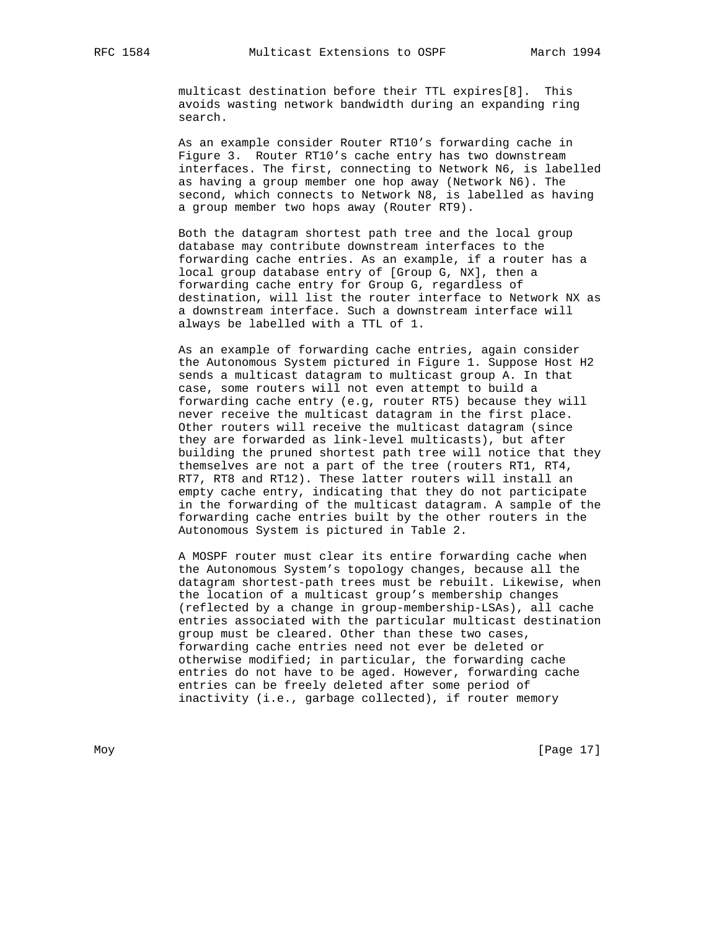multicast destination before their TTL expires[8]. This avoids wasting network bandwidth during an expanding ring search.

 As an example consider Router RT10's forwarding cache in Figure 3. Router RT10's cache entry has two downstream interfaces. The first, connecting to Network N6, is labelled as having a group member one hop away (Network N6). The second, which connects to Network N8, is labelled as having a group member two hops away (Router RT9).

 Both the datagram shortest path tree and the local group database may contribute downstream interfaces to the forwarding cache entries. As an example, if a router has a local group database entry of [Group G, NX], then a forwarding cache entry for Group G, regardless of destination, will list the router interface to Network NX as a downstream interface. Such a downstream interface will always be labelled with a TTL of 1.

 As an example of forwarding cache entries, again consider the Autonomous System pictured in Figure 1. Suppose Host H2 sends a multicast datagram to multicast group A. In that case, some routers will not even attempt to build a forwarding cache entry (e.g, router RT5) because they will never receive the multicast datagram in the first place. Other routers will receive the multicast datagram (since they are forwarded as link-level multicasts), but after building the pruned shortest path tree will notice that they themselves are not a part of the tree (routers RT1, RT4, RT7, RT8 and RT12). These latter routers will install an empty cache entry, indicating that they do not participate in the forwarding of the multicast datagram. A sample of the forwarding cache entries built by the other routers in the Autonomous System is pictured in Table 2.

 A MOSPF router must clear its entire forwarding cache when the Autonomous System's topology changes, because all the datagram shortest-path trees must be rebuilt. Likewise, when the location of a multicast group's membership changes (reflected by a change in group-membership-LSAs), all cache entries associated with the particular multicast destination group must be cleared. Other than these two cases, forwarding cache entries need not ever be deleted or otherwise modified; in particular, the forwarding cache entries do not have to be aged. However, forwarding cache entries can be freely deleted after some period of inactivity (i.e., garbage collected), if router memory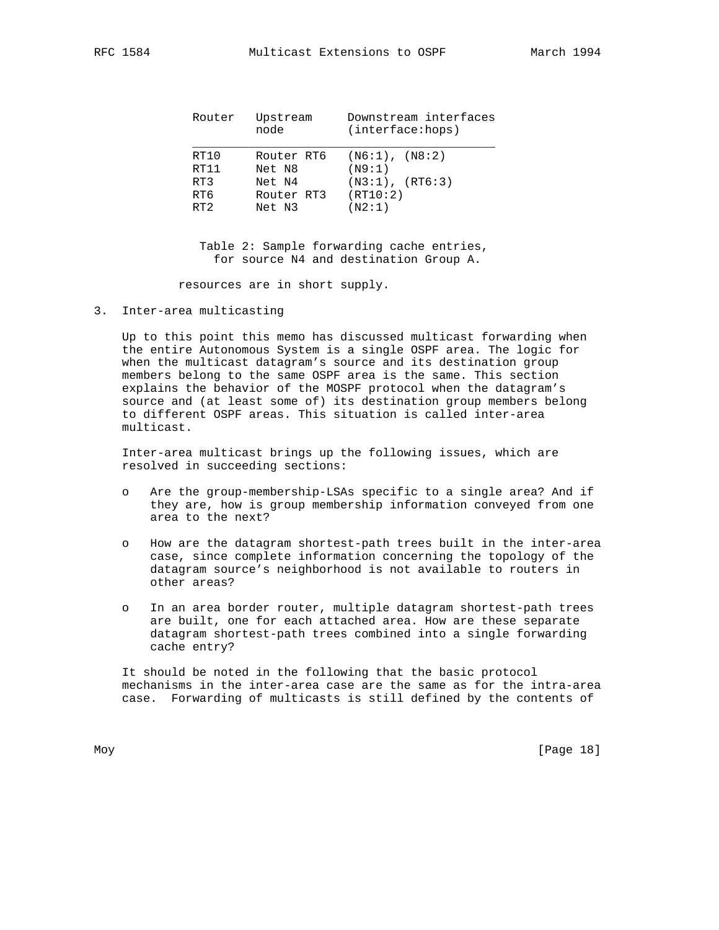| Router | Upstream<br>node | Downstream interfaces<br>(interface: hops) |
|--------|------------------|--------------------------------------------|
| RT10   | Router RT6       | $( N6:1)$ , $(N8:2)$                       |
| RT11   | Net N8           | (N9:1)                                     |
| RT3    | Net N4           | $(N3:1)$ , $(RT6:3)$                       |
| RT6    | Router RT3       | (RT10:2)                                   |
| RT2    | Net N3           | (N2:1)                                     |

 Table 2: Sample forwarding cache entries, for source N4 and destination Group A.

resources are in short supply.

3. Inter-area multicasting

 Up to this point this memo has discussed multicast forwarding when the entire Autonomous System is a single OSPF area. The logic for when the multicast datagram's source and its destination group members belong to the same OSPF area is the same. This section explains the behavior of the MOSPF protocol when the datagram's source and (at least some of) its destination group members belong to different OSPF areas. This situation is called inter-area multicast.

 Inter-area multicast brings up the following issues, which are resolved in succeeding sections:

- o Are the group-membership-LSAs specific to a single area? And if they are, how is group membership information conveyed from one area to the next?
- o How are the datagram shortest-path trees built in the inter-area case, since complete information concerning the topology of the datagram source's neighborhood is not available to routers in other areas?
- o In an area border router, multiple datagram shortest-path trees are built, one for each attached area. How are these separate datagram shortest-path trees combined into a single forwarding cache entry?

 It should be noted in the following that the basic protocol mechanisms in the inter-area case are the same as for the intra-area case. Forwarding of multicasts is still defined by the contents of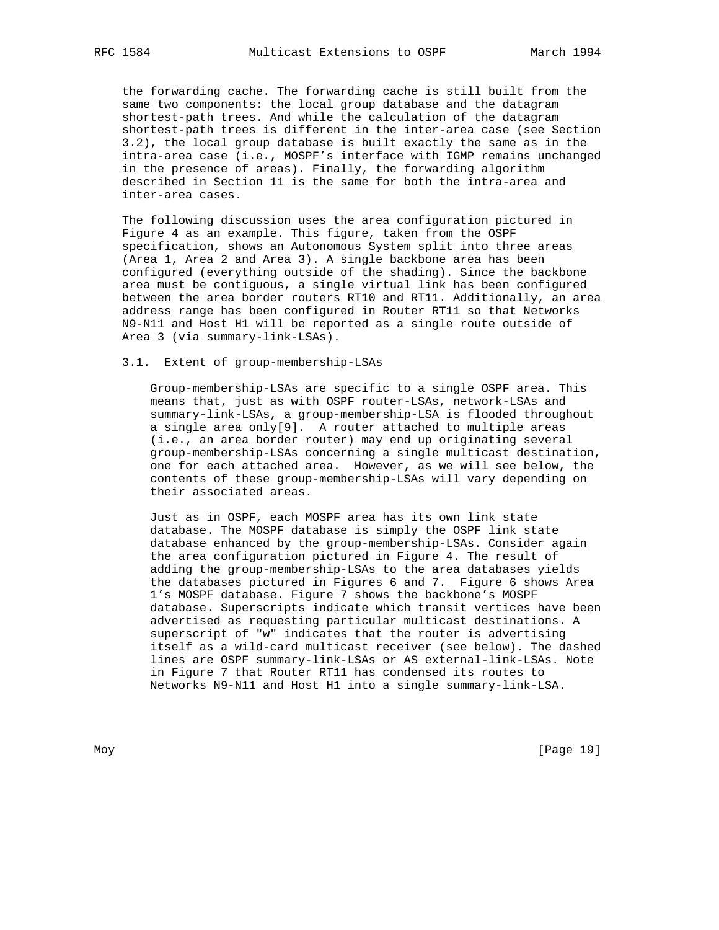the forwarding cache. The forwarding cache is still built from the same two components: the local group database and the datagram shortest-path trees. And while the calculation of the datagram shortest-path trees is different in the inter-area case (see Section 3.2), the local group database is built exactly the same as in the intra-area case (i.e., MOSPF's interface with IGMP remains unchanged in the presence of areas). Finally, the forwarding algorithm described in Section 11 is the same for both the intra-area and inter-area cases.

 The following discussion uses the area configuration pictured in Figure 4 as an example. This figure, taken from the OSPF specification, shows an Autonomous System split into three areas (Area 1, Area 2 and Area 3). A single backbone area has been configured (everything outside of the shading). Since the backbone area must be contiguous, a single virtual link has been configured between the area border routers RT10 and RT11. Additionally, an area address range has been configured in Router RT11 so that Networks N9-N11 and Host H1 will be reported as a single route outside of Area 3 (via summary-link-LSAs).

# 3.1. Extent of group-membership-LSAs

 Group-membership-LSAs are specific to a single OSPF area. This means that, just as with OSPF router-LSAs, network-LSAs and summary-link-LSAs, a group-membership-LSA is flooded throughout a single area only[9]. A router attached to multiple areas (i.e., an area border router) may end up originating several group-membership-LSAs concerning a single multicast destination, one for each attached area. However, as we will see below, the contents of these group-membership-LSAs will vary depending on their associated areas.

 Just as in OSPF, each MOSPF area has its own link state database. The MOSPF database is simply the OSPF link state database enhanced by the group-membership-LSAs. Consider again the area configuration pictured in Figure 4. The result of adding the group-membership-LSAs to the area databases yields the databases pictured in Figures 6 and 7. Figure 6 shows Area 1's MOSPF database. Figure 7 shows the backbone's MOSPF database. Superscripts indicate which transit vertices have been advertised as requesting particular multicast destinations. A superscript of "w" indicates that the router is advertising itself as a wild-card multicast receiver (see below). The dashed lines are OSPF summary-link-LSAs or AS external-link-LSAs. Note in Figure 7 that Router RT11 has condensed its routes to Networks N9-N11 and Host H1 into a single summary-link-LSA.

Moy [Page 19]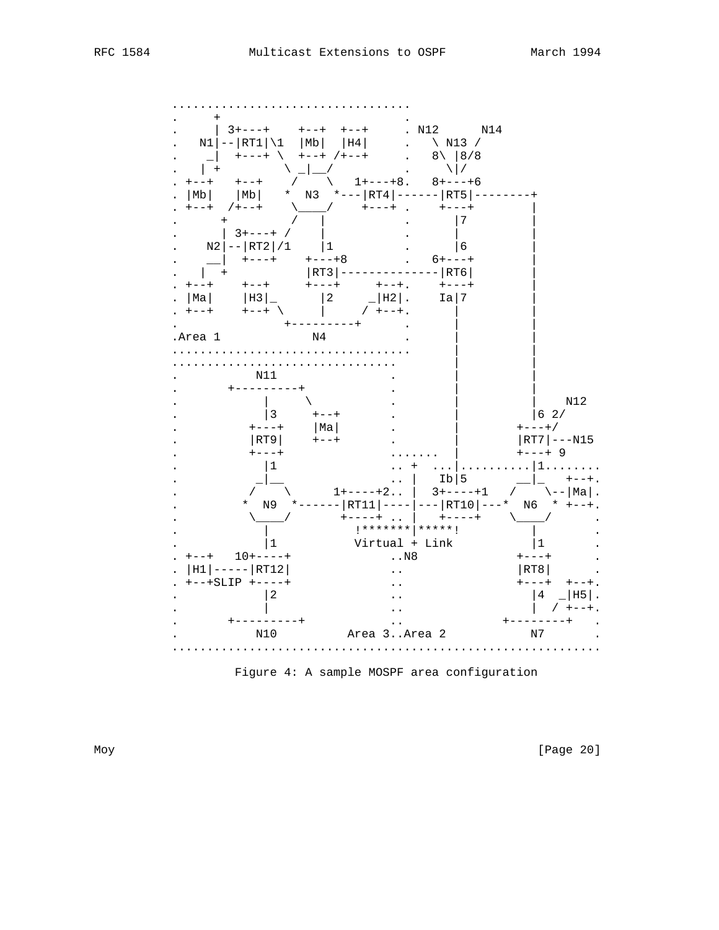

Figure 4: A sample MOSPF area configuration

[Page 20]

Moy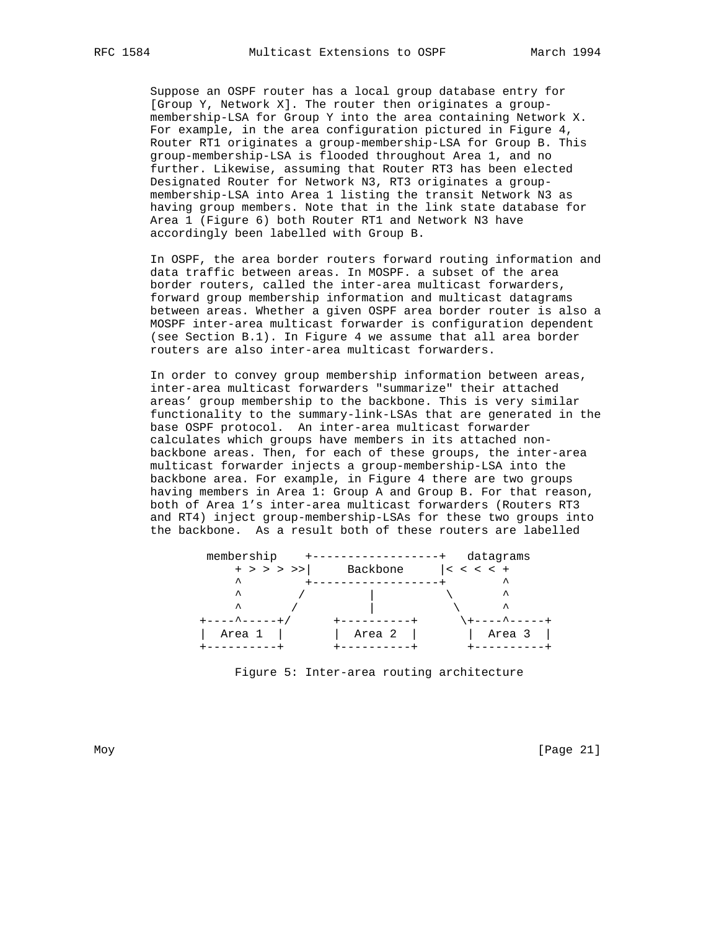Suppose an OSPF router has a local group database entry for [Group Y, Network X]. The router then originates a group membership-LSA for Group Y into the area containing Network X. For example, in the area configuration pictured in Figure 4, Router RT1 originates a group-membership-LSA for Group B. This group-membership-LSA is flooded throughout Area 1, and no further. Likewise, assuming that Router RT3 has been elected Designated Router for Network N3, RT3 originates a group membership-LSA into Area 1 listing the transit Network N3 as having group members. Note that in the link state database for Area 1 (Figure 6) both Router RT1 and Network N3 have accordingly been labelled with Group B.

 In OSPF, the area border routers forward routing information and data traffic between areas. In MOSPF. a subset of the area border routers, called the inter-area multicast forwarders, forward group membership information and multicast datagrams between areas. Whether a given OSPF area border router is also a MOSPF inter-area multicast forwarder is configuration dependent (see Section B.1). In Figure 4 we assume that all area border routers are also inter-area multicast forwarders.

 In order to convey group membership information between areas, inter-area multicast forwarders "summarize" their attached areas' group membership to the backbone. This is very similar functionality to the summary-link-LSAs that are generated in the base OSPF protocol. An inter-area multicast forwarder calculates which groups have members in its attached non backbone areas. Then, for each of these groups, the inter-area multicast forwarder injects a group-membership-LSA into the backbone area. For example, in Figure 4 there are two groups having members in Area 1: Group A and Group B. For that reason, both of Area 1's inter-area multicast forwarders (Routers RT3 and RT4) inject group-membership-LSAs for these two groups into the backbone. As a result both of these routers are labelled

| membership          |          | datagrams    |
|---------------------|----------|--------------|
| $+$ > > > >>        | Backbone | $ <$ < < < + |
| $\hat{\phantom{a}}$ |          | ㅅ            |
| ᄉ                   |          | ᄉ            |
| ㅅ                   |          | ᄉ            |
|                     |          |              |
| Area 1              | Area 2   | Area 3       |
|                     |          |              |

Figure 5: Inter-area routing architecture

Moy [Page 21]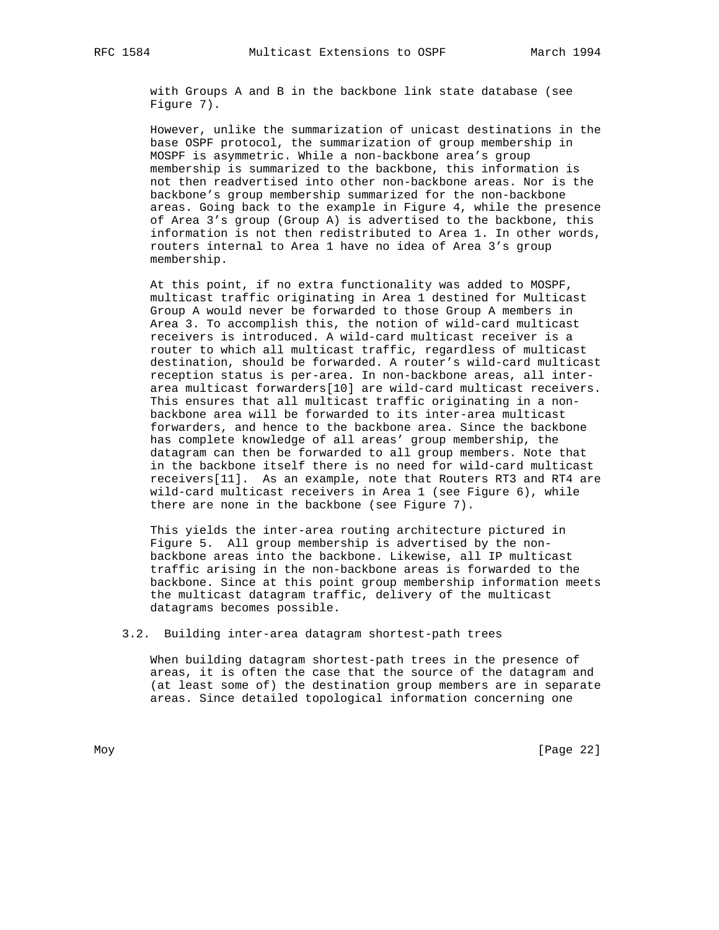with Groups A and B in the backbone link state database (see Figure 7).

 However, unlike the summarization of unicast destinations in the base OSPF protocol, the summarization of group membership in MOSPF is asymmetric. While a non-backbone area's group membership is summarized to the backbone, this information is not then readvertised into other non-backbone areas. Nor is the backbone's group membership summarized for the non-backbone areas. Going back to the example in Figure 4, while the presence of Area 3's group (Group A) is advertised to the backbone, this information is not then redistributed to Area 1. In other words, routers internal to Area 1 have no idea of Area 3's group membership.

 At this point, if no extra functionality was added to MOSPF, multicast traffic originating in Area 1 destined for Multicast Group A would never be forwarded to those Group A members in Area 3. To accomplish this, the notion of wild-card multicast receivers is introduced. A wild-card multicast receiver is a router to which all multicast traffic, regardless of multicast destination, should be forwarded. A router's wild-card multicast reception status is per-area. In non-backbone areas, all inter area multicast forwarders[10] are wild-card multicast receivers. This ensures that all multicast traffic originating in a non backbone area will be forwarded to its inter-area multicast forwarders, and hence to the backbone area. Since the backbone has complete knowledge of all areas' group membership, the datagram can then be forwarded to all group members. Note that in the backbone itself there is no need for wild-card multicast receivers[11]. As an example, note that Routers RT3 and RT4 are wild-card multicast receivers in Area 1 (see Figure 6), while there are none in the backbone (see Figure 7).

 This yields the inter-area routing architecture pictured in Figure 5. All group membership is advertised by the non backbone areas into the backbone. Likewise, all IP multicast traffic arising in the non-backbone areas is forwarded to the backbone. Since at this point group membership information meets the multicast datagram traffic, delivery of the multicast datagrams becomes possible.

#### 3.2. Building inter-area datagram shortest-path trees

 When building datagram shortest-path trees in the presence of areas, it is often the case that the source of the datagram and (at least some of) the destination group members are in separate areas. Since detailed topological information concerning one

Moy [Page 22]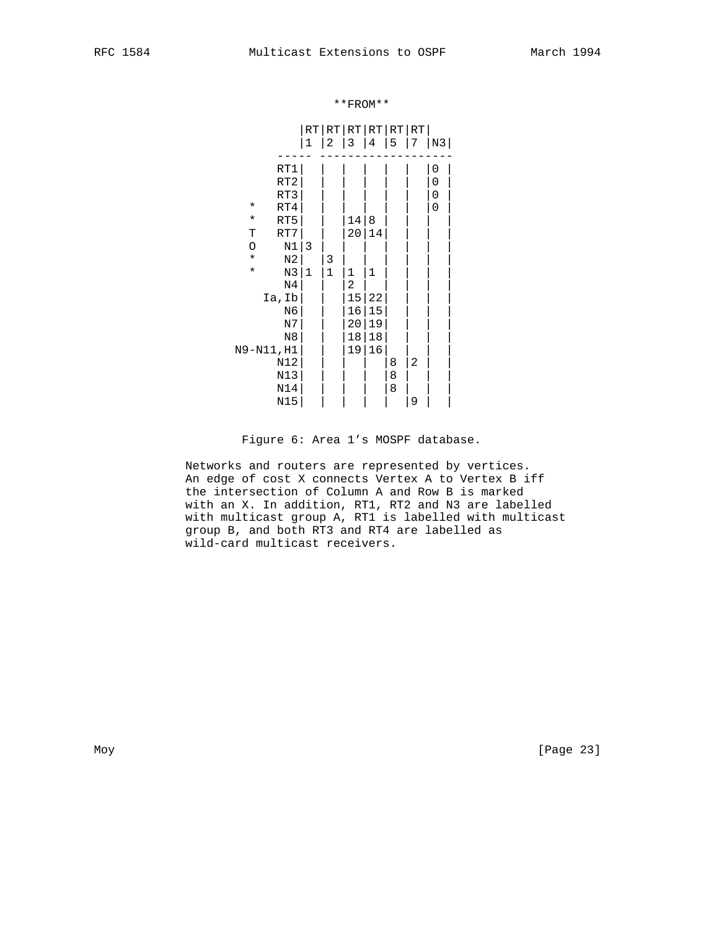\*\*FROM\*\*

|                                                                                                                                                                        | RT<br>$\mathbf{1}$ | $\mathbf{2}$ | 3                            | 4                            | RT RT RT RT RT<br>5 | 7                   | N3                              |
|------------------------------------------------------------------------------------------------------------------------------------------------------------------------|--------------------|--------------|------------------------------|------------------------------|---------------------|---------------------|---------------------------------|
| RT1<br>RT <sub>2</sub><br>RT3<br>$^\star$<br>RT4<br>RT5<br>$^\star$<br>RT7<br>Т<br>$\rm N1$<br>O<br>$\star$<br>$_{\rm N2}$<br>$\star$<br>N3<br>N <sub>4</sub><br>Ia,Ib | 3<br>$\mathbf{1}$  | 3<br>$1\,$   | 14<br>20<br>$1\,$<br>2<br>15 | 8<br>14<br>$\mathbf 1$<br>22 |                     |                     | $\boldsymbol{0}$<br>0<br>0<br>0 |
| N6<br>N7<br>N8<br>N9-N11, H1<br>N12<br>N13<br>N14<br>N15                                                                                                               |                    |              | 16<br>20<br>18<br>19         | 15<br>19<br>18<br>16         | 8<br>8<br>8         | $\overline{2}$<br>9 |                                 |

# Figure 6: Area 1's MOSPF database.

 Networks and routers are represented by vertices. An edge of cost X connects Vertex A to Vertex B iff the intersection of Column A and Row B is marked with an X. In addition, RT1, RT2 and N3 are labelled with multicast group A, RT1 is labelled with multicast group B, and both RT3 and RT4 are labelled as wild-card multicast receivers.

Moy [Page 23]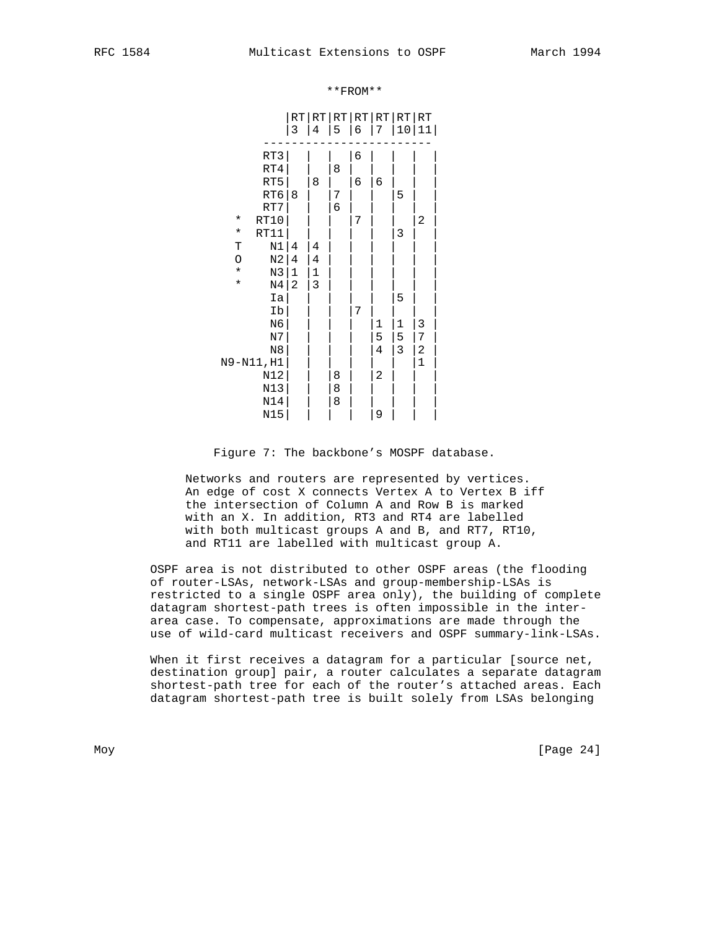|                           | $\mathop{\rm RT}$<br>3 | 4           | 5 | RT RT RT RT RT RT<br>6 | 7            | 10           | 1<br>1       |
|---------------------------|------------------------|-------------|---|------------------------|--------------|--------------|--------------|
|                           |                        |             |   |                        |              |              |              |
| RT3                       |                        |             |   | 6                      |              |              |              |
| RT4                       |                        |             | 8 |                        |              |              |              |
| RT5                       |                        | 8           |   | 6                      | 6            |              |              |
| RT6                       | 8                      |             | 7 |                        |              | 5            |              |
| RT7                       |                        |             | 6 |                        |              |              |              |
| RT10<br>$^\star$          |                        |             |   | 7                      |              |              | 2            |
| RT11<br>$^\star$          |                        |             |   |                        |              | 3            |              |
| N1<br>Т                   | 4                      | 4           |   |                        |              |              |              |
| N2<br>O                   | 4                      | 4           |   |                        |              |              |              |
| N3<br>$\star$             | 1                      | $\mathbf 1$ |   |                        |              |              |              |
| $\star$<br>N <sub>4</sub> | $\overline{2}$         | 3           |   |                        |              |              |              |
| Ia                        |                        |             |   |                        |              | 5            |              |
| Ib                        |                        |             |   | 7                      |              |              |              |
| N6                        |                        |             |   |                        | $\mathbf{1}$ | $\mathbf{1}$ | 3            |
| N7                        |                        |             |   |                        | 5            | 5            | 7            |
| N <sub>8</sub>            |                        |             |   |                        | 4            | 3            | 2            |
| N9-N11, H1                |                        |             |   |                        |              |              | $\mathbf{1}$ |
| N12                       |                        |             | 8 |                        | 2            |              |              |
| N13                       |                        |             | 8 |                        |              |              |              |
| N14                       |                        |             | 8 |                        |              |              |              |
| N15                       |                        |             |   |                        | 9            |              |              |

#### \*\*FROM\*\*

Figure 7: The backbone's MOSPF database.

 Networks and routers are represented by vertices. An edge of cost X connects Vertex A to Vertex B iff the intersection of Column A and Row B is marked with an X. In addition, RT3 and RT4 are labelled with both multicast groups A and B, and RT7, RT10, and RT11 are labelled with multicast group A.

 OSPF area is not distributed to other OSPF areas (the flooding of router-LSAs, network-LSAs and group-membership-LSAs is restricted to a single OSPF area only), the building of complete datagram shortest-path trees is often impossible in the inter area case. To compensate, approximations are made through the use of wild-card multicast receivers and OSPF summary-link-LSAs.

When it first receives a datagram for a particular [source net, destination group] pair, a router calculates a separate datagram shortest-path tree for each of the router's attached areas. Each datagram shortest-path tree is built solely from LSAs belonging

Moy [Page 24]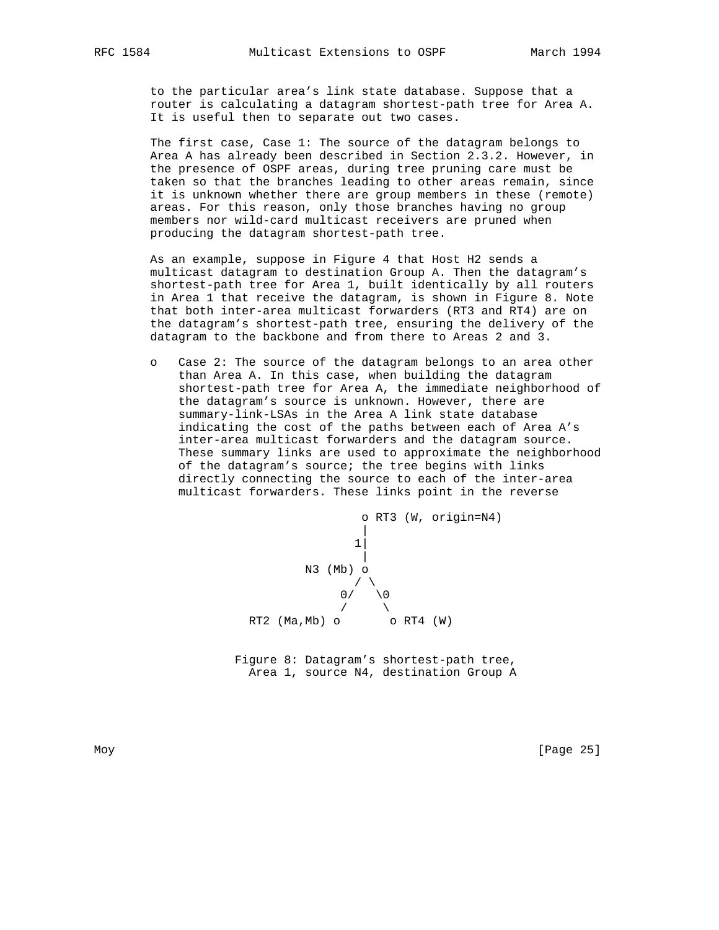to the particular area's link state database. Suppose that a router is calculating a datagram shortest-path tree for Area A. It is useful then to separate out two cases.

 The first case, Case 1: The source of the datagram belongs to Area A has already been described in Section 2.3.2. However, in the presence of OSPF areas, during tree pruning care must be taken so that the branches leading to other areas remain, since it is unknown whether there are group members in these (remote) areas. For this reason, only those branches having no group members nor wild-card multicast receivers are pruned when producing the datagram shortest-path tree.

 As an example, suppose in Figure 4 that Host H2 sends a multicast datagram to destination Group A. Then the datagram's shortest-path tree for Area 1, built identically by all routers in Area 1 that receive the datagram, is shown in Figure 8. Note that both inter-area multicast forwarders (RT3 and RT4) are on the datagram's shortest-path tree, ensuring the delivery of the datagram to the backbone and from there to Areas 2 and 3.

 o Case 2: The source of the datagram belongs to an area other than Area A. In this case, when building the datagram shortest-path tree for Area A, the immediate neighborhood of the datagram's source is unknown. However, there are summary-link-LSAs in the Area A link state database indicating the cost of the paths between each of Area A's inter-area multicast forwarders and the datagram source. These summary links are used to approximate the neighborhood of the datagram's source; the tree begins with links directly connecting the source to each of the inter-area multicast forwarders. These links point in the reverse



 Figure 8: Datagram's shortest-path tree, Area 1, source N4, destination Group A

Moy [Page 25]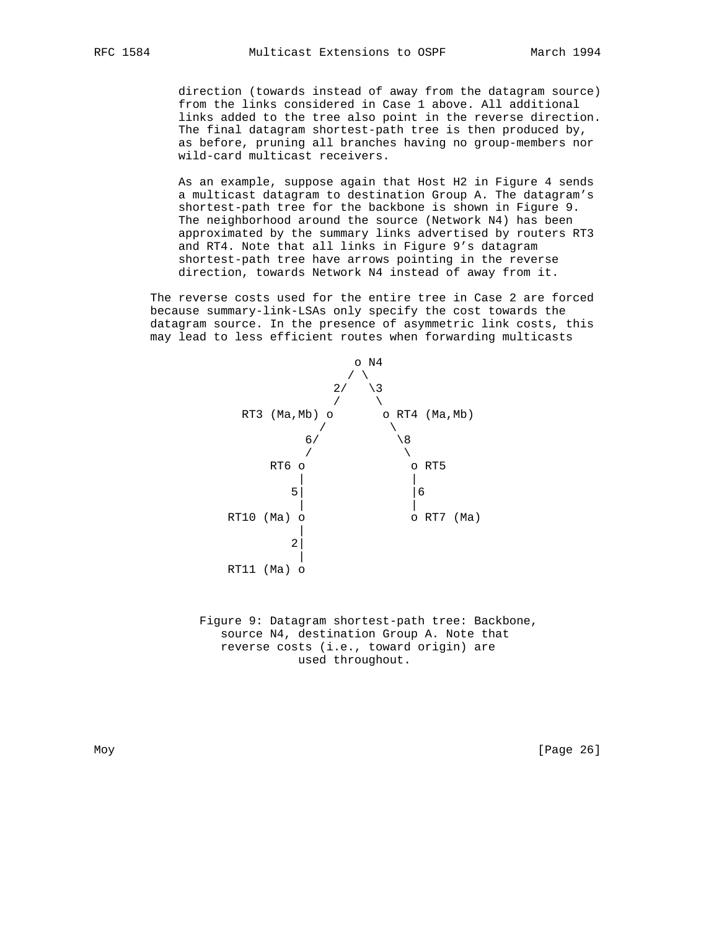direction (towards instead of away from the datagram source) from the links considered in Case 1 above. All additional links added to the tree also point in the reverse direction. The final datagram shortest-path tree is then produced by, as before, pruning all branches having no group-members nor wild-card multicast receivers.

 As an example, suppose again that Host H2 in Figure 4 sends a multicast datagram to destination Group A. The datagram's shortest-path tree for the backbone is shown in Figure 9. The neighborhood around the source (Network N4) has been approximated by the summary links advertised by routers RT3 and RT4. Note that all links in Figure 9's datagram shortest-path tree have arrows pointing in the reverse direction, towards Network N4 instead of away from it.

 The reverse costs used for the entire tree in Case 2 are forced because summary-link-LSAs only specify the cost towards the datagram source. In the presence of asymmetric link costs, this may lead to less efficient routes when forwarding multicasts



 Figure 9: Datagram shortest-path tree: Backbone, source N4, destination Group A. Note that reverse costs (i.e., toward origin) are used throughout.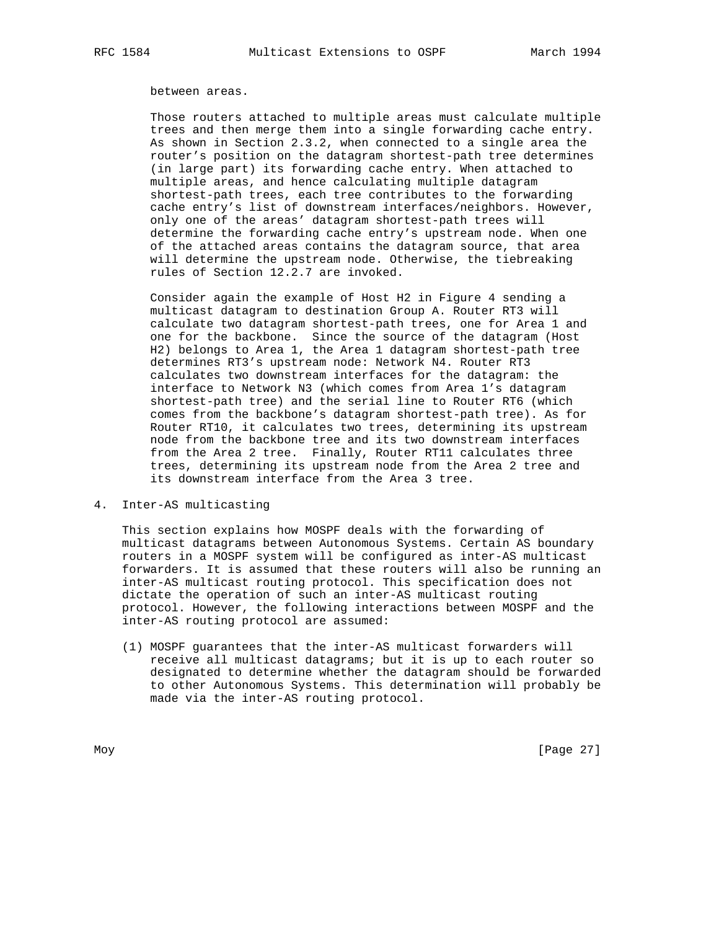#### between areas.

 Those routers attached to multiple areas must calculate multiple trees and then merge them into a single forwarding cache entry. As shown in Section 2.3.2, when connected to a single area the router's position on the datagram shortest-path tree determines (in large part) its forwarding cache entry. When attached to multiple areas, and hence calculating multiple datagram shortest-path trees, each tree contributes to the forwarding cache entry's list of downstream interfaces/neighbors. However, only one of the areas' datagram shortest-path trees will determine the forwarding cache entry's upstream node. When one of the attached areas contains the datagram source, that area will determine the upstream node. Otherwise, the tiebreaking rules of Section 12.2.7 are invoked.

 Consider again the example of Host H2 in Figure 4 sending a multicast datagram to destination Group A. Router RT3 will calculate two datagram shortest-path trees, one for Area 1 and one for the backbone. Since the source of the datagram (Host H2) belongs to Area 1, the Area 1 datagram shortest-path tree determines RT3's upstream node: Network N4. Router RT3 calculates two downstream interfaces for the datagram: the interface to Network N3 (which comes from Area 1's datagram shortest-path tree) and the serial line to Router RT6 (which comes from the backbone's datagram shortest-path tree). As for Router RT10, it calculates two trees, determining its upstream node from the backbone tree and its two downstream interfaces from the Area 2 tree. Finally, Router RT11 calculates three trees, determining its upstream node from the Area 2 tree and its downstream interface from the Area 3 tree.

4. Inter-AS multicasting

 This section explains how MOSPF deals with the forwarding of multicast datagrams between Autonomous Systems. Certain AS boundary routers in a MOSPF system will be configured as inter-AS multicast forwarders. It is assumed that these routers will also be running an inter-AS multicast routing protocol. This specification does not dictate the operation of such an inter-AS multicast routing protocol. However, the following interactions between MOSPF and the inter-AS routing protocol are assumed:

 (1) MOSPF guarantees that the inter-AS multicast forwarders will receive all multicast datagrams; but it is up to each router so designated to determine whether the datagram should be forwarded to other Autonomous Systems. This determination will probably be made via the inter-AS routing protocol.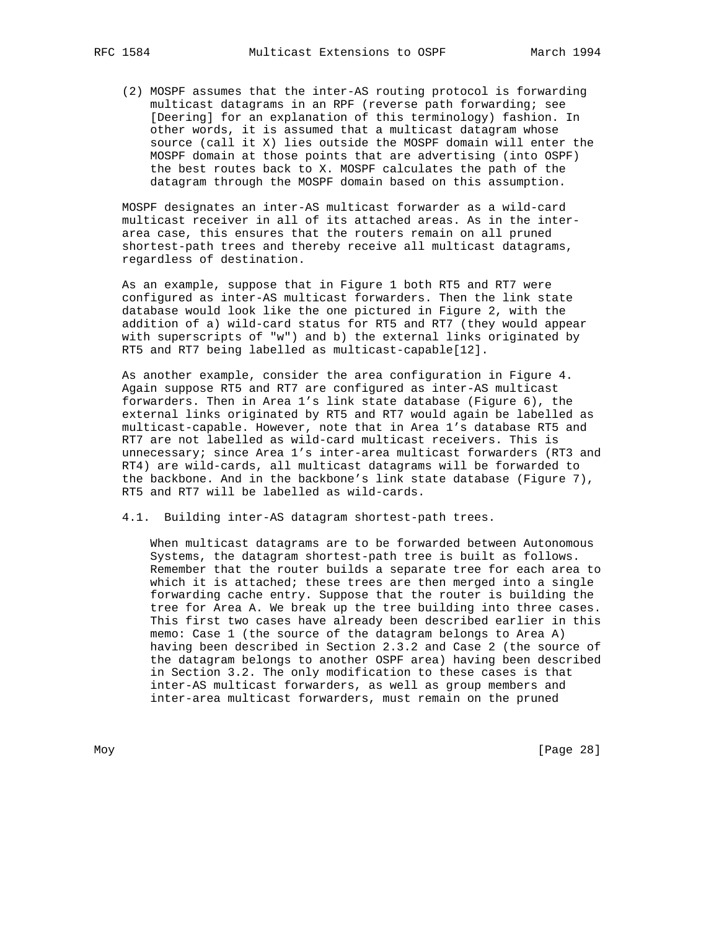(2) MOSPF assumes that the inter-AS routing protocol is forwarding multicast datagrams in an RPF (reverse path forwarding; see [Deering] for an explanation of this terminology) fashion. In other words, it is assumed that a multicast datagram whose source (call it X) lies outside the MOSPF domain will enter the MOSPF domain at those points that are advertising (into OSPF) the best routes back to X. MOSPF calculates the path of the datagram through the MOSPF domain based on this assumption.

 MOSPF designates an inter-AS multicast forwarder as a wild-card multicast receiver in all of its attached areas. As in the inter area case, this ensures that the routers remain on all pruned shortest-path trees and thereby receive all multicast datagrams, regardless of destination.

 As an example, suppose that in Figure 1 both RT5 and RT7 were configured as inter-AS multicast forwarders. Then the link state database would look like the one pictured in Figure 2, with the addition of a) wild-card status for RT5 and RT7 (they would appear with superscripts of "w") and b) the external links originated by RT5 and RT7 being labelled as multicast-capable[12].

 As another example, consider the area configuration in Figure 4. Again suppose RT5 and RT7 are configured as inter-AS multicast forwarders. Then in Area 1's link state database (Figure 6), the external links originated by RT5 and RT7 would again be labelled as multicast-capable. However, note that in Area 1's database RT5 and RT7 are not labelled as wild-card multicast receivers. This is unnecessary; since Area 1's inter-area multicast forwarders (RT3 and RT4) are wild-cards, all multicast datagrams will be forwarded to the backbone. And in the backbone's link state database (Figure 7), RT5 and RT7 will be labelled as wild-cards.

4.1. Building inter-AS datagram shortest-path trees.

 When multicast datagrams are to be forwarded between Autonomous Systems, the datagram shortest-path tree is built as follows. Remember that the router builds a separate tree for each area to which it is attached; these trees are then merged into a single forwarding cache entry. Suppose that the router is building the tree for Area A. We break up the tree building into three cases. This first two cases have already been described earlier in this memo: Case 1 (the source of the datagram belongs to Area A) having been described in Section 2.3.2 and Case 2 (the source of the datagram belongs to another OSPF area) having been described in Section 3.2. The only modification to these cases is that inter-AS multicast forwarders, as well as group members and inter-area multicast forwarders, must remain on the pruned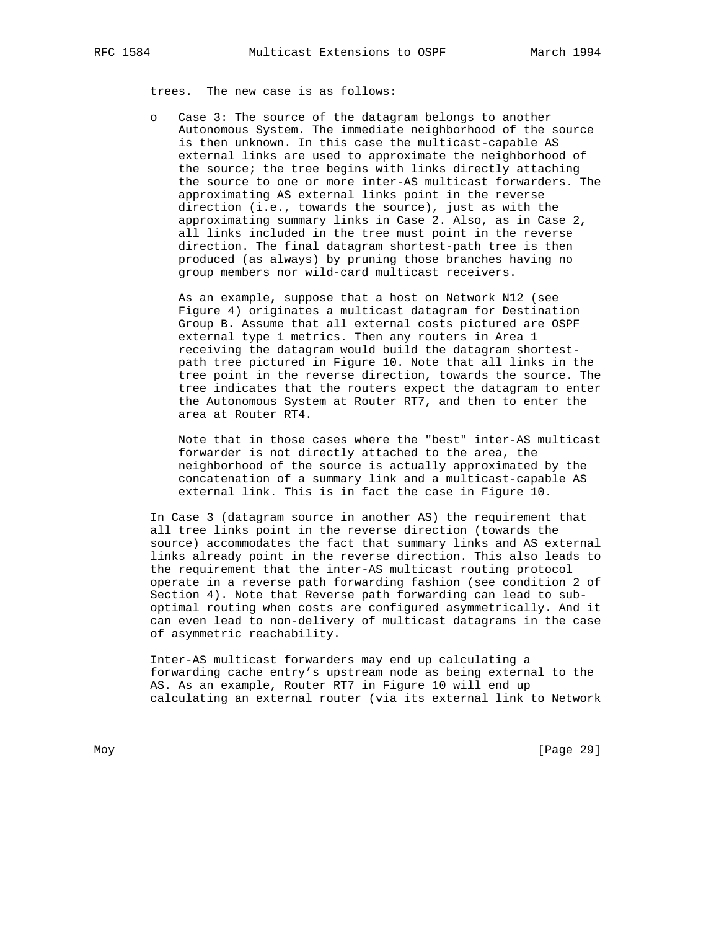trees. The new case is as follows:

 o Case 3: The source of the datagram belongs to another Autonomous System. The immediate neighborhood of the source is then unknown. In this case the multicast-capable AS external links are used to approximate the neighborhood of the source; the tree begins with links directly attaching the source to one or more inter-AS multicast forwarders. The approximating AS external links point in the reverse direction (i.e., towards the source), just as with the approximating summary links in Case 2. Also, as in Case 2, all links included in the tree must point in the reverse direction. The final datagram shortest-path tree is then produced (as always) by pruning those branches having no group members nor wild-card multicast receivers.

 As an example, suppose that a host on Network N12 (see Figure 4) originates a multicast datagram for Destination Group B. Assume that all external costs pictured are OSPF external type 1 metrics. Then any routers in Area 1 receiving the datagram would build the datagram shortest path tree pictured in Figure 10. Note that all links in the tree point in the reverse direction, towards the source. The tree indicates that the routers expect the datagram to enter the Autonomous System at Router RT7, and then to enter the area at Router RT4.

 Note that in those cases where the "best" inter-AS multicast forwarder is not directly attached to the area, the neighborhood of the source is actually approximated by the concatenation of a summary link and a multicast-capable AS external link. This is in fact the case in Figure 10.

 In Case 3 (datagram source in another AS) the requirement that all tree links point in the reverse direction (towards the source) accommodates the fact that summary links and AS external links already point in the reverse direction. This also leads to the requirement that the inter-AS multicast routing protocol operate in a reverse path forwarding fashion (see condition 2 of Section 4). Note that Reverse path forwarding can lead to sub optimal routing when costs are configured asymmetrically. And it can even lead to non-delivery of multicast datagrams in the case of asymmetric reachability.

 Inter-AS multicast forwarders may end up calculating a forwarding cache entry's upstream node as being external to the AS. As an example, Router RT7 in Figure 10 will end up calculating an external router (via its external link to Network

Moy [Page 29]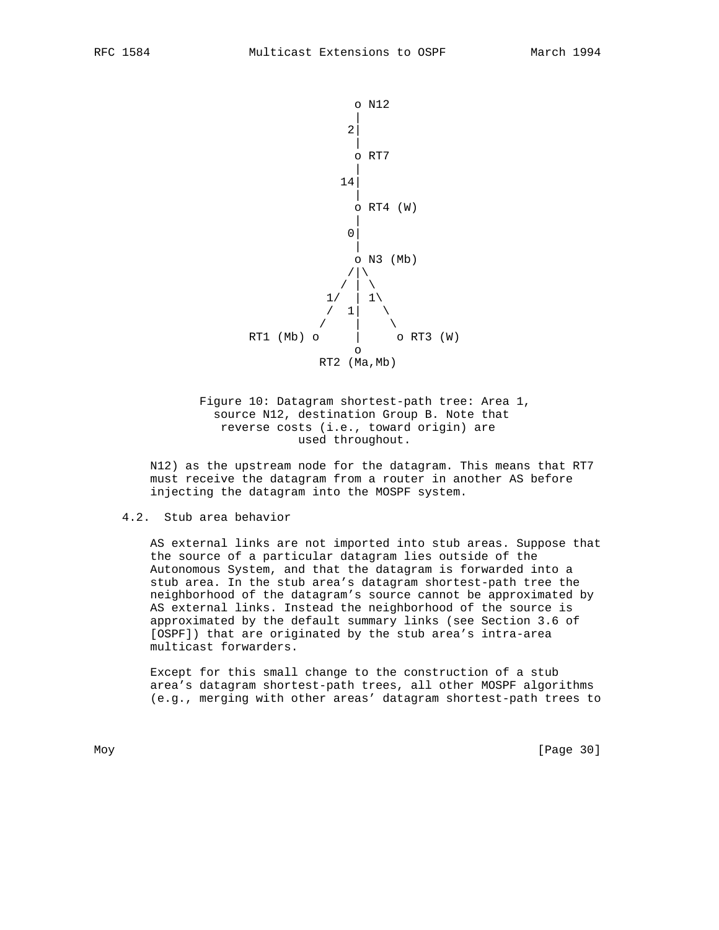

 Figure 10: Datagram shortest-path tree: Area 1, source N12, destination Group B. Note that reverse costs (i.e., toward origin) are used throughout.

 N12) as the upstream node for the datagram. This means that RT7 must receive the datagram from a router in another AS before injecting the datagram into the MOSPF system.

# 4.2. Stub area behavior

 AS external links are not imported into stub areas. Suppose that the source of a particular datagram lies outside of the Autonomous System, and that the datagram is forwarded into a stub area. In the stub area's datagram shortest-path tree the neighborhood of the datagram's source cannot be approximated by AS external links. Instead the neighborhood of the source is approximated by the default summary links (see Section 3.6 of [OSPF]) that are originated by the stub area's intra-area multicast forwarders.

 Except for this small change to the construction of a stub area's datagram shortest-path trees, all other MOSPF algorithms (e.g., merging with other areas' datagram shortest-path trees to

Moy [Page 30]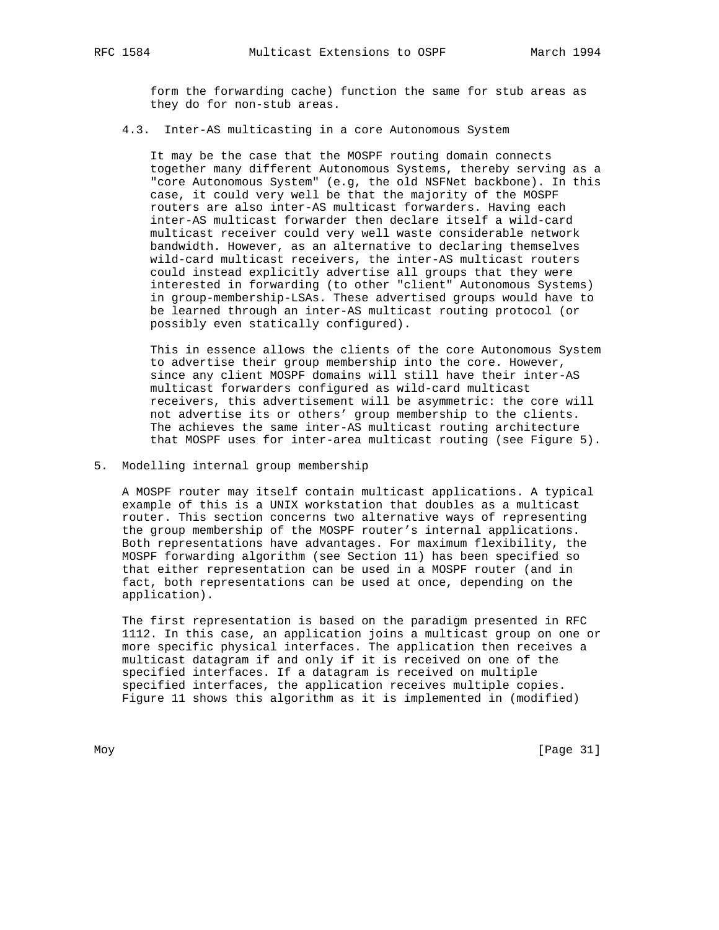form the forwarding cache) function the same for stub areas as they do for non-stub areas.

# 4.3. Inter-AS multicasting in a core Autonomous System

 It may be the case that the MOSPF routing domain connects together many different Autonomous Systems, thereby serving as a "core Autonomous System" (e.g, the old NSFNet backbone). In this case, it could very well be that the majority of the MOSPF routers are also inter-AS multicast forwarders. Having each inter-AS multicast forwarder then declare itself a wild-card multicast receiver could very well waste considerable network bandwidth. However, as an alternative to declaring themselves wild-card multicast receivers, the inter-AS multicast routers could instead explicitly advertise all groups that they were interested in forwarding (to other "client" Autonomous Systems) in group-membership-LSAs. These advertised groups would have to be learned through an inter-AS multicast routing protocol (or possibly even statically configured).

 This in essence allows the clients of the core Autonomous System to advertise their group membership into the core. However, since any client MOSPF domains will still have their inter-AS multicast forwarders configured as wild-card multicast receivers, this advertisement will be asymmetric: the core will not advertise its or others' group membership to the clients. The achieves the same inter-AS multicast routing architecture that MOSPF uses for inter-area multicast routing (see Figure 5).

### 5. Modelling internal group membership

 A MOSPF router may itself contain multicast applications. A typical example of this is a UNIX workstation that doubles as a multicast router. This section concerns two alternative ways of representing the group membership of the MOSPF router's internal applications. Both representations have advantages. For maximum flexibility, the MOSPF forwarding algorithm (see Section 11) has been specified so that either representation can be used in a MOSPF router (and in fact, both representations can be used at once, depending on the application).

 The first representation is based on the paradigm presented in RFC 1112. In this case, an application joins a multicast group on one or more specific physical interfaces. The application then receives a multicast datagram if and only if it is received on one of the specified interfaces. If a datagram is received on multiple specified interfaces, the application receives multiple copies. Figure 11 shows this algorithm as it is implemented in (modified)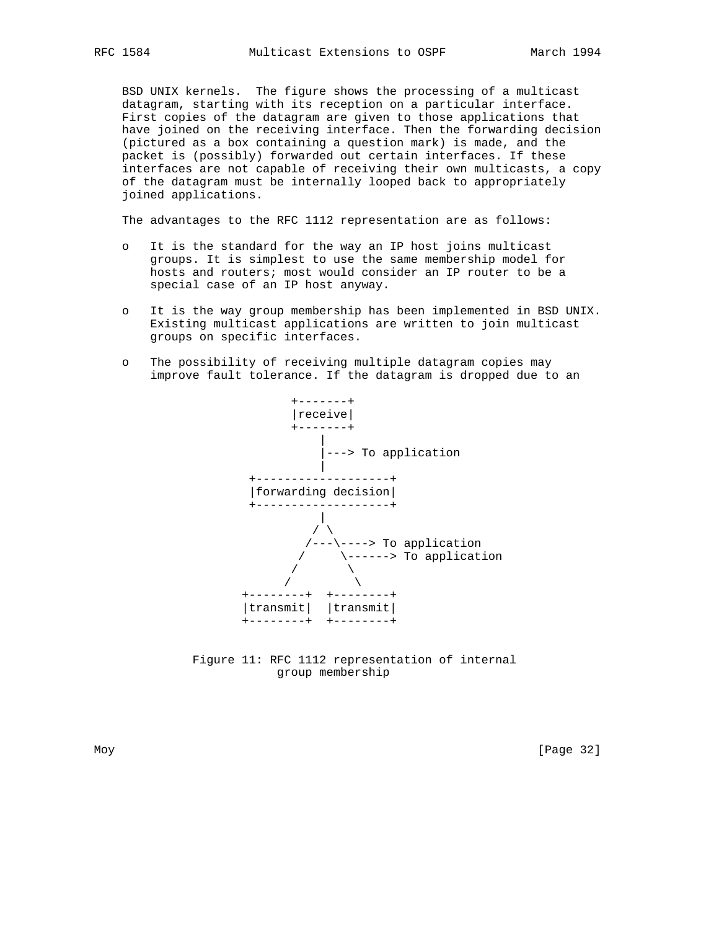BSD UNIX kernels. The figure shows the processing of a multicast datagram, starting with its reception on a particular interface. First copies of the datagram are given to those applications that have joined on the receiving interface. Then the forwarding decision (pictured as a box containing a question mark) is made, and the packet is (possibly) forwarded out certain interfaces. If these interfaces are not capable of receiving their own multicasts, a copy of the datagram must be internally looped back to appropriately joined applications.

The advantages to the RFC 1112 representation are as follows:

- o It is the standard for the way an IP host joins multicast groups. It is simplest to use the same membership model for hosts and routers; most would consider an IP router to be a special case of an IP host anyway.
- o It is the way group membership has been implemented in BSD UNIX. Existing multicast applications are written to join multicast groups on specific interfaces.
- o The possibility of receiving multiple datagram copies may improve fault tolerance. If the datagram is dropped due to an



 Figure 11: RFC 1112 representation of internal group membership

Moy [Page 32]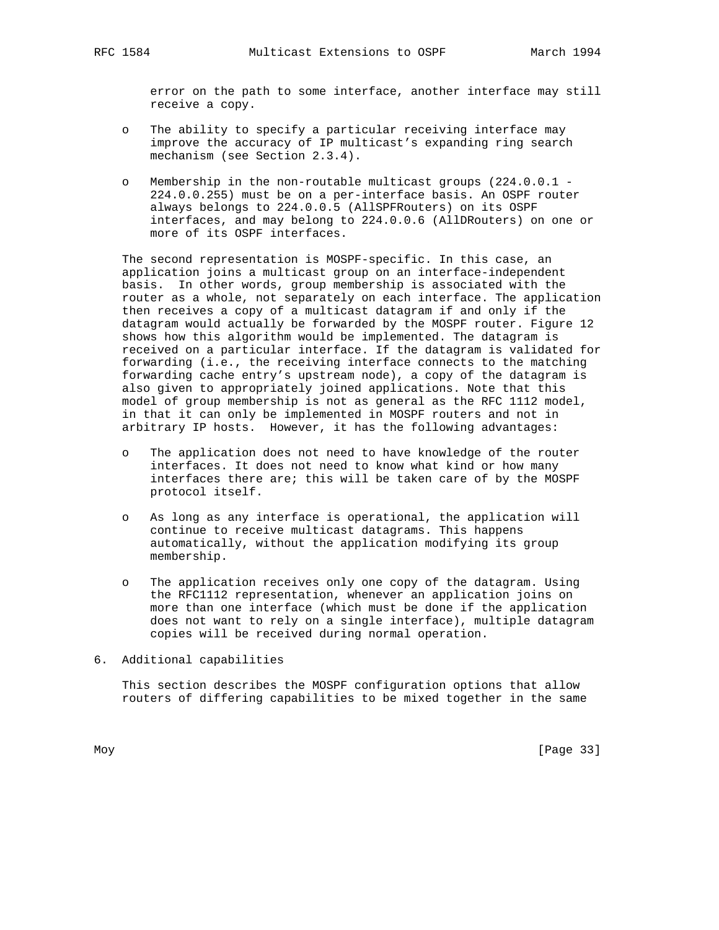error on the path to some interface, another interface may still receive a copy.

- o The ability to specify a particular receiving interface may improve the accuracy of IP multicast's expanding ring search mechanism (see Section 2.3.4).
- o Membership in the non-routable multicast groups (224.0.0.1 224.0.0.255) must be on a per-interface basis. An OSPF router always belongs to 224.0.0.5 (AllSPFRouters) on its OSPF interfaces, and may belong to 224.0.0.6 (AllDRouters) on one or more of its OSPF interfaces.

 The second representation is MOSPF-specific. In this case, an application joins a multicast group on an interface-independent basis. In other words, group membership is associated with the router as a whole, not separately on each interface. The application then receives a copy of a multicast datagram if and only if the datagram would actually be forwarded by the MOSPF router. Figure 12 shows how this algorithm would be implemented. The datagram is received on a particular interface. If the datagram is validated for forwarding (i.e., the receiving interface connects to the matching forwarding cache entry's upstream node), a copy of the datagram is also given to appropriately joined applications. Note that this model of group membership is not as general as the RFC 1112 model, in that it can only be implemented in MOSPF routers and not in arbitrary IP hosts. However, it has the following advantages:

- o The application does not need to have knowledge of the router interfaces. It does not need to know what kind or how many interfaces there are; this will be taken care of by the MOSPF protocol itself.
- o As long as any interface is operational, the application will continue to receive multicast datagrams. This happens automatically, without the application modifying its group membership.
- o The application receives only one copy of the datagram. Using the RFC1112 representation, whenever an application joins on more than one interface (which must be done if the application does not want to rely on a single interface), multiple datagram copies will be received during normal operation.
- 6. Additional capabilities

 This section describes the MOSPF configuration options that allow routers of differing capabilities to be mixed together in the same

Moy [Page 33]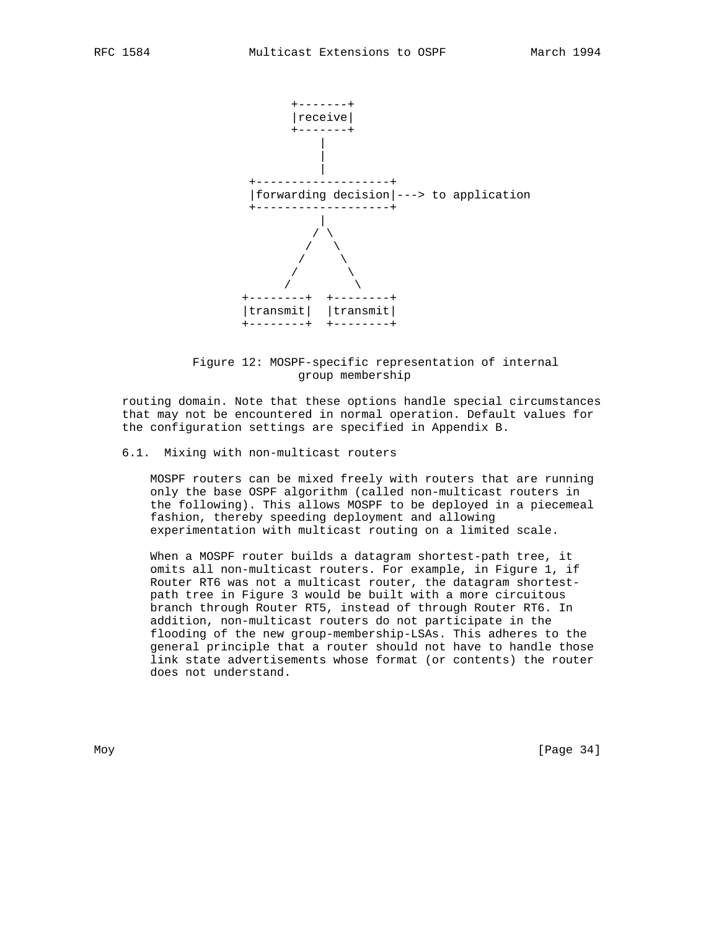

 Figure 12: MOSPF-specific representation of internal group membership

 routing domain. Note that these options handle special circumstances that may not be encountered in normal operation. Default values for the configuration settings are specified in Appendix B.

# 6.1. Mixing with non-multicast routers

 MOSPF routers can be mixed freely with routers that are running only the base OSPF algorithm (called non-multicast routers in the following). This allows MOSPF to be deployed in a piecemeal fashion, thereby speeding deployment and allowing experimentation with multicast routing on a limited scale.

 When a MOSPF router builds a datagram shortest-path tree, it omits all non-multicast routers. For example, in Figure 1, if Router RT6 was not a multicast router, the datagram shortest path tree in Figure 3 would be built with a more circuitous branch through Router RT5, instead of through Router RT6. In addition, non-multicast routers do not participate in the flooding of the new group-membership-LSAs. This adheres to the general principle that a router should not have to handle those link state advertisements whose format (or contents) the router does not understand.

Moy [Page 34]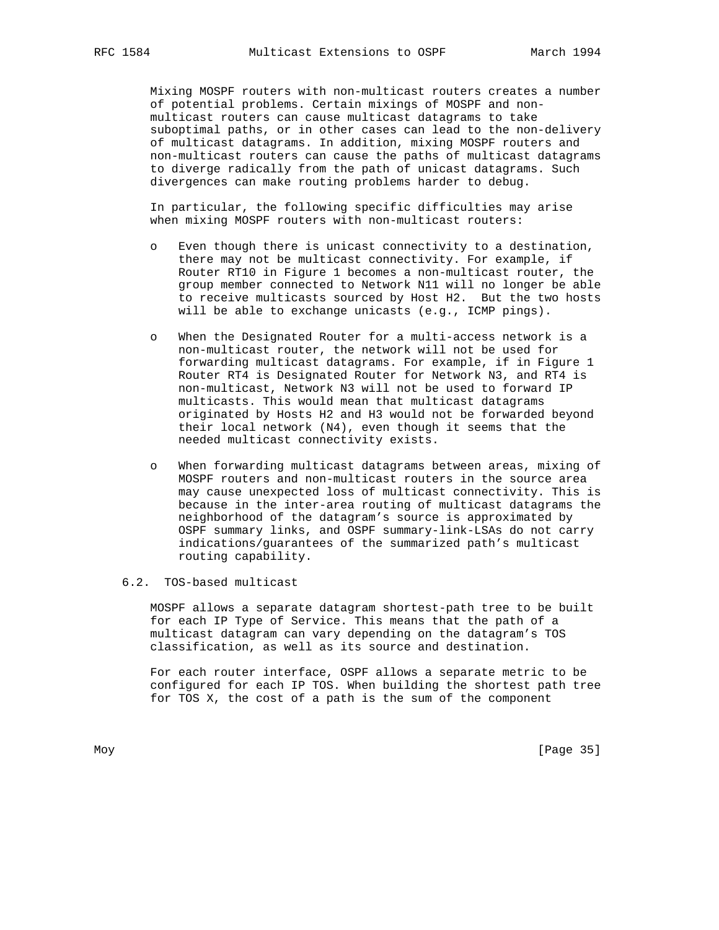Mixing MOSPF routers with non-multicast routers creates a number of potential problems. Certain mixings of MOSPF and non multicast routers can cause multicast datagrams to take suboptimal paths, or in other cases can lead to the non-delivery of multicast datagrams. In addition, mixing MOSPF routers and non-multicast routers can cause the paths of multicast datagrams to diverge radically from the path of unicast datagrams. Such divergences can make routing problems harder to debug.

 In particular, the following specific difficulties may arise when mixing MOSPF routers with non-multicast routers:

- o Even though there is unicast connectivity to a destination, there may not be multicast connectivity. For example, if Router RT10 in Figure 1 becomes a non-multicast router, the group member connected to Network N11 will no longer be able to receive multicasts sourced by Host H2. But the two hosts will be able to exchange unicasts (e.g., ICMP pings).
- o When the Designated Router for a multi-access network is a non-multicast router, the network will not be used for forwarding multicast datagrams. For example, if in Figure 1 Router RT4 is Designated Router for Network N3, and RT4 is non-multicast, Network N3 will not be used to forward IP multicasts. This would mean that multicast datagrams originated by Hosts H2 and H3 would not be forwarded beyond their local network (N4), even though it seems that the needed multicast connectivity exists.
- o When forwarding multicast datagrams between areas, mixing of MOSPF routers and non-multicast routers in the source area may cause unexpected loss of multicast connectivity. This is because in the inter-area routing of multicast datagrams the neighborhood of the datagram's source is approximated by OSPF summary links, and OSPF summary-link-LSAs do not carry indications/guarantees of the summarized path's multicast routing capability.

### 6.2. TOS-based multicast

 MOSPF allows a separate datagram shortest-path tree to be built for each IP Type of Service. This means that the path of a multicast datagram can vary depending on the datagram's TOS classification, as well as its source and destination.

 For each router interface, OSPF allows a separate metric to be configured for each IP TOS. When building the shortest path tree for TOS X, the cost of a path is the sum of the component

Moy [Page 35]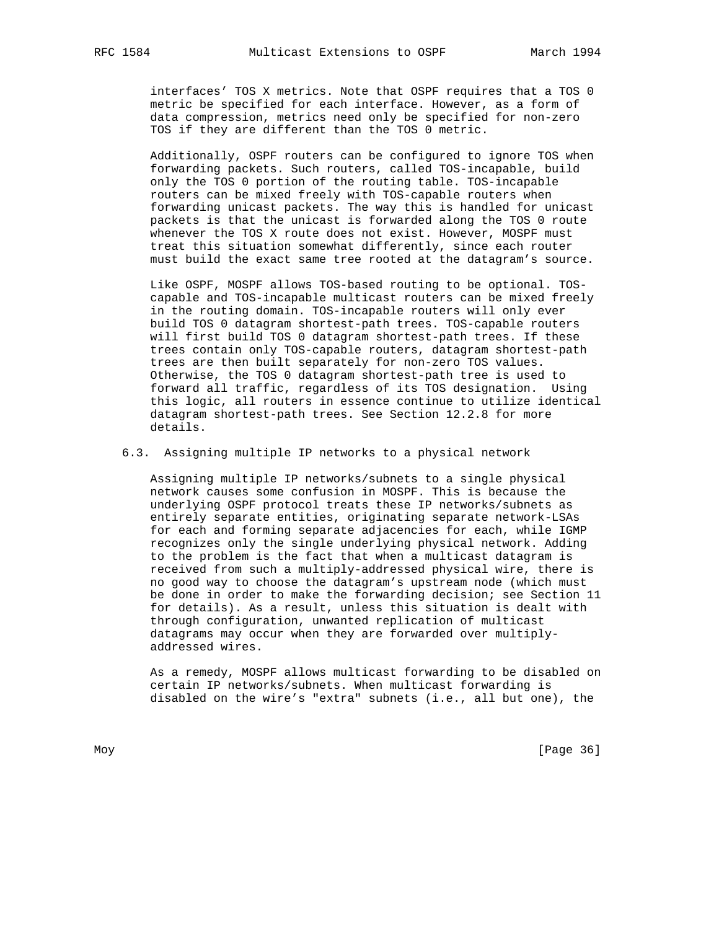interfaces' TOS X metrics. Note that OSPF requires that a TOS 0 metric be specified for each interface. However, as a form of data compression, metrics need only be specified for non-zero TOS if they are different than the TOS 0 metric.

 Additionally, OSPF routers can be configured to ignore TOS when forwarding packets. Such routers, called TOS-incapable, build only the TOS 0 portion of the routing table. TOS-incapable routers can be mixed freely with TOS-capable routers when forwarding unicast packets. The way this is handled for unicast packets is that the unicast is forwarded along the TOS 0 route whenever the TOS X route does not exist. However, MOSPF must treat this situation somewhat differently, since each router must build the exact same tree rooted at the datagram's source.

 Like OSPF, MOSPF allows TOS-based routing to be optional. TOS capable and TOS-incapable multicast routers can be mixed freely in the routing domain. TOS-incapable routers will only ever build TOS 0 datagram shortest-path trees. TOS-capable routers will first build TOS 0 datagram shortest-path trees. If these trees contain only TOS-capable routers, datagram shortest-path trees are then built separately for non-zero TOS values. Otherwise, the TOS 0 datagram shortest-path tree is used to forward all traffic, regardless of its TOS designation. Using this logic, all routers in essence continue to utilize identical datagram shortest-path trees. See Section 12.2.8 for more details.

6.3. Assigning multiple IP networks to a physical network

 Assigning multiple IP networks/subnets to a single physical network causes some confusion in MOSPF. This is because the underlying OSPF protocol treats these IP networks/subnets as entirely separate entities, originating separate network-LSAs for each and forming separate adjacencies for each, while IGMP recognizes only the single underlying physical network. Adding to the problem is the fact that when a multicast datagram is received from such a multiply-addressed physical wire, there is no good way to choose the datagram's upstream node (which must be done in order to make the forwarding decision; see Section 11 for details). As a result, unless this situation is dealt with through configuration, unwanted replication of multicast datagrams may occur when they are forwarded over multiply addressed wires.

 As a remedy, MOSPF allows multicast forwarding to be disabled on certain IP networks/subnets. When multicast forwarding is disabled on the wire's "extra" subnets (i.e., all but one), the

Moy [Page 36]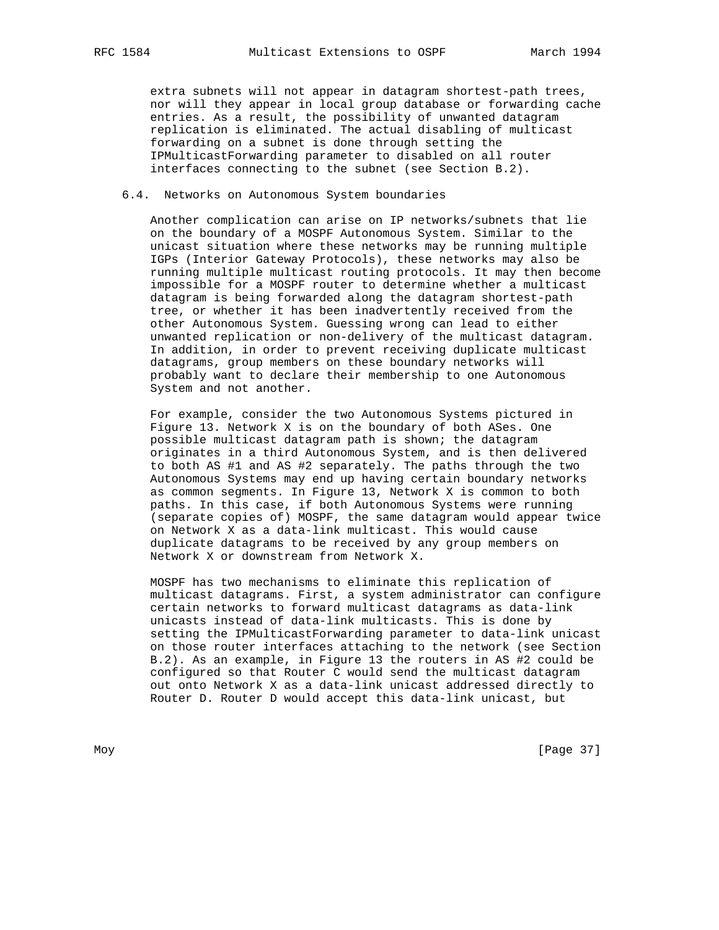extra subnets will not appear in datagram shortest-path trees, nor will they appear in local group database or forwarding cache entries. As a result, the possibility of unwanted datagram replication is eliminated. The actual disabling of multicast forwarding on a subnet is done through setting the IPMulticastForwarding parameter to disabled on all router interfaces connecting to the subnet (see Section B.2).

#### 6.4. Networks on Autonomous System boundaries

 Another complication can arise on IP networks/subnets that lie on the boundary of a MOSPF Autonomous System. Similar to the unicast situation where these networks may be running multiple IGPs (Interior Gateway Protocols), these networks may also be running multiple multicast routing protocols. It may then become impossible for a MOSPF router to determine whether a multicast datagram is being forwarded along the datagram shortest-path tree, or whether it has been inadvertently received from the other Autonomous System. Guessing wrong can lead to either unwanted replication or non-delivery of the multicast datagram. In addition, in order to prevent receiving duplicate multicast datagrams, group members on these boundary networks will probably want to declare their membership to one Autonomous System and not another.

 For example, consider the two Autonomous Systems pictured in Figure 13. Network X is on the boundary of both ASes. One possible multicast datagram path is shown; the datagram originates in a third Autonomous System, and is then delivered to both AS #1 and AS #2 separately. The paths through the two Autonomous Systems may end up having certain boundary networks as common segments. In Figure 13, Network X is common to both paths. In this case, if both Autonomous Systems were running (separate copies of) MOSPF, the same datagram would appear twice on Network X as a data-link multicast. This would cause duplicate datagrams to be received by any group members on Network X or downstream from Network X.

 MOSPF has two mechanisms to eliminate this replication of multicast datagrams. First, a system administrator can configure certain networks to forward multicast datagrams as data-link unicasts instead of data-link multicasts. This is done by setting the IPMulticastForwarding parameter to data-link unicast on those router interfaces attaching to the network (see Section B.2). As an example, in Figure 13 the routers in AS #2 could be configured so that Router C would send the multicast datagram out onto Network X as a data-link unicast addressed directly to Router D. Router D would accept this data-link unicast, but

Moy [Page 37]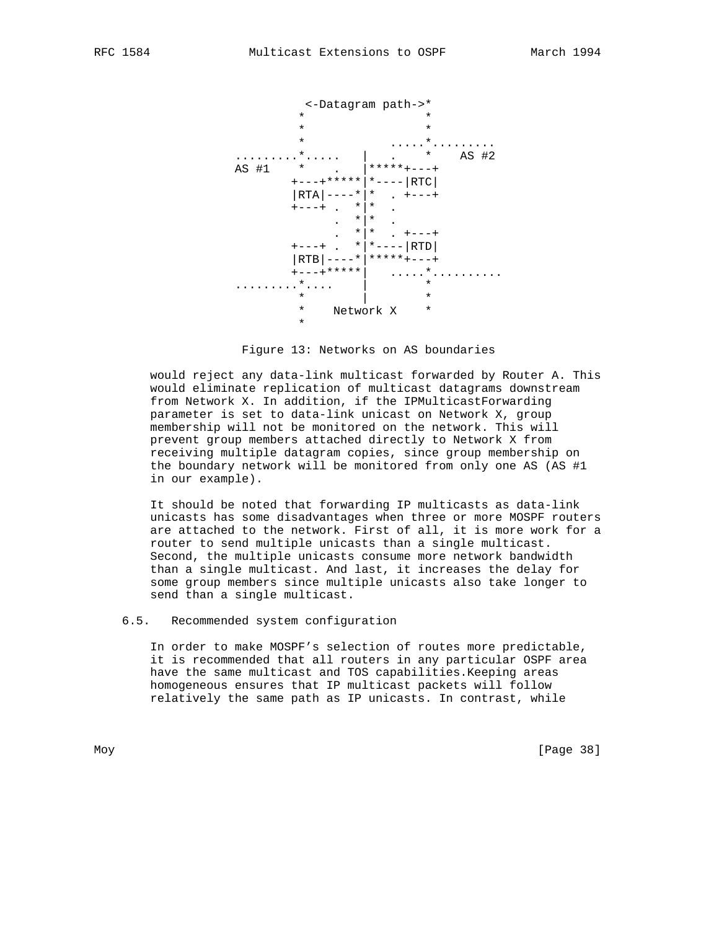



 would reject any data-link multicast forwarded by Router A. This would eliminate replication of multicast datagrams downstream from Network X. In addition, if the IPMulticastForwarding parameter is set to data-link unicast on Network X, group membership will not be monitored on the network. This will prevent group members attached directly to Network X from receiving multiple datagram copies, since group membership on the boundary network will be monitored from only one AS (AS #1 in our example).

 It should be noted that forwarding IP multicasts as data-link unicasts has some disadvantages when three or more MOSPF routers are attached to the network. First of all, it is more work for a router to send multiple unicasts than a single multicast. Second, the multiple unicasts consume more network bandwidth than a single multicast. And last, it increases the delay for some group members since multiple unicasts also take longer to send than a single multicast.

6.5. Recommended system configuration

 In order to make MOSPF's selection of routes more predictable, it is recommended that all routers in any particular OSPF area have the same multicast and TOS capabilities.Keeping areas homogeneous ensures that IP multicast packets will follow relatively the same path as IP unicasts. In contrast, while

Moy [Page 38]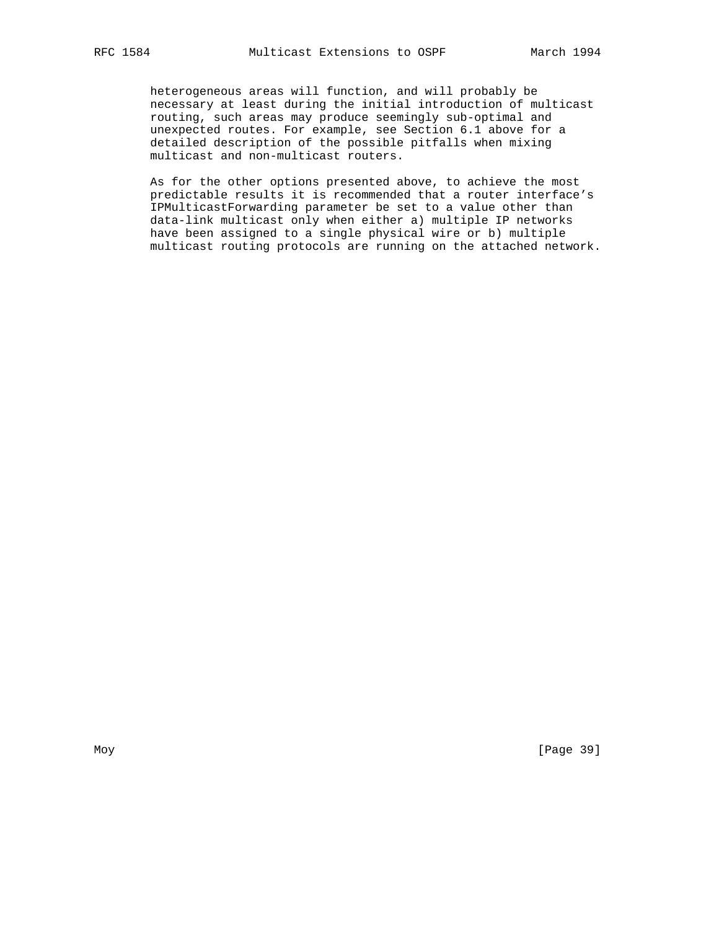heterogeneous areas will function, and will probably be necessary at least during the initial introduction of multicast routing, such areas may produce seemingly sub-optimal and unexpected routes. For example, see Section 6.1 above for a detailed description of the possible pitfalls when mixing multicast and non-multicast routers.

 As for the other options presented above, to achieve the most predictable results it is recommended that a router interface's IPMulticastForwarding parameter be set to a value other than data-link multicast only when either a) multiple IP networks have been assigned to a single physical wire or b) multiple multicast routing protocols are running on the attached network.

Moy [Page 39]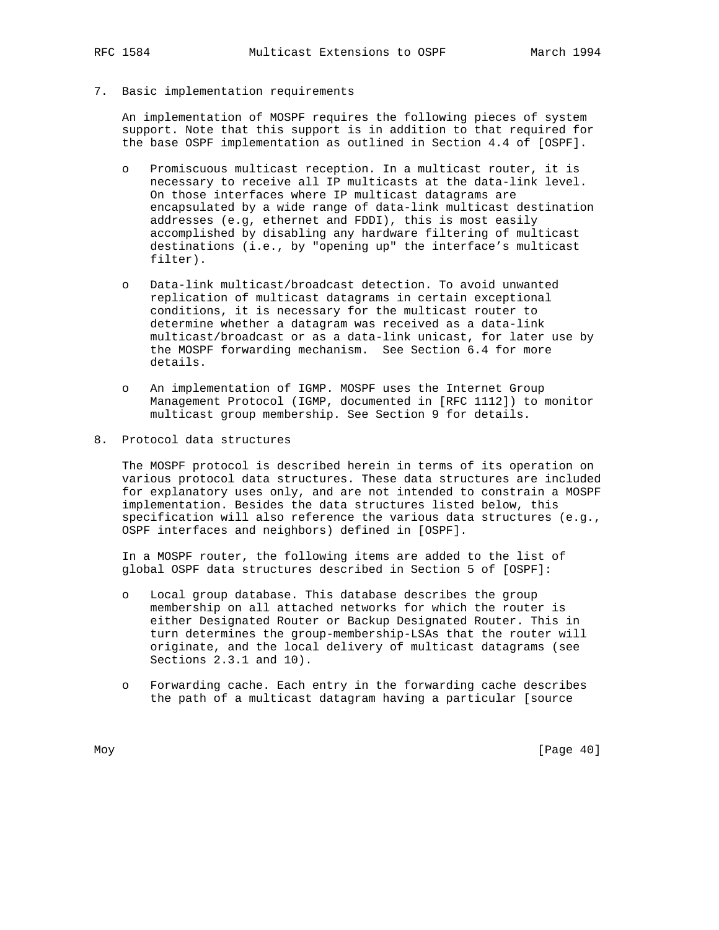7. Basic implementation requirements

 An implementation of MOSPF requires the following pieces of system support. Note that this support is in addition to that required for the base OSPF implementation as outlined in Section 4.4 of [OSPF].

- o Promiscuous multicast reception. In a multicast router, it is necessary to receive all IP multicasts at the data-link level. On those interfaces where IP multicast datagrams are encapsulated by a wide range of data-link multicast destination addresses (e.g, ethernet and FDDI), this is most easily accomplished by disabling any hardware filtering of multicast destinations (i.e., by "opening up" the interface's multicast filter).
- o Data-link multicast/broadcast detection. To avoid unwanted replication of multicast datagrams in certain exceptional conditions, it is necessary for the multicast router to determine whether a datagram was received as a data-link multicast/broadcast or as a data-link unicast, for later use by the MOSPF forwarding mechanism. See Section 6.4 for more details.
- o An implementation of IGMP. MOSPF uses the Internet Group Management Protocol (IGMP, documented in [RFC 1112]) to monitor multicast group membership. See Section 9 for details.
- 8. Protocol data structures

 The MOSPF protocol is described herein in terms of its operation on various protocol data structures. These data structures are included for explanatory uses only, and are not intended to constrain a MOSPF implementation. Besides the data structures listed below, this specification will also reference the various data structures (e.g., OSPF interfaces and neighbors) defined in [OSPF].

 In a MOSPF router, the following items are added to the list of global OSPF data structures described in Section 5 of [OSPF]:

- o Local group database. This database describes the group membership on all attached networks for which the router is either Designated Router or Backup Designated Router. This in turn determines the group-membership-LSAs that the router will originate, and the local delivery of multicast datagrams (see Sections 2.3.1 and 10).
- o Forwarding cache. Each entry in the forwarding cache describes the path of a multicast datagram having a particular [source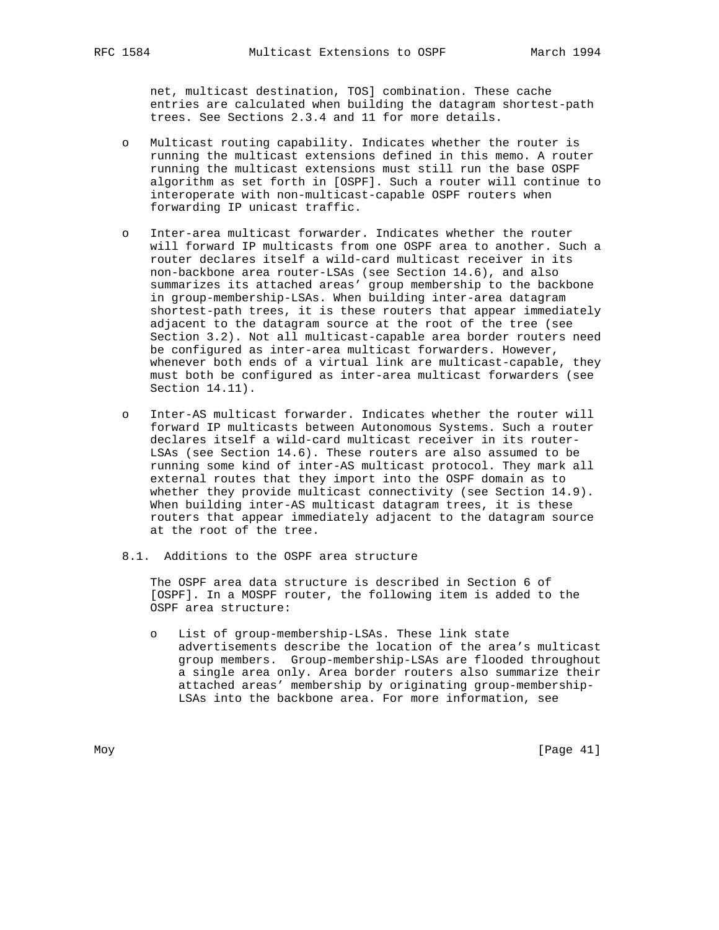net, multicast destination, TOS] combination. These cache entries are calculated when building the datagram shortest-path trees. See Sections 2.3.4 and 11 for more details.

- o Multicast routing capability. Indicates whether the router is running the multicast extensions defined in this memo. A router running the multicast extensions must still run the base OSPF algorithm as set forth in [OSPF]. Such a router will continue to interoperate with non-multicast-capable OSPF routers when forwarding IP unicast traffic.
- o Inter-area multicast forwarder. Indicates whether the router will forward IP multicasts from one OSPF area to another. Such a router declares itself a wild-card multicast receiver in its non-backbone area router-LSAs (see Section 14.6), and also summarizes its attached areas' group membership to the backbone in group-membership-LSAs. When building inter-area datagram shortest-path trees, it is these routers that appear immediately adjacent to the datagram source at the root of the tree (see Section 3.2). Not all multicast-capable area border routers need be configured as inter-area multicast forwarders. However, whenever both ends of a virtual link are multicast-capable, they must both be configured as inter-area multicast forwarders (see Section 14.11).
- o Inter-AS multicast forwarder. Indicates whether the router will forward IP multicasts between Autonomous Systems. Such a router declares itself a wild-card multicast receiver in its router- LSAs (see Section 14.6). These routers are also assumed to be running some kind of inter-AS multicast protocol. They mark all external routes that they import into the OSPF domain as to whether they provide multicast connectivity (see Section 14.9). When building inter-AS multicast datagram trees, it is these routers that appear immediately adjacent to the datagram source at the root of the tree.
- 8.1. Additions to the OSPF area structure

 The OSPF area data structure is described in Section 6 of [OSPF]. In a MOSPF router, the following item is added to the OSPF area structure:

 o List of group-membership-LSAs. These link state advertisements describe the location of the area's multicast group members. Group-membership-LSAs are flooded throughout a single area only. Area border routers also summarize their attached areas' membership by originating group-membership- LSAs into the backbone area. For more information, see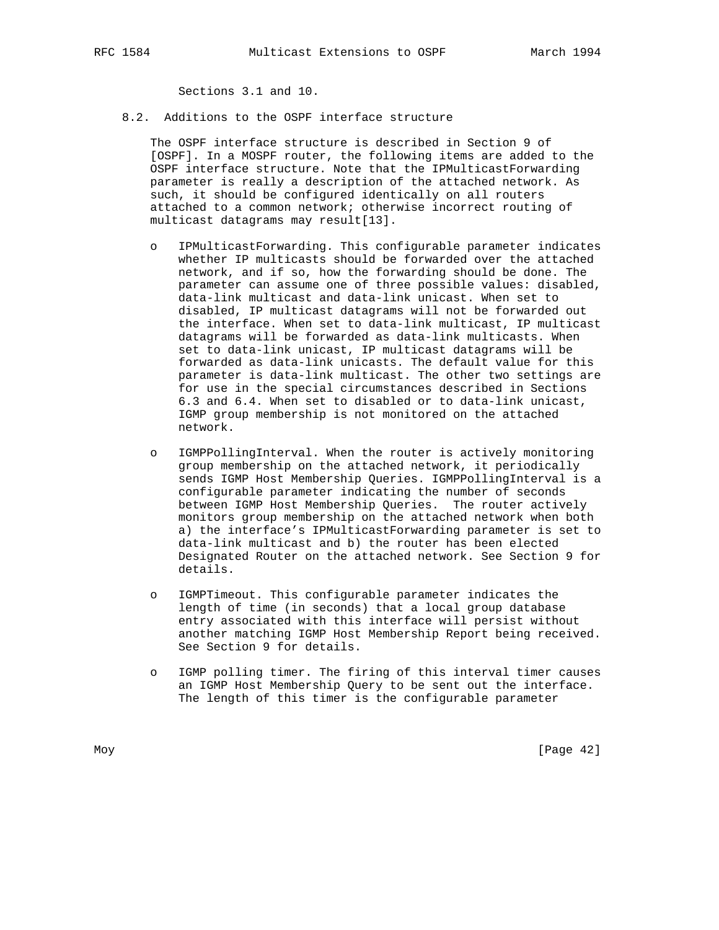Sections 3.1 and 10.

8.2. Additions to the OSPF interface structure

 The OSPF interface structure is described in Section 9 of [OSPF]. In a MOSPF router, the following items are added to the OSPF interface structure. Note that the IPMulticastForwarding parameter is really a description of the attached network. As such, it should be configured identically on all routers attached to a common network; otherwise incorrect routing of multicast datagrams may result[13].

- o IPMulticastForwarding. This configurable parameter indicates whether IP multicasts should be forwarded over the attached network, and if so, how the forwarding should be done. The parameter can assume one of three possible values: disabled, data-link multicast and data-link unicast. When set to disabled, IP multicast datagrams will not be forwarded out the interface. When set to data-link multicast, IP multicast datagrams will be forwarded as data-link multicasts. When set to data-link unicast, IP multicast datagrams will be forwarded as data-link unicasts. The default value for this parameter is data-link multicast. The other two settings are for use in the special circumstances described in Sections 6.3 and 6.4. When set to disabled or to data-link unicast, IGMP group membership is not monitored on the attached network.
- o IGMPPollingInterval. When the router is actively monitoring group membership on the attached network, it periodically sends IGMP Host Membership Queries. IGMPPollingInterval is a configurable parameter indicating the number of seconds between IGMP Host Membership Queries. The router actively monitors group membership on the attached network when both a) the interface's IPMulticastForwarding parameter is set to data-link multicast and b) the router has been elected Designated Router on the attached network. See Section 9 for details.
- o IGMPTimeout. This configurable parameter indicates the length of time (in seconds) that a local group database entry associated with this interface will persist without another matching IGMP Host Membership Report being received. See Section 9 for details.
- o IGMP polling timer. The firing of this interval timer causes an IGMP Host Membership Query to be sent out the interface. The length of this timer is the configurable parameter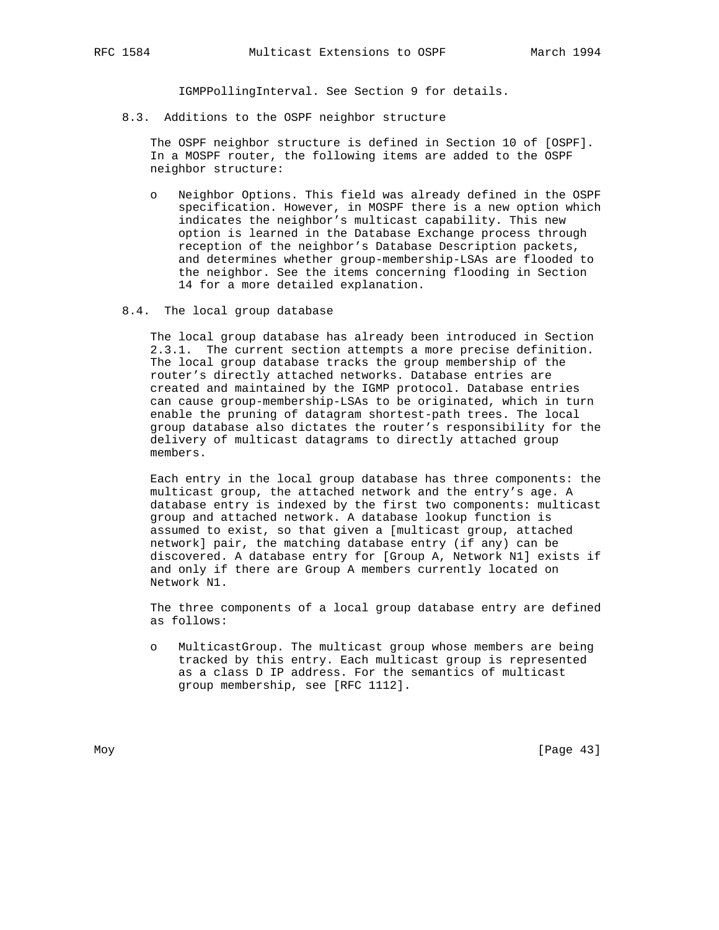IGMPPollingInterval. See Section 9 for details.

8.3. Additions to the OSPF neighbor structure

 The OSPF neighbor structure is defined in Section 10 of [OSPF]. In a MOSPF router, the following items are added to the OSPF neighbor structure:

- o Neighbor Options. This field was already defined in the OSPF specification. However, in MOSPF there is a new option which indicates the neighbor's multicast capability. This new option is learned in the Database Exchange process through reception of the neighbor's Database Description packets, and determines whether group-membership-LSAs are flooded to the neighbor. See the items concerning flooding in Section 14 for a more detailed explanation.
- 8.4. The local group database

 The local group database has already been introduced in Section 2.3.1. The current section attempts a more precise definition. The local group database tracks the group membership of the router's directly attached networks. Database entries are created and maintained by the IGMP protocol. Database entries can cause group-membership-LSAs to be originated, which in turn enable the pruning of datagram shortest-path trees. The local group database also dictates the router's responsibility for the delivery of multicast datagrams to directly attached group members.

 Each entry in the local group database has three components: the multicast group, the attached network and the entry's age. A database entry is indexed by the first two components: multicast group and attached network. A database lookup function is assumed to exist, so that given a [multicast group, attached network] pair, the matching database entry (if any) can be discovered. A database entry for [Group A, Network N1] exists if and only if there are Group A members currently located on Network N1.

 The three components of a local group database entry are defined as follows:

 o MulticastGroup. The multicast group whose members are being tracked by this entry. Each multicast group is represented as a class D IP address. For the semantics of multicast group membership, see [RFC 1112].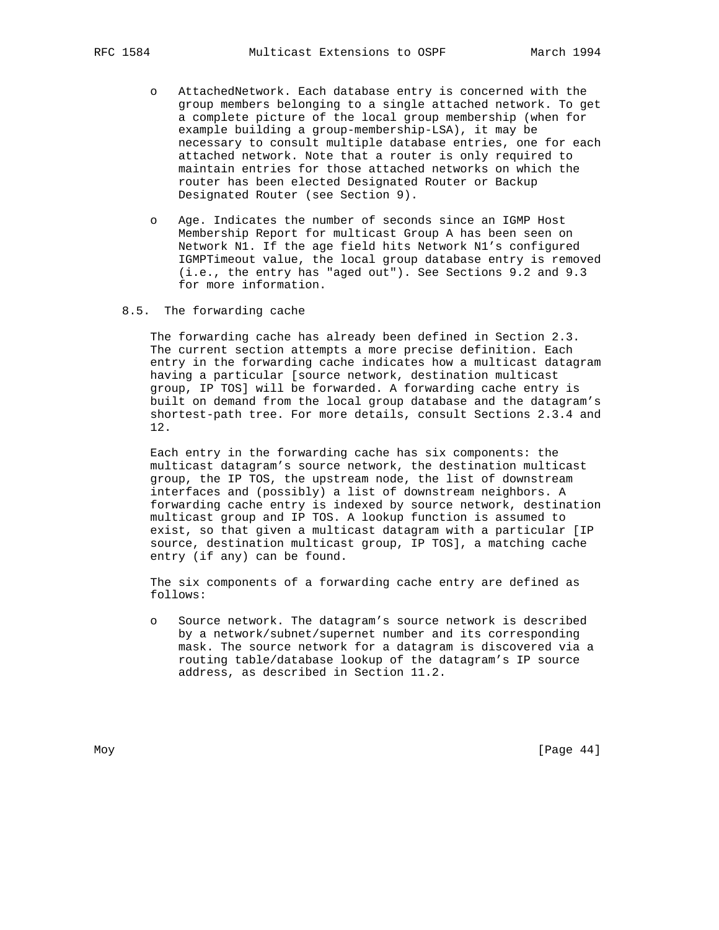- o AttachedNetwork. Each database entry is concerned with the group members belonging to a single attached network. To get a complete picture of the local group membership (when for example building a group-membership-LSA), it may be necessary to consult multiple database entries, one for each attached network. Note that a router is only required to maintain entries for those attached networks on which the router has been elected Designated Router or Backup Designated Router (see Section 9).
- o Age. Indicates the number of seconds since an IGMP Host Membership Report for multicast Group A has been seen on Network N1. If the age field hits Network N1's configured IGMPTimeout value, the local group database entry is removed (i.e., the entry has "aged out"). See Sections 9.2 and 9.3 for more information.
- 8.5. The forwarding cache

 The forwarding cache has already been defined in Section 2.3. The current section attempts a more precise definition. Each entry in the forwarding cache indicates how a multicast datagram having a particular [source network, destination multicast group, IP TOS] will be forwarded. A forwarding cache entry is built on demand from the local group database and the datagram's shortest-path tree. For more details, consult Sections 2.3.4 and 12.

 Each entry in the forwarding cache has six components: the multicast datagram's source network, the destination multicast group, the IP TOS, the upstream node, the list of downstream interfaces and (possibly) a list of downstream neighbors. A forwarding cache entry is indexed by source network, destination multicast group and IP TOS. A lookup function is assumed to exist, so that given a multicast datagram with a particular [IP source, destination multicast group, IP TOS], a matching cache entry (if any) can be found.

 The six components of a forwarding cache entry are defined as follows:

 o Source network. The datagram's source network is described by a network/subnet/supernet number and its corresponding mask. The source network for a datagram is discovered via a routing table/database lookup of the datagram's IP source address, as described in Section 11.2.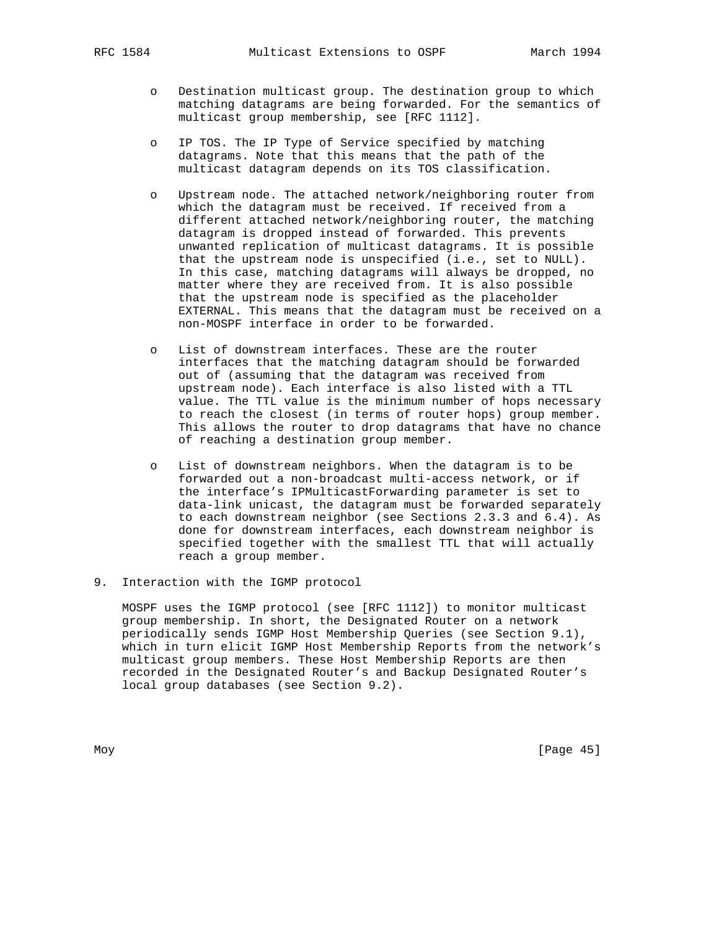- o Destination multicast group. The destination group to which matching datagrams are being forwarded. For the semantics of multicast group membership, see [RFC 1112].
- o IP TOS. The IP Type of Service specified by matching datagrams. Note that this means that the path of the multicast datagram depends on its TOS classification.
- o Upstream node. The attached network/neighboring router from which the datagram must be received. If received from a different attached network/neighboring router, the matching datagram is dropped instead of forwarded. This prevents unwanted replication of multicast datagrams. It is possible that the upstream node is unspecified (i.e., set to NULL). In this case, matching datagrams will always be dropped, no matter where they are received from. It is also possible that the upstream node is specified as the placeholder EXTERNAL. This means that the datagram must be received on a non-MOSPF interface in order to be forwarded.
- o List of downstream interfaces. These are the router interfaces that the matching datagram should be forwarded out of (assuming that the datagram was received from upstream node). Each interface is also listed with a TTL value. The TTL value is the minimum number of hops necessary to reach the closest (in terms of router hops) group member. This allows the router to drop datagrams that have no chance of reaching a destination group member.
- o List of downstream neighbors. When the datagram is to be forwarded out a non-broadcast multi-access network, or if the interface's IPMulticastForwarding parameter is set to data-link unicast, the datagram must be forwarded separately to each downstream neighbor (see Sections 2.3.3 and 6.4). As done for downstream interfaces, each downstream neighbor is specified together with the smallest TTL that will actually reach a group member.
- 9. Interaction with the IGMP protocol

 MOSPF uses the IGMP protocol (see [RFC 1112]) to monitor multicast group membership. In short, the Designated Router on a network periodically sends IGMP Host Membership Queries (see Section 9.1), which in turn elicit IGMP Host Membership Reports from the network's multicast group members. These Host Membership Reports are then recorded in the Designated Router's and Backup Designated Router's local group databases (see Section 9.2).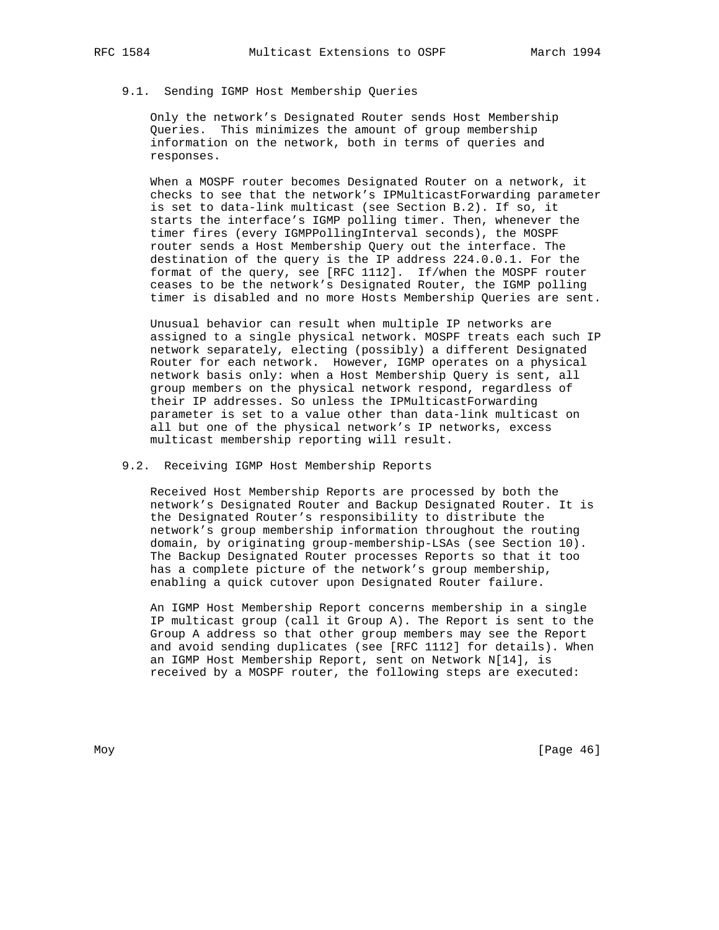# 9.1. Sending IGMP Host Membership Queries

 Only the network's Designated Router sends Host Membership Queries. This minimizes the amount of group membership information on the network, both in terms of queries and responses.

 When a MOSPF router becomes Designated Router on a network, it checks to see that the network's IPMulticastForwarding parameter is set to data-link multicast (see Section B.2). If so, it starts the interface's IGMP polling timer. Then, whenever the timer fires (every IGMPPollingInterval seconds), the MOSPF router sends a Host Membership Query out the interface. The destination of the query is the IP address 224.0.0.1. For the format of the query, see [RFC 1112]. If/when the MOSPF router ceases to be the network's Designated Router, the IGMP polling timer is disabled and no more Hosts Membership Queries are sent.

 Unusual behavior can result when multiple IP networks are assigned to a single physical network. MOSPF treats each such IP network separately, electing (possibly) a different Designated Router for each network. However, IGMP operates on a physical network basis only: when a Host Membership Query is sent, all group members on the physical network respond, regardless of their IP addresses. So unless the IPMulticastForwarding parameter is set to a value other than data-link multicast on all but one of the physical network's IP networks, excess multicast membership reporting will result.

9.2. Receiving IGMP Host Membership Reports

 Received Host Membership Reports are processed by both the network's Designated Router and Backup Designated Router. It is the Designated Router's responsibility to distribute the network's group membership information throughout the routing domain, by originating group-membership-LSAs (see Section 10). The Backup Designated Router processes Reports so that it too has a complete picture of the network's group membership, enabling a quick cutover upon Designated Router failure.

 An IGMP Host Membership Report concerns membership in a single IP multicast group (call it Group A). The Report is sent to the Group A address so that other group members may see the Report and avoid sending duplicates (see [RFC 1112] for details). When an IGMP Host Membership Report, sent on Network N[14], is received by a MOSPF router, the following steps are executed: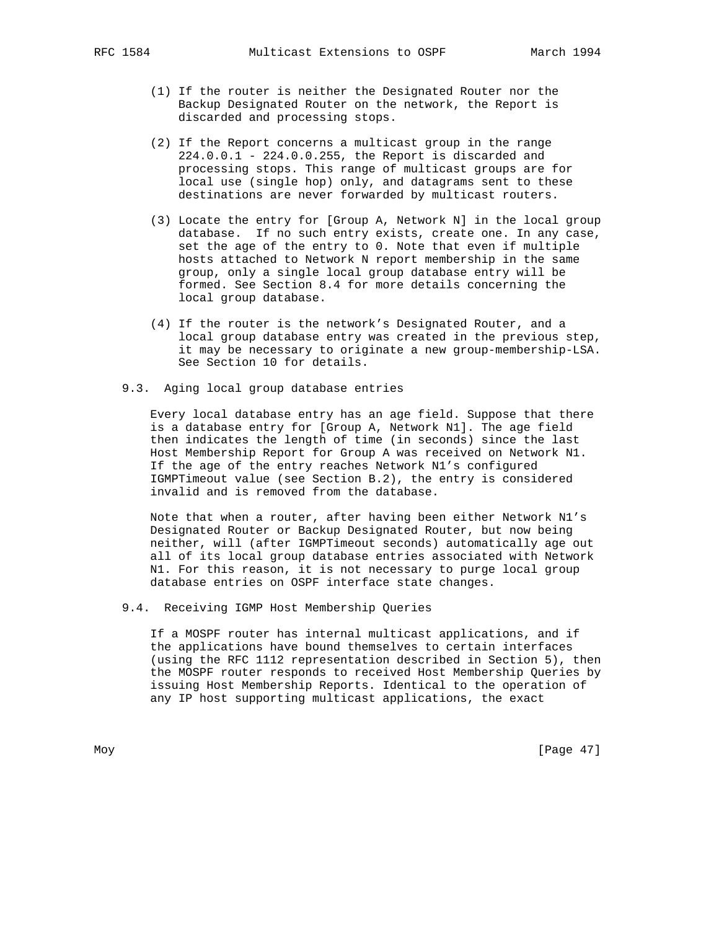- (1) If the router is neither the Designated Router nor the Backup Designated Router on the network, the Report is discarded and processing stops.
- (2) If the Report concerns a multicast group in the range 224.0.0.1 - 224.0.0.255, the Report is discarded and processing stops. This range of multicast groups are for local use (single hop) only, and datagrams sent to these destinations are never forwarded by multicast routers.
- (3) Locate the entry for [Group A, Network N] in the local group database. If no such entry exists, create one. In any case, set the age of the entry to 0. Note that even if multiple hosts attached to Network N report membership in the same group, only a single local group database entry will be formed. See Section 8.4 for more details concerning the local group database.
- (4) If the router is the network's Designated Router, and a local group database entry was created in the previous step, it may be necessary to originate a new group-membership-LSA. See Section 10 for details.
- 9.3. Aging local group database entries

 Every local database entry has an age field. Suppose that there is a database entry for [Group A, Network N1]. The age field then indicates the length of time (in seconds) since the last Host Membership Report for Group A was received on Network N1. If the age of the entry reaches Network N1's configured IGMPTimeout value (see Section B.2), the entry is considered invalid and is removed from the database.

 Note that when a router, after having been either Network N1's Designated Router or Backup Designated Router, but now being neither, will (after IGMPTimeout seconds) automatically age out all of its local group database entries associated with Network N1. For this reason, it is not necessary to purge local group database entries on OSPF interface state changes.

9.4. Receiving IGMP Host Membership Queries

 If a MOSPF router has internal multicast applications, and if the applications have bound themselves to certain interfaces (using the RFC 1112 representation described in Section 5), then the MOSPF router responds to received Host Membership Queries by issuing Host Membership Reports. Identical to the operation of any IP host supporting multicast applications, the exact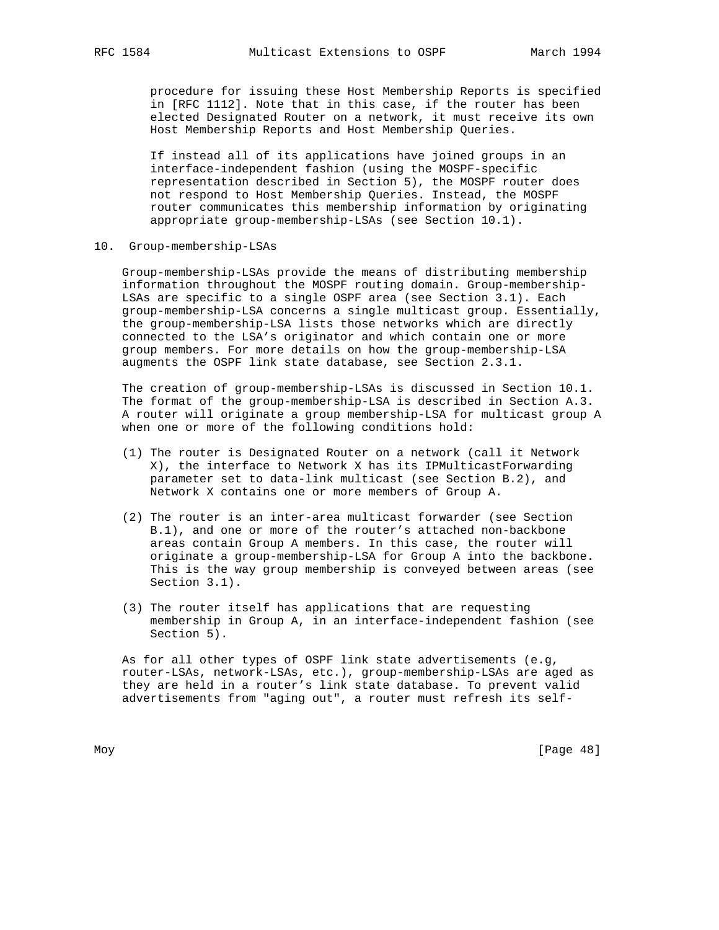procedure for issuing these Host Membership Reports is specified in [RFC 1112]. Note that in this case, if the router has been elected Designated Router on a network, it must receive its own Host Membership Reports and Host Membership Queries.

 If instead all of its applications have joined groups in an interface-independent fashion (using the MOSPF-specific representation described in Section 5), the MOSPF router does not respond to Host Membership Queries. Instead, the MOSPF router communicates this membership information by originating appropriate group-membership-LSAs (see Section 10.1).

10. Group-membership-LSAs

 Group-membership-LSAs provide the means of distributing membership information throughout the MOSPF routing domain. Group-membership- LSAs are specific to a single OSPF area (see Section 3.1). Each group-membership-LSA concerns a single multicast group. Essentially, the group-membership-LSA lists those networks which are directly connected to the LSA's originator and which contain one or more group members. For more details on how the group-membership-LSA augments the OSPF link state database, see Section 2.3.1.

 The creation of group-membership-LSAs is discussed in Section 10.1. The format of the group-membership-LSA is described in Section A.3. A router will originate a group membership-LSA for multicast group A when one or more of the following conditions hold:

- (1) The router is Designated Router on a network (call it Network X), the interface to Network X has its IPMulticastForwarding parameter set to data-link multicast (see Section B.2), and Network X contains one or more members of Group A.
- (2) The router is an inter-area multicast forwarder (see Section B.1), and one or more of the router's attached non-backbone areas contain Group A members. In this case, the router will originate a group-membership-LSA for Group A into the backbone. This is the way group membership is conveyed between areas (see Section 3.1).
- (3) The router itself has applications that are requesting membership in Group A, in an interface-independent fashion (see Section 5).

 As for all other types of OSPF link state advertisements (e.g, router-LSAs, network-LSAs, etc.), group-membership-LSAs are aged as they are held in a router's link state database. To prevent valid advertisements from "aging out", a router must refresh its self-

Moy [Page 48]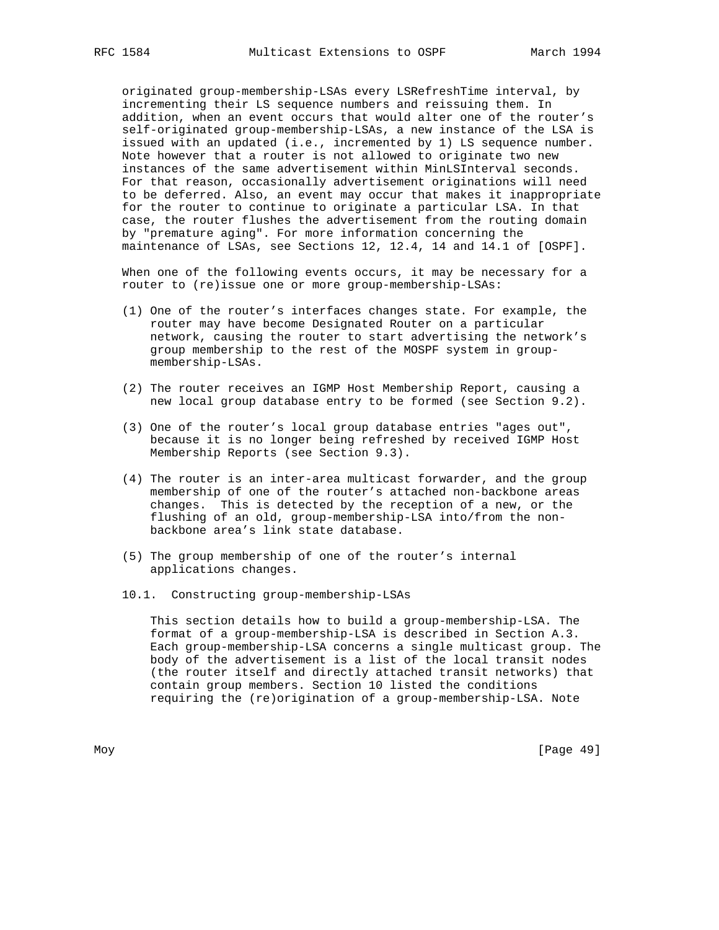originated group-membership-LSAs every LSRefreshTime interval, by incrementing their LS sequence numbers and reissuing them. In addition, when an event occurs that would alter one of the router's self-originated group-membership-LSAs, a new instance of the LSA is issued with an updated (i.e., incremented by 1) LS sequence number. Note however that a router is not allowed to originate two new instances of the same advertisement within MinLSInterval seconds. For that reason, occasionally advertisement originations will need to be deferred. Also, an event may occur that makes it inappropriate for the router to continue to originate a particular LSA. In that case, the router flushes the advertisement from the routing domain by "premature aging". For more information concerning the maintenance of LSAs, see Sections 12, 12.4, 14 and 14.1 of [OSPF].

 When one of the following events occurs, it may be necessary for a router to (re)issue one or more group-membership-LSAs:

- (1) One of the router's interfaces changes state. For example, the router may have become Designated Router on a particular network, causing the router to start advertising the network's group membership to the rest of the MOSPF system in group membership-LSAs.
- (2) The router receives an IGMP Host Membership Report, causing a new local group database entry to be formed (see Section 9.2).
- (3) One of the router's local group database entries "ages out", because it is no longer being refreshed by received IGMP Host Membership Reports (see Section 9.3).
- (4) The router is an inter-area multicast forwarder, and the group membership of one of the router's attached non-backbone areas changes. This is detected by the reception of a new, or the flushing of an old, group-membership-LSA into/from the non backbone area's link state database.
- (5) The group membership of one of the router's internal applications changes.
- 10.1. Constructing group-membership-LSAs

 This section details how to build a group-membership-LSA. The format of a group-membership-LSA is described in Section A.3. Each group-membership-LSA concerns a single multicast group. The body of the advertisement is a list of the local transit nodes (the router itself and directly attached transit networks) that contain group members. Section 10 listed the conditions requiring the (re)origination of a group-membership-LSA. Note

Moy [Page 49]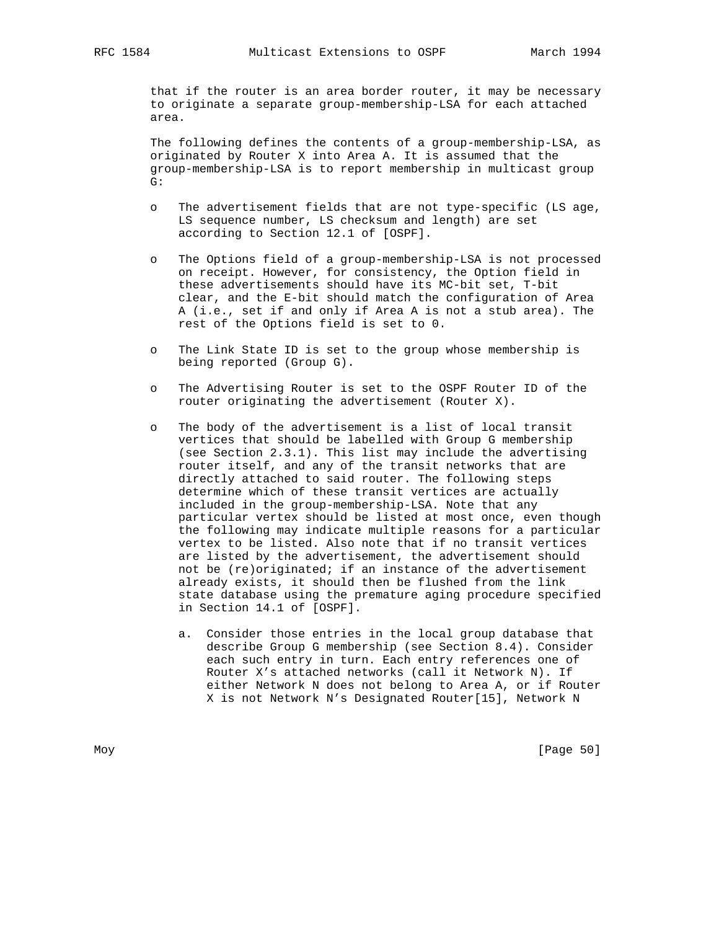that if the router is an area border router, it may be necessary to originate a separate group-membership-LSA for each attached area.

 The following defines the contents of a group-membership-LSA, as originated by Router X into Area A. It is assumed that the group-membership-LSA is to report membership in multicast group G:

- o The advertisement fields that are not type-specific (LS age, LS sequence number, LS checksum and length) are set according to Section 12.1 of [OSPF].
- o The Options field of a group-membership-LSA is not processed on receipt. However, for consistency, the Option field in these advertisements should have its MC-bit set, T-bit clear, and the E-bit should match the configuration of Area A (i.e., set if and only if Area A is not a stub area). The rest of the Options field is set to 0.
- o The Link State ID is set to the group whose membership is being reported (Group G).
- o The Advertising Router is set to the OSPF Router ID of the router originating the advertisement (Router X).
- o The body of the advertisement is a list of local transit vertices that should be labelled with Group G membership (see Section 2.3.1). This list may include the advertising router itself, and any of the transit networks that are directly attached to said router. The following steps determine which of these transit vertices are actually included in the group-membership-LSA. Note that any particular vertex should be listed at most once, even though the following may indicate multiple reasons for a particular vertex to be listed. Also note that if no transit vertices are listed by the advertisement, the advertisement should not be (re)originated; if an instance of the advertisement already exists, it should then be flushed from the link state database using the premature aging procedure specified in Section 14.1 of [OSPF].
	- a. Consider those entries in the local group database that describe Group G membership (see Section 8.4). Consider each such entry in turn. Each entry references one of Router X's attached networks (call it Network N). If either Network N does not belong to Area A, or if Router X is not Network N's Designated Router[15], Network N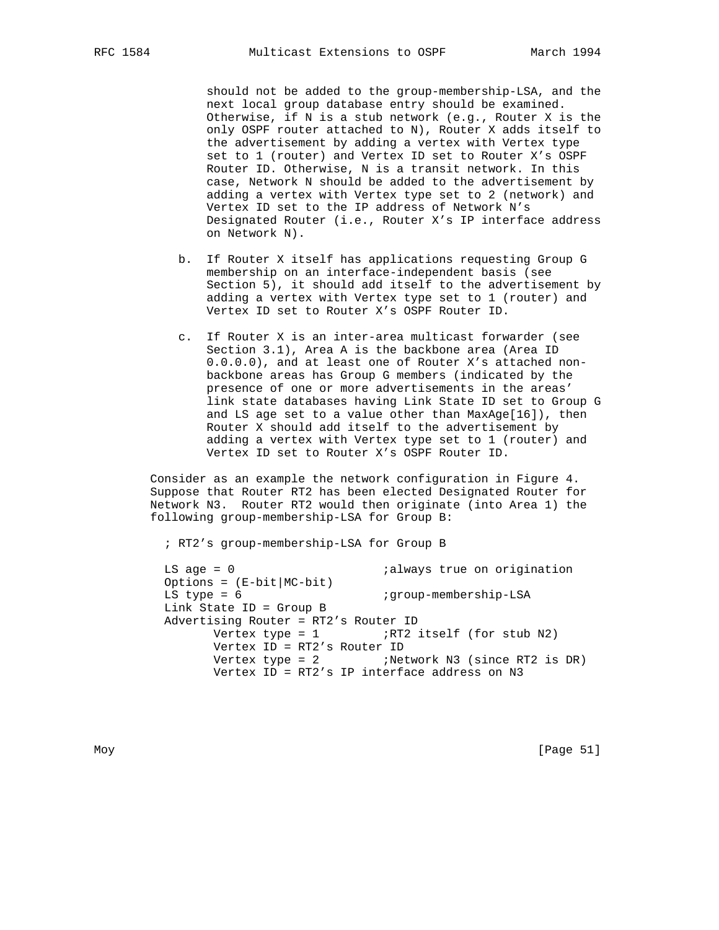should not be added to the group-membership-LSA, and the next local group database entry should be examined. Otherwise, if N is a stub network (e.g., Router X is the only OSPF router attached to N), Router X adds itself to the advertisement by adding a vertex with Vertex type set to 1 (router) and Vertex ID set to Router X's OSPF Router ID. Otherwise, N is a transit network. In this case, Network N should be added to the advertisement by adding a vertex with Vertex type set to 2 (network) and Vertex ID set to the IP address of Network N's Designated Router (i.e., Router X's IP interface address on Network N).

- b. If Router X itself has applications requesting Group G membership on an interface-independent basis (see Section 5), it should add itself to the advertisement by adding a vertex with Vertex type set to 1 (router) and Vertex ID set to Router X's OSPF Router ID.
- c. If Router X is an inter-area multicast forwarder (see Section 3.1), Area A is the backbone area (Area ID 0.0.0.0), and at least one of Router X's attached non backbone areas has Group G members (indicated by the presence of one or more advertisements in the areas' link state databases having Link State ID set to Group G and LS age set to a value other than MaxAge[16]), then Router X should add itself to the advertisement by adding a vertex with Vertex type set to 1 (router) and Vertex ID set to Router X's OSPF Router ID.

 Consider as an example the network configuration in Figure 4. Suppose that Router RT2 has been elected Designated Router for Network N3. Router RT2 would then originate (into Area 1) the following group-membership-LSA for Group B:

; RT2's group-membership-LSA for Group B

LS age = 0  $\qquad \qquad$  ; always true on origination Options = (E-bit|MC-bit) LS type = 6  $i$ group-membership-LSA Link State ID = Group B Advertising Router = RT2's Router ID Vertex type =  $1$  ;RT2 itself (for stub N2) Vertex ID = RT2's Router ID Vertex type =  $2$  ; Network N3 (since RT2 is DR) Vertex ID = RT2's IP interface address on N3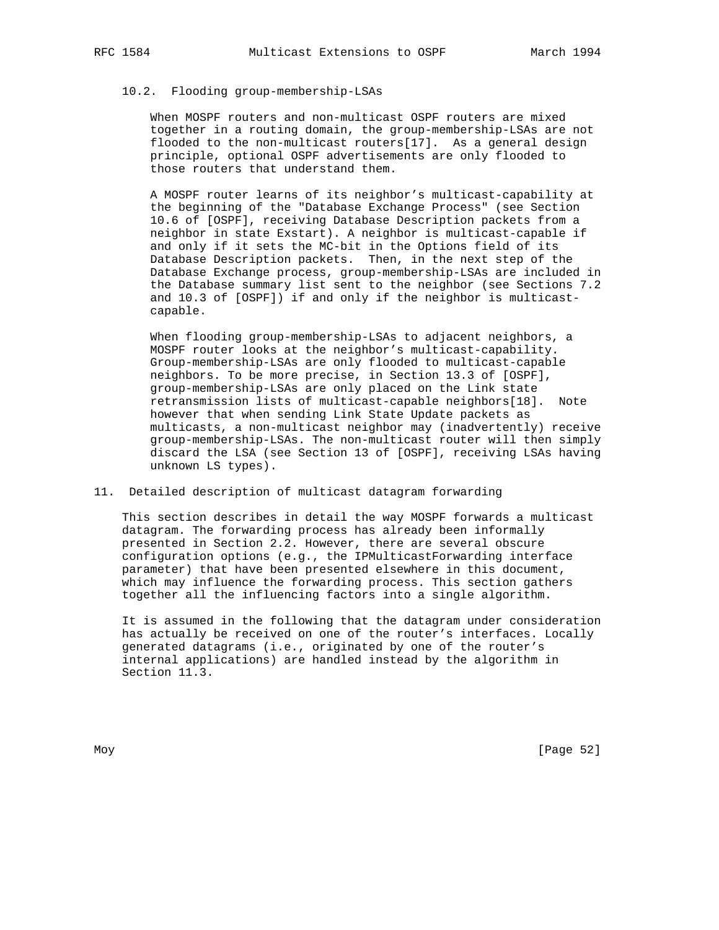# 10.2. Flooding group-membership-LSAs

 When MOSPF routers and non-multicast OSPF routers are mixed together in a routing domain, the group-membership-LSAs are not flooded to the non-multicast routers[17]. As a general design principle, optional OSPF advertisements are only flooded to those routers that understand them.

 A MOSPF router learns of its neighbor's multicast-capability at the beginning of the "Database Exchange Process" (see Section 10.6 of [OSPF], receiving Database Description packets from a neighbor in state Exstart). A neighbor is multicast-capable if and only if it sets the MC-bit in the Options field of its Database Description packets. Then, in the next step of the Database Exchange process, group-membership-LSAs are included in the Database summary list sent to the neighbor (see Sections 7.2 and 10.3 of [OSPF]) if and only if the neighbor is multicast capable.

 When flooding group-membership-LSAs to adjacent neighbors, a MOSPF router looks at the neighbor's multicast-capability. Group-membership-LSAs are only flooded to multicast-capable neighbors. To be more precise, in Section 13.3 of [OSPF], group-membership-LSAs are only placed on the Link state retransmission lists of multicast-capable neighbors[18]. Note however that when sending Link State Update packets as multicasts, a non-multicast neighbor may (inadvertently) receive group-membership-LSAs. The non-multicast router will then simply discard the LSA (see Section 13 of [OSPF], receiving LSAs having unknown LS types).

### 11. Detailed description of multicast datagram forwarding

 This section describes in detail the way MOSPF forwards a multicast datagram. The forwarding process has already been informally presented in Section 2.2. However, there are several obscure configuration options (e.g., the IPMulticastForwarding interface parameter) that have been presented elsewhere in this document, which may influence the forwarding process. This section gathers together all the influencing factors into a single algorithm.

 It is assumed in the following that the datagram under consideration has actually be received on one of the router's interfaces. Locally generated datagrams (i.e., originated by one of the router's internal applications) are handled instead by the algorithm in Section 11.3.

Moy [Page 52]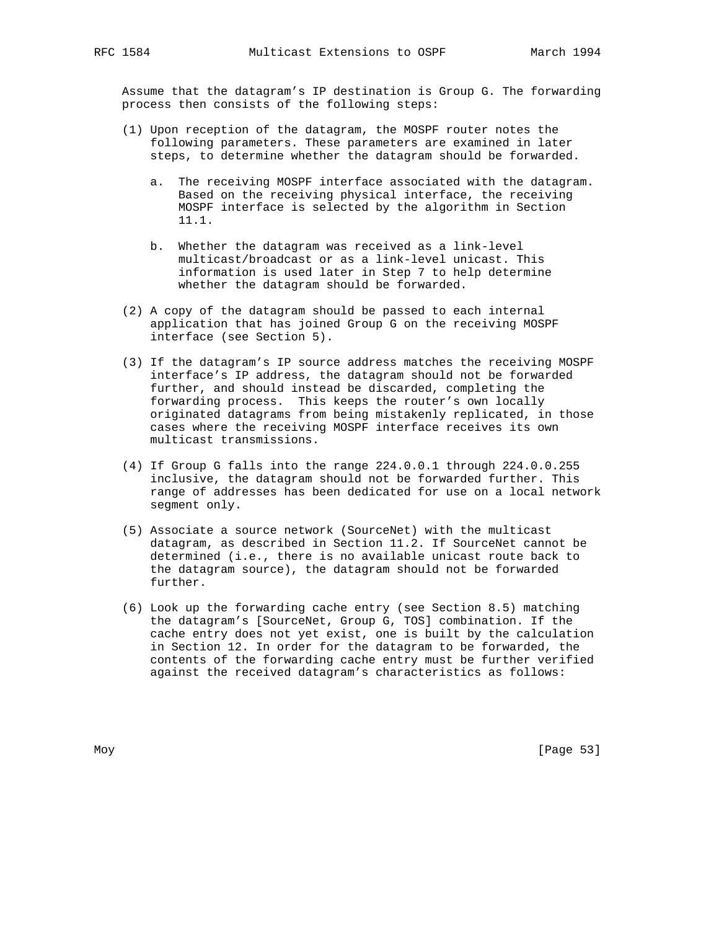Assume that the datagram's IP destination is Group G. The forwarding process then consists of the following steps:

- (1) Upon reception of the datagram, the MOSPF router notes the following parameters. These parameters are examined in later steps, to determine whether the datagram should be forwarded.
	- a. The receiving MOSPF interface associated with the datagram. Based on the receiving physical interface, the receiving MOSPF interface is selected by the algorithm in Section 11.1.
	- b. Whether the datagram was received as a link-level multicast/broadcast or as a link-level unicast. This information is used later in Step 7 to help determine whether the datagram should be forwarded.
- (2) A copy of the datagram should be passed to each internal application that has joined Group G on the receiving MOSPF interface (see Section 5).
- (3) If the datagram's IP source address matches the receiving MOSPF interface's IP address, the datagram should not be forwarded further, and should instead be discarded, completing the forwarding process. This keeps the router's own locally originated datagrams from being mistakenly replicated, in those cases where the receiving MOSPF interface receives its own multicast transmissions.
- (4) If Group G falls into the range 224.0.0.1 through 224.0.0.255 inclusive, the datagram should not be forwarded further. This range of addresses has been dedicated for use on a local network segment only.
- (5) Associate a source network (SourceNet) with the multicast datagram, as described in Section 11.2. If SourceNet cannot be determined (i.e., there is no available unicast route back to the datagram source), the datagram should not be forwarded further.
- (6) Look up the forwarding cache entry (see Section 8.5) matching the datagram's [SourceNet, Group G, TOS] combination. If the cache entry does not yet exist, one is built by the calculation in Section 12. In order for the datagram to be forwarded, the contents of the forwarding cache entry must be further verified against the received datagram's characteristics as follows: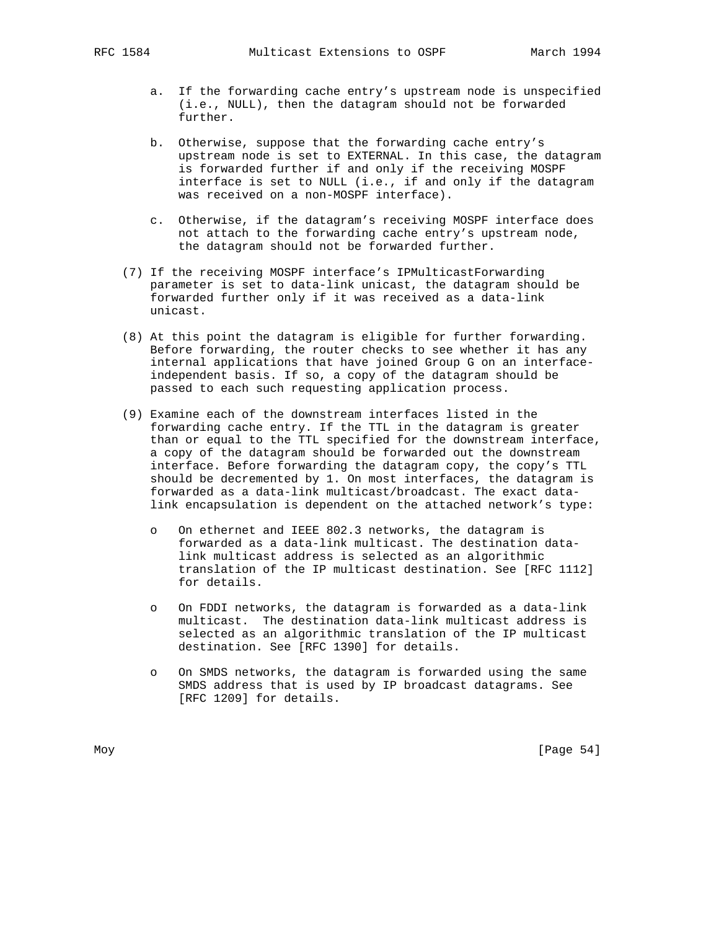- a. If the forwarding cache entry's upstream node is unspecified (i.e., NULL), then the datagram should not be forwarded further.
- b. Otherwise, suppose that the forwarding cache entry's upstream node is set to EXTERNAL. In this case, the datagram is forwarded further if and only if the receiving MOSPF interface is set to NULL (i.e., if and only if the datagram was received on a non-MOSPF interface).
- c. Otherwise, if the datagram's receiving MOSPF interface does not attach to the forwarding cache entry's upstream node, the datagram should not be forwarded further.
- (7) If the receiving MOSPF interface's IPMulticastForwarding parameter is set to data-link unicast, the datagram should be forwarded further only if it was received as a data-link unicast.
- (8) At this point the datagram is eligible for further forwarding. Before forwarding, the router checks to see whether it has any internal applications that have joined Group G on an interface independent basis. If so, a copy of the datagram should be passed to each such requesting application process.
- (9) Examine each of the downstream interfaces listed in the forwarding cache entry. If the TTL in the datagram is greater than or equal to the TTL specified for the downstream interface, a copy of the datagram should be forwarded out the downstream interface. Before forwarding the datagram copy, the copy's TTL should be decremented by 1. On most interfaces, the datagram is forwarded as a data-link multicast/broadcast. The exact data link encapsulation is dependent on the attached network's type:
	- o On ethernet and IEEE 802.3 networks, the datagram is forwarded as a data-link multicast. The destination data link multicast address is selected as an algorithmic translation of the IP multicast destination. See [RFC 1112] for details.
	- o On FDDI networks, the datagram is forwarded as a data-link multicast. The destination data-link multicast address is selected as an algorithmic translation of the IP multicast destination. See [RFC 1390] for details.
	- o On SMDS networks, the datagram is forwarded using the same SMDS address that is used by IP broadcast datagrams. See [RFC 1209] for details.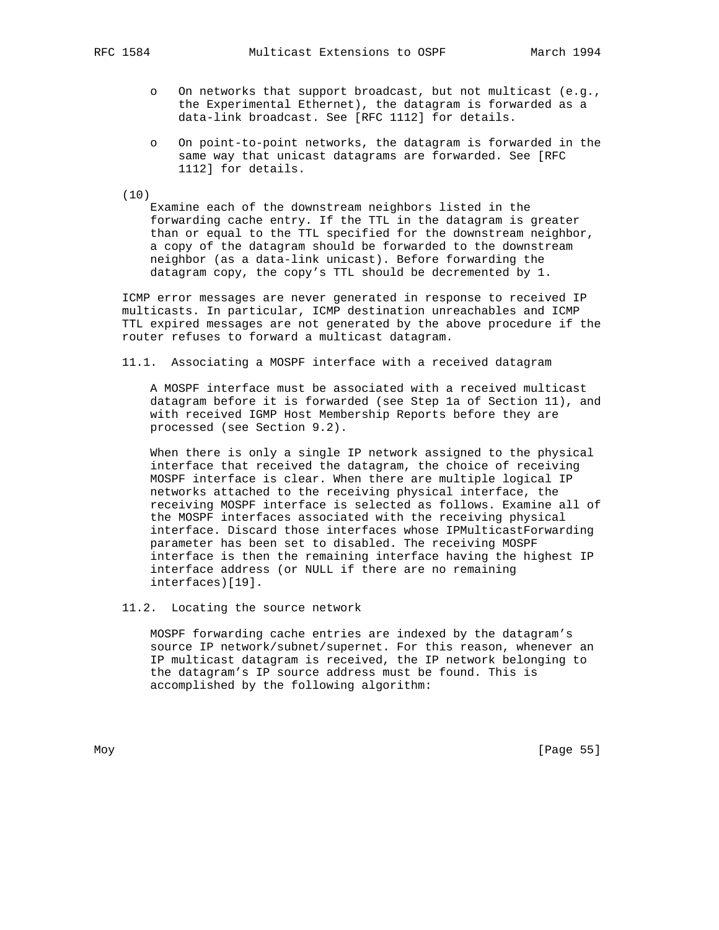- o On networks that support broadcast, but not multicast (e.g., the Experimental Ethernet), the datagram is forwarded as a data-link broadcast. See [RFC 1112] for details.
- o On point-to-point networks, the datagram is forwarded in the same way that unicast datagrams are forwarded. See [RFC 1112] for details.

(10)

 Examine each of the downstream neighbors listed in the forwarding cache entry. If the TTL in the datagram is greater than or equal to the TTL specified for the downstream neighbor, a copy of the datagram should be forwarded to the downstream neighbor (as a data-link unicast). Before forwarding the datagram copy, the copy's TTL should be decremented by 1.

 ICMP error messages are never generated in response to received IP multicasts. In particular, ICMP destination unreachables and ICMP TTL expired messages are not generated by the above procedure if the router refuses to forward a multicast datagram.

11.1. Associating a MOSPF interface with a received datagram

 A MOSPF interface must be associated with a received multicast datagram before it is forwarded (see Step 1a of Section 11), and with received IGMP Host Membership Reports before they are processed (see Section 9.2).

 When there is only a single IP network assigned to the physical interface that received the datagram, the choice of receiving MOSPF interface is clear. When there are multiple logical IP networks attached to the receiving physical interface, the receiving MOSPF interface is selected as follows. Examine all of the MOSPF interfaces associated with the receiving physical interface. Discard those interfaces whose IPMulticastForwarding parameter has been set to disabled. The receiving MOSPF interface is then the remaining interface having the highest IP interface address (or NULL if there are no remaining interfaces)[19].

11.2. Locating the source network

 MOSPF forwarding cache entries are indexed by the datagram's source IP network/subnet/supernet. For this reason, whenever an IP multicast datagram is received, the IP network belonging to the datagram's IP source address must be found. This is accomplished by the following algorithm: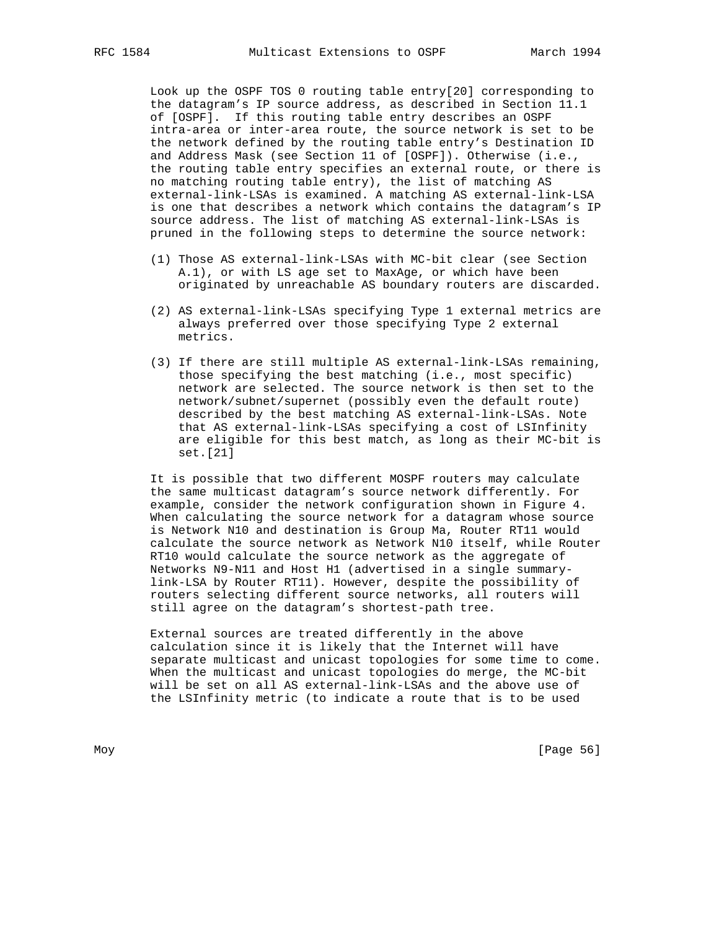Look up the OSPF TOS 0 routing table entry[20] corresponding to the datagram's IP source address, as described in Section 11.1 of [OSPF]. If this routing table entry describes an OSPF intra-area or inter-area route, the source network is set to be the network defined by the routing table entry's Destination ID and Address Mask (see Section 11 of [OSPF]). Otherwise (i.e., the routing table entry specifies an external route, or there is no matching routing table entry), the list of matching AS external-link-LSAs is examined. A matching AS external-link-LSA is one that describes a network which contains the datagram's IP source address. The list of matching AS external-link-LSAs is pruned in the following steps to determine the source network:

- (1) Those AS external-link-LSAs with MC-bit clear (see Section A.1), or with LS age set to MaxAge, or which have been originated by unreachable AS boundary routers are discarded.
- (2) AS external-link-LSAs specifying Type 1 external metrics are always preferred over those specifying Type 2 external metrics.
- (3) If there are still multiple AS external-link-LSAs remaining, those specifying the best matching (i.e., most specific) network are selected. The source network is then set to the network/subnet/supernet (possibly even the default route) described by the best matching AS external-link-LSAs. Note that AS external-link-LSAs specifying a cost of LSInfinity are eligible for this best match, as long as their MC-bit is set.[21]

 It is possible that two different MOSPF routers may calculate the same multicast datagram's source network differently. For example, consider the network configuration shown in Figure 4. When calculating the source network for a datagram whose source is Network N10 and destination is Group Ma, Router RT11 would calculate the source network as Network N10 itself, while Router RT10 would calculate the source network as the aggregate of Networks N9-N11 and Host H1 (advertised in a single summary link-LSA by Router RT11). However, despite the possibility of routers selecting different source networks, all routers will still agree on the datagram's shortest-path tree.

 External sources are treated differently in the above calculation since it is likely that the Internet will have separate multicast and unicast topologies for some time to come. When the multicast and unicast topologies do merge, the MC-bit will be set on all AS external-link-LSAs and the above use of the LSInfinity metric (to indicate a route that is to be used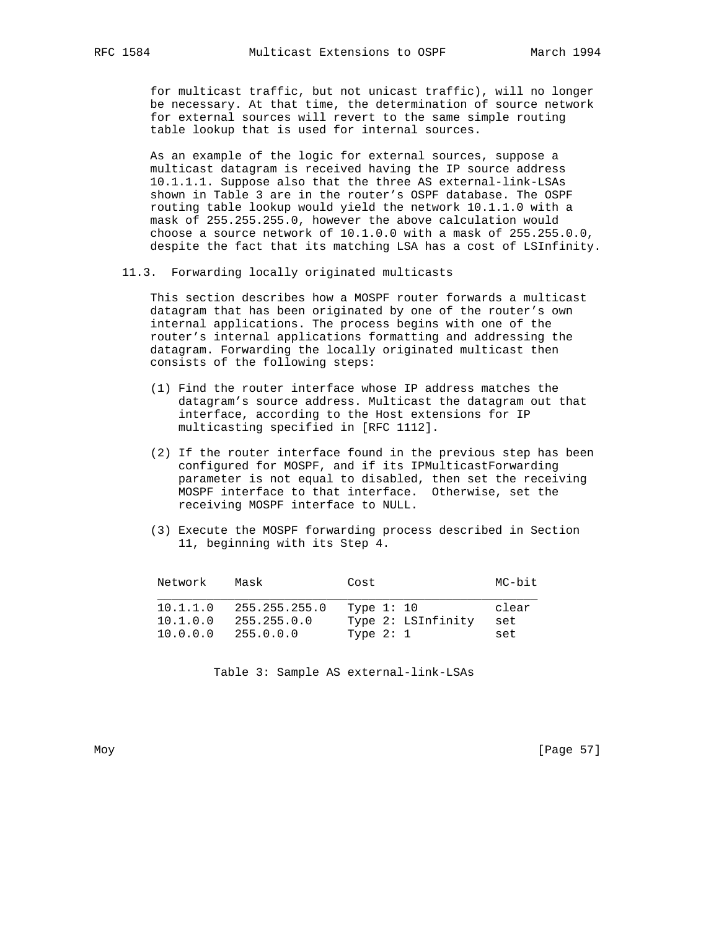for multicast traffic, but not unicast traffic), will no longer be necessary. At that time, the determination of source network for external sources will revert to the same simple routing table lookup that is used for internal sources.

 As an example of the logic for external sources, suppose a multicast datagram is received having the IP source address 10.1.1.1. Suppose also that the three AS external-link-LSAs shown in Table 3 are in the router's OSPF database. The OSPF routing table lookup would yield the network 10.1.1.0 with a mask of 255.255.255.0, however the above calculation would choose a source network of 10.1.0.0 with a mask of 255.255.0.0, despite the fact that its matching LSA has a cost of LSInfinity.

11.3. Forwarding locally originated multicasts

 This section describes how a MOSPF router forwards a multicast datagram that has been originated by one of the router's own internal applications. The process begins with one of the router's internal applications formatting and addressing the datagram. Forwarding the locally originated multicast then consists of the following steps:

- (1) Find the router interface whose IP address matches the datagram's source address. Multicast the datagram out that interface, according to the Host extensions for IP multicasting specified in [RFC 1112].
- (2) If the router interface found in the previous step has been configured for MOSPF, and if its IPMulticastForwarding parameter is not equal to disabled, then set the receiving MOSPF interface to that interface. Otherwise, set the receiving MOSPF interface to NULL.
- (3) Execute the MOSPF forwarding process described in Section 11, beginning with its Step 4.

| Network  | Mask          | Cost               | MC-bit |
|----------|---------------|--------------------|--------|
| 10.1.1.0 | 255.255.255.0 | Type 1: 10         | clear  |
| 10.1.0.0 | 255.255.0.0   | Type 2: LSInfinity | set    |
| 10.0.0.0 | 255.0.0.0     | Type $2:1$         | set    |

Moy [Page 57]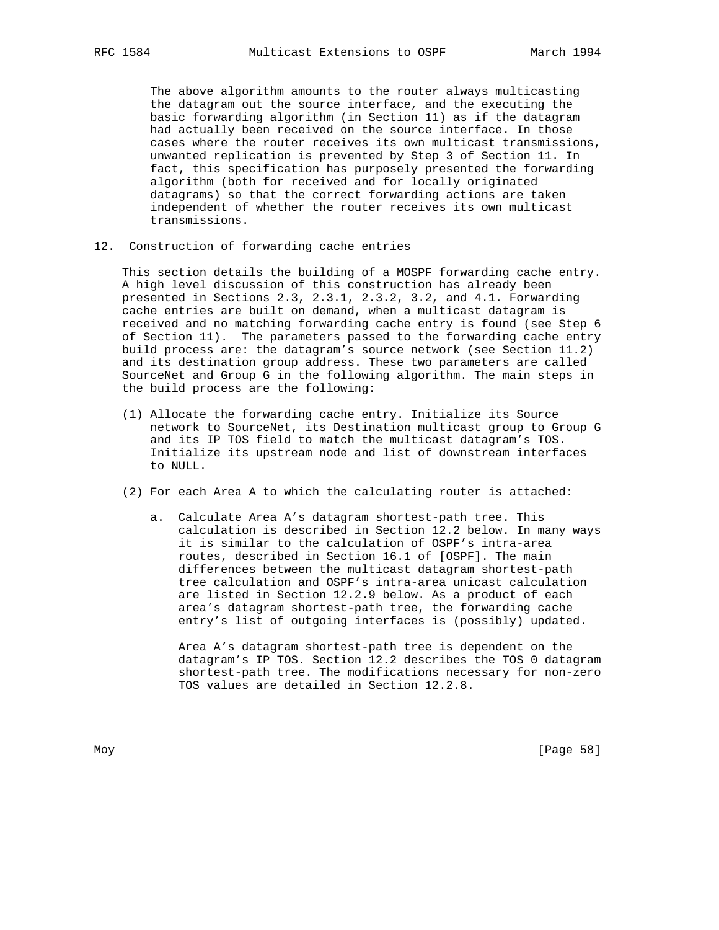The above algorithm amounts to the router always multicasting the datagram out the source interface, and the executing the basic forwarding algorithm (in Section 11) as if the datagram had actually been received on the source interface. In those cases where the router receives its own multicast transmissions, unwanted replication is prevented by Step 3 of Section 11. In fact, this specification has purposely presented the forwarding algorithm (both for received and for locally originated datagrams) so that the correct forwarding actions are taken independent of whether the router receives its own multicast transmissions.

12. Construction of forwarding cache entries

 This section details the building of a MOSPF forwarding cache entry. A high level discussion of this construction has already been presented in Sections 2.3, 2.3.1, 2.3.2, 3.2, and 4.1. Forwarding cache entries are built on demand, when a multicast datagram is received and no matching forwarding cache entry is found (see Step 6 of Section 11). The parameters passed to the forwarding cache entry build process are: the datagram's source network (see Section 11.2) and its destination group address. These two parameters are called SourceNet and Group G in the following algorithm. The main steps in the build process are the following:

- (1) Allocate the forwarding cache entry. Initialize its Source network to SourceNet, its Destination multicast group to Group G and its IP TOS field to match the multicast datagram's TOS. Initialize its upstream node and list of downstream interfaces to NULL.
- (2) For each Area A to which the calculating router is attached:
	- a. Calculate Area A's datagram shortest-path tree. This calculation is described in Section 12.2 below. In many ways it is similar to the calculation of OSPF's intra-area routes, described in Section 16.1 of [OSPF]. The main differences between the multicast datagram shortest-path tree calculation and OSPF's intra-area unicast calculation are listed in Section 12.2.9 below. As a product of each area's datagram shortest-path tree, the forwarding cache entry's list of outgoing interfaces is (possibly) updated.

 Area A's datagram shortest-path tree is dependent on the datagram's IP TOS. Section 12.2 describes the TOS 0 datagram shortest-path tree. The modifications necessary for non-zero TOS values are detailed in Section 12.2.8.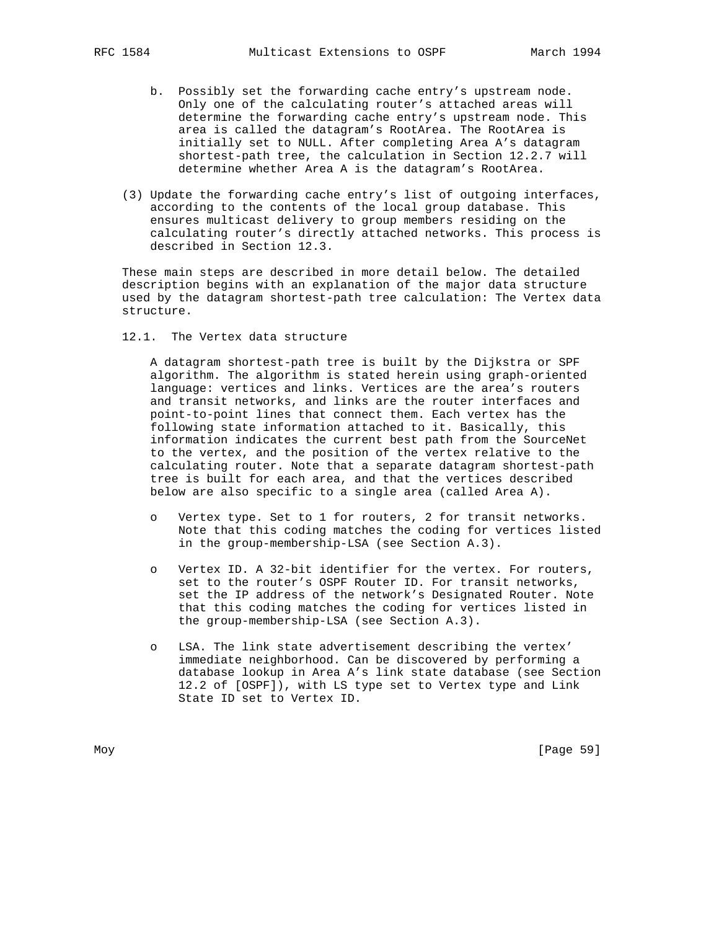- b. Possibly set the forwarding cache entry's upstream node. Only one of the calculating router's attached areas will determine the forwarding cache entry's upstream node. This area is called the datagram's RootArea. The RootArea is initially set to NULL. After completing Area A's datagram shortest-path tree, the calculation in Section 12.2.7 will determine whether Area A is the datagram's RootArea.
- (3) Update the forwarding cache entry's list of outgoing interfaces, according to the contents of the local group database. This ensures multicast delivery to group members residing on the calculating router's directly attached networks. This process is described in Section 12.3.

 These main steps are described in more detail below. The detailed description begins with an explanation of the major data structure used by the datagram shortest-path tree calculation: The Vertex data structure.

12.1. The Vertex data structure

 A datagram shortest-path tree is built by the Dijkstra or SPF algorithm. The algorithm is stated herein using graph-oriented language: vertices and links. Vertices are the area's routers and transit networks, and links are the router interfaces and point-to-point lines that connect them. Each vertex has the following state information attached to it. Basically, this information indicates the current best path from the SourceNet to the vertex, and the position of the vertex relative to the calculating router. Note that a separate datagram shortest-path tree is built for each area, and that the vertices described below are also specific to a single area (called Area A).

- o Vertex type. Set to 1 for routers, 2 for transit networks. Note that this coding matches the coding for vertices listed in the group-membership-LSA (see Section A.3).
- o Vertex ID. A 32-bit identifier for the vertex. For routers, set to the router's OSPF Router ID. For transit networks, set the IP address of the network's Designated Router. Note that this coding matches the coding for vertices listed in the group-membership-LSA (see Section A.3).
- o LSA. The link state advertisement describing the vertex' immediate neighborhood. Can be discovered by performing a database lookup in Area A's link state database (see Section 12.2 of [OSPF]), with LS type set to Vertex type and Link State ID set to Vertex ID.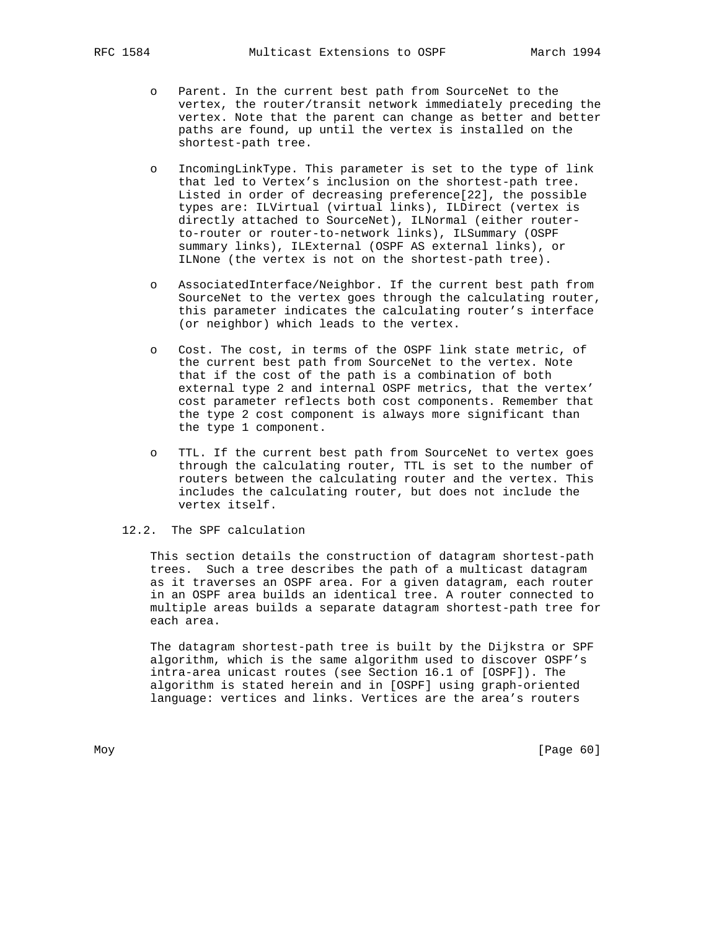- o Parent. In the current best path from SourceNet to the vertex, the router/transit network immediately preceding the vertex. Note that the parent can change as better and better paths are found, up until the vertex is installed on the shortest-path tree.
- o IncomingLinkType. This parameter is set to the type of link that led to Vertex's inclusion on the shortest-path tree. Listed in order of decreasing preference[22], the possible types are: ILVirtual (virtual links), ILDirect (vertex is directly attached to SourceNet), ILNormal (either router to-router or router-to-network links), ILSummary (OSPF summary links), ILExternal (OSPF AS external links), or ILNone (the vertex is not on the shortest-path tree).
- o AssociatedInterface/Neighbor. If the current best path from SourceNet to the vertex goes through the calculating router, this parameter indicates the calculating router's interface (or neighbor) which leads to the vertex.
- o Cost. The cost, in terms of the OSPF link state metric, of the current best path from SourceNet to the vertex. Note that if the cost of the path is a combination of both external type 2 and internal OSPF metrics, that the vertex' cost parameter reflects both cost components. Remember that the type 2 cost component is always more significant than the type 1 component.
- o TTL. If the current best path from SourceNet to vertex goes through the calculating router, TTL is set to the number of routers between the calculating router and the vertex. This includes the calculating router, but does not include the vertex itself.

## 12.2. The SPF calculation

 This section details the construction of datagram shortest-path trees. Such a tree describes the path of a multicast datagram as it traverses an OSPF area. For a given datagram, each router in an OSPF area builds an identical tree. A router connected to multiple areas builds a separate datagram shortest-path tree for each area.

 The datagram shortest-path tree is built by the Dijkstra or SPF algorithm, which is the same algorithm used to discover OSPF's intra-area unicast routes (see Section 16.1 of [OSPF]). The algorithm is stated herein and in [OSPF] using graph-oriented language: vertices and links. Vertices are the area's routers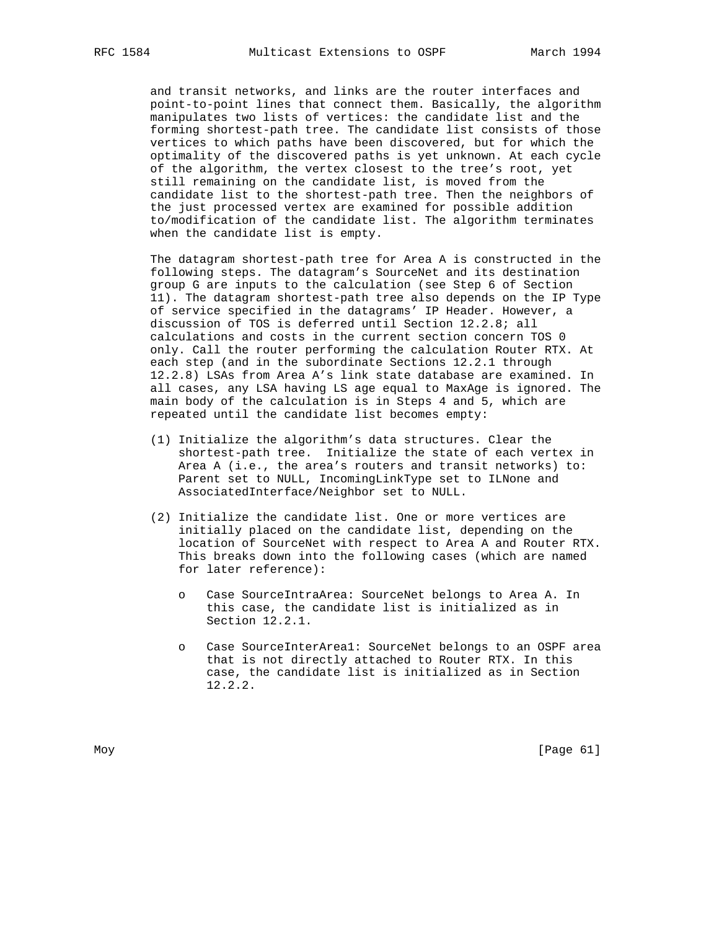and transit networks, and links are the router interfaces and point-to-point lines that connect them. Basically, the algorithm manipulates two lists of vertices: the candidate list and the forming shortest-path tree. The candidate list consists of those vertices to which paths have been discovered, but for which the optimality of the discovered paths is yet unknown. At each cycle of the algorithm, the vertex closest to the tree's root, yet still remaining on the candidate list, is moved from the candidate list to the shortest-path tree. Then the neighbors of the just processed vertex are examined for possible addition to/modification of the candidate list. The algorithm terminates when the candidate list is empty.

 The datagram shortest-path tree for Area A is constructed in the following steps. The datagram's SourceNet and its destination group G are inputs to the calculation (see Step 6 of Section 11). The datagram shortest-path tree also depends on the IP Type of service specified in the datagrams' IP Header. However, a discussion of TOS is deferred until Section 12.2.8; all calculations and costs in the current section concern TOS 0 only. Call the router performing the calculation Router RTX. At each step (and in the subordinate Sections 12.2.1 through 12.2.8) LSAs from Area A's link state database are examined. In all cases, any LSA having LS age equal to MaxAge is ignored. The main body of the calculation is in Steps 4 and 5, which are repeated until the candidate list becomes empty:

- (1) Initialize the algorithm's data structures. Clear the shortest-path tree. Initialize the state of each vertex in Area A (i.e., the area's routers and transit networks) to: Parent set to NULL, IncomingLinkType set to ILNone and AssociatedInterface/Neighbor set to NULL.
- (2) Initialize the candidate list. One or more vertices are initially placed on the candidate list, depending on the location of SourceNet with respect to Area A and Router RTX. This breaks down into the following cases (which are named for later reference):
	- o Case SourceIntraArea: SourceNet belongs to Area A. In this case, the candidate list is initialized as in Section 12.2.1.
	- Case SourceInterArea1: SourceNet belongs to an OSPF area that is not directly attached to Router RTX. In this case, the candidate list is initialized as in Section 12.2.2.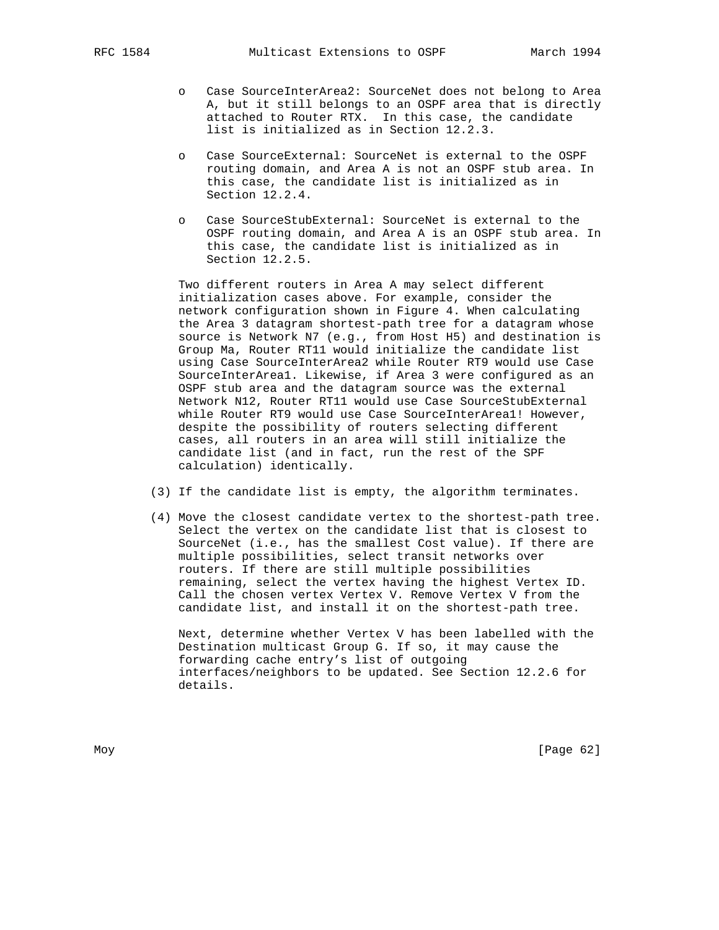- o Case SourceInterArea2: SourceNet does not belong to Area A, but it still belongs to an OSPF area that is directly attached to Router RTX. In this case, the candidate list is initialized as in Section 12.2.3.
- o Case SourceExternal: SourceNet is external to the OSPF routing domain, and Area A is not an OSPF stub area. In this case, the candidate list is initialized as in Section 12.2.4.
- o Case SourceStubExternal: SourceNet is external to the OSPF routing domain, and Area A is an OSPF stub area. In this case, the candidate list is initialized as in Section 12.2.5.

 Two different routers in Area A may select different initialization cases above. For example, consider the network configuration shown in Figure 4. When calculating the Area 3 datagram shortest-path tree for a datagram whose source is Network N7 (e.g., from Host H5) and destination is Group Ma, Router RT11 would initialize the candidate list using Case SourceInterArea2 while Router RT9 would use Case SourceInterArea1. Likewise, if Area 3 were configured as an OSPF stub area and the datagram source was the external Network N12, Router RT11 would use Case SourceStubExternal while Router RT9 would use Case SourceInterArea1! However, despite the possibility of routers selecting different cases, all routers in an area will still initialize the candidate list (and in fact, run the rest of the SPF calculation) identically.

- (3) If the candidate list is empty, the algorithm terminates.
- (4) Move the closest candidate vertex to the shortest-path tree. Select the vertex on the candidate list that is closest to SourceNet (i.e., has the smallest Cost value). If there are multiple possibilities, select transit networks over routers. If there are still multiple possibilities remaining, select the vertex having the highest Vertex ID. Call the chosen vertex Vertex V. Remove Vertex V from the candidate list, and install it on the shortest-path tree.

 Next, determine whether Vertex V has been labelled with the Destination multicast Group G. If so, it may cause the forwarding cache entry's list of outgoing interfaces/neighbors to be updated. See Section 12.2.6 for details.

Moy [Page 62]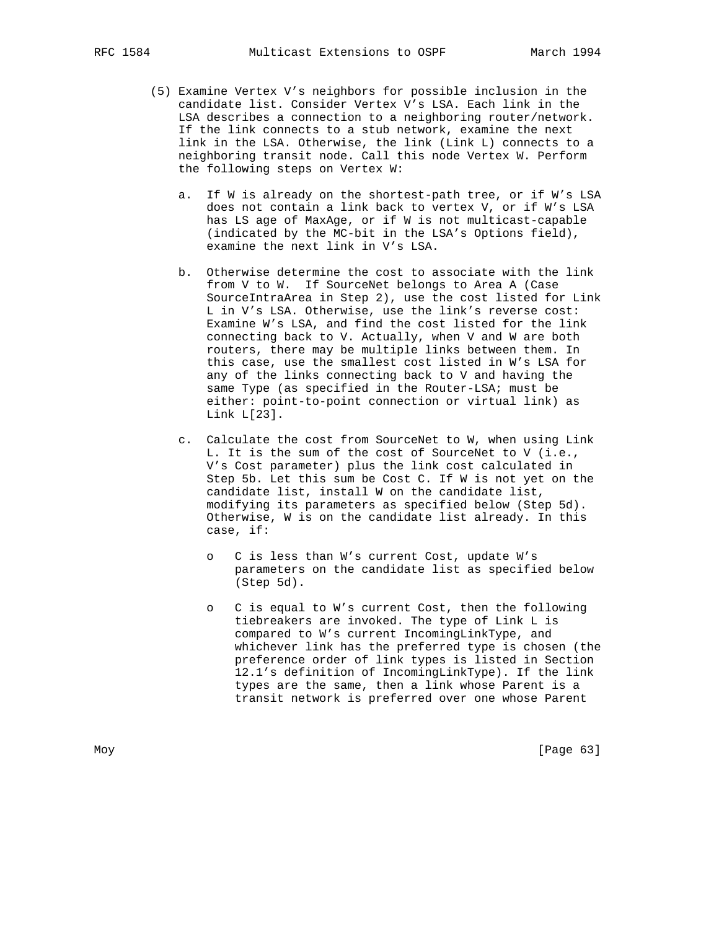- (5) Examine Vertex V's neighbors for possible inclusion in the candidate list. Consider Vertex V's LSA. Each link in the LSA describes a connection to a neighboring router/network. If the link connects to a stub network, examine the next link in the LSA. Otherwise, the link (Link L) connects to a neighboring transit node. Call this node Vertex W. Perform the following steps on Vertex W:
	- a. If W is already on the shortest-path tree, or if W's LSA does not contain a link back to vertex V, or if W's LSA has LS age of MaxAge, or if W is not multicast-capable (indicated by the MC-bit in the LSA's Options field), examine the next link in V's LSA.
	- b. Otherwise determine the cost to associate with the link from V to W. If SourceNet belongs to Area A (Case SourceIntraArea in Step 2), use the cost listed for Link L in V's LSA. Otherwise, use the link's reverse cost: Examine W's LSA, and find the cost listed for the link connecting back to V. Actually, when V and W are both routers, there may be multiple links between them. In this case, use the smallest cost listed in W's LSA for any of the links connecting back to V and having the same Type (as specified in the Router-LSA; must be either: point-to-point connection or virtual link) as Link L[23].
	- c. Calculate the cost from SourceNet to W, when using Link L. It is the sum of the cost of SourceNet to V (i.e., V's Cost parameter) plus the link cost calculated in Step 5b. Let this sum be Cost C. If W is not yet on the candidate list, install W on the candidate list, modifying its parameters as specified below (Step 5d). Otherwise, W is on the candidate list already. In this case, if:
		- o C is less than W's current Cost, update W's parameters on the candidate list as specified below (Step 5d).
		- o C is equal to W's current Cost, then the following tiebreakers are invoked. The type of Link L is compared to W's current IncomingLinkType, and whichever link has the preferred type is chosen (the preference order of link types is listed in Section 12.1's definition of IncomingLinkType). If the link types are the same, then a link whose Parent is a transit network is preferred over one whose Parent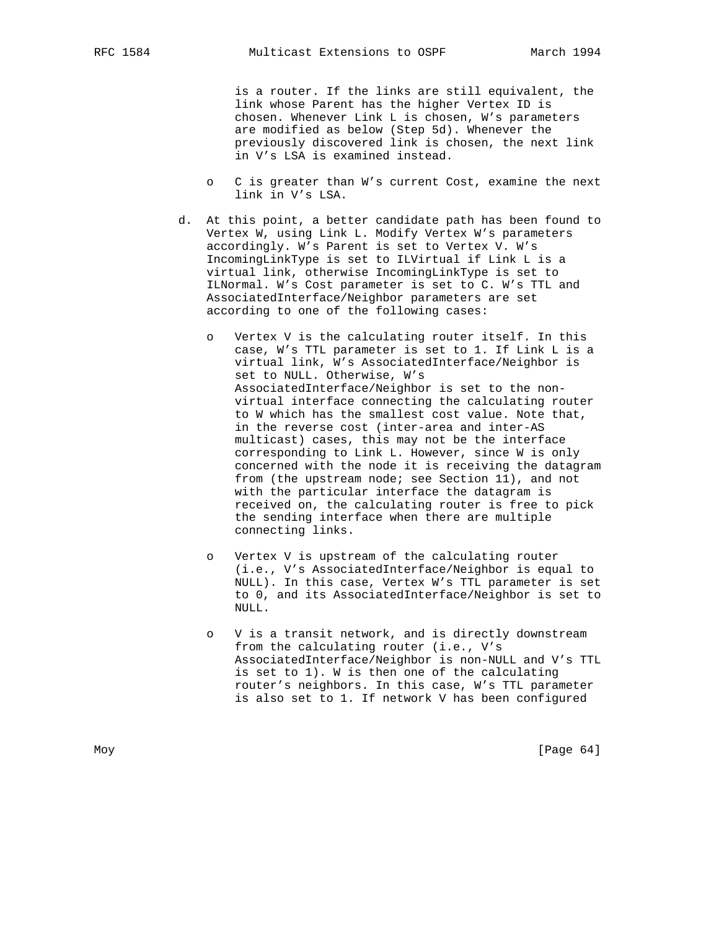is a router. If the links are still equivalent, the link whose Parent has the higher Vertex ID is chosen. Whenever Link L is chosen, W's parameters are modified as below (Step 5d). Whenever the previously discovered link is chosen, the next link in V's LSA is examined instead.

- o C is greater than W's current Cost, examine the next link in V's LSA.
- d. At this point, a better candidate path has been found to Vertex W, using Link L. Modify Vertex W's parameters accordingly. W's Parent is set to Vertex V. W's IncomingLinkType is set to ILVirtual if Link L is a virtual link, otherwise IncomingLinkType is set to ILNormal. W's Cost parameter is set to C. W's TTL and AssociatedInterface/Neighbor parameters are set according to one of the following cases:
	- Vertex V is the calculating router itself. In this case, W's TTL parameter is set to 1. If Link L is a virtual link, W's AssociatedInterface/Neighbor is set to NULL. Otherwise, W's AssociatedInterface/Neighbor is set to the non virtual interface connecting the calculating router to W which has the smallest cost value. Note that, in the reverse cost (inter-area and inter-AS multicast) cases, this may not be the interface corresponding to Link L. However, since W is only concerned with the node it is receiving the datagram from (the upstream node; see Section 11), and not with the particular interface the datagram is received on, the calculating router is free to pick the sending interface when there are multiple connecting links.
	- o Vertex V is upstream of the calculating router (i.e., V's AssociatedInterface/Neighbor is equal to NULL). In this case, Vertex W's TTL parameter is set to 0, and its AssociatedInterface/Neighbor is set to NULL.
	- o V is a transit network, and is directly downstream from the calculating router (i.e., V's AssociatedInterface/Neighbor is non-NULL and V's TTL is set to 1). W is then one of the calculating router's neighbors. In this case, W's TTL parameter is also set to 1. If network V has been configured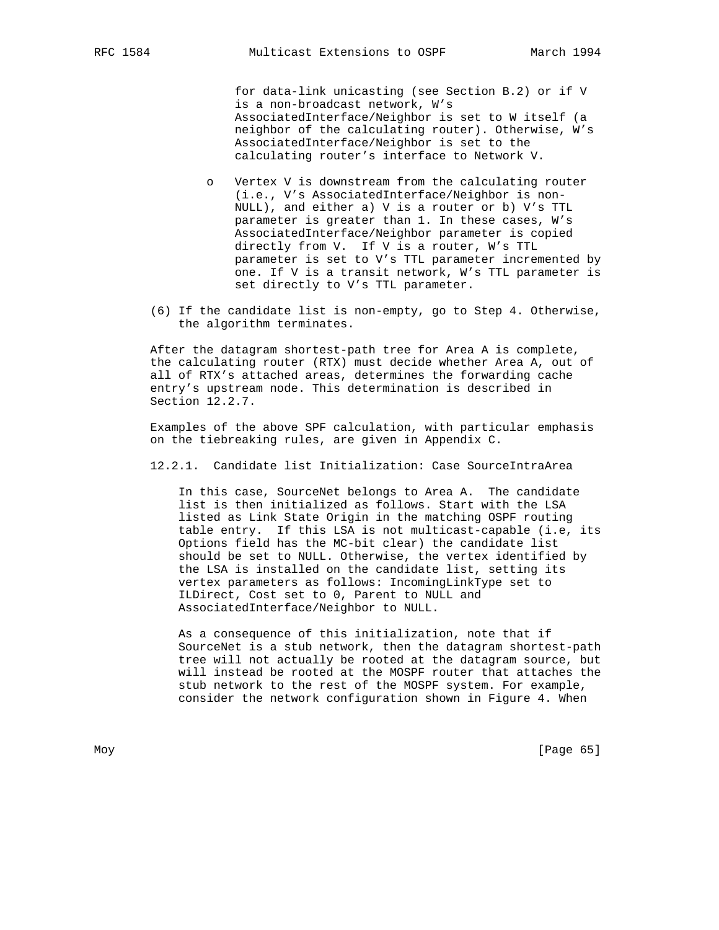for data-link unicasting (see Section B.2) or if V is a non-broadcast network, W's AssociatedInterface/Neighbor is set to W itself (a neighbor of the calculating router). Otherwise, W's AssociatedInterface/Neighbor is set to the calculating router's interface to Network V.

- Vertex V is downstream from the calculating router (i.e., V's AssociatedInterface/Neighbor is non- NULL), and either a) V is a router or b) V's TTL parameter is greater than 1. In these cases, W's AssociatedInterface/Neighbor parameter is copied directly from V. If V is a router, W's TTL parameter is set to V's TTL parameter incremented by one. If V is a transit network, W's TTL parameter is set directly to V's TTL parameter.
- (6) If the candidate list is non-empty, go to Step 4. Otherwise, the algorithm terminates.

 After the datagram shortest-path tree for Area A is complete, the calculating router (RTX) must decide whether Area A, out of all of RTX's attached areas, determines the forwarding cache entry's upstream node. This determination is described in Section 12.2.7.

 Examples of the above SPF calculation, with particular emphasis on the tiebreaking rules, are given in Appendix C.

12.2.1. Candidate list Initialization: Case SourceIntraArea

 In this case, SourceNet belongs to Area A. The candidate list is then initialized as follows. Start with the LSA listed as Link State Origin in the matching OSPF routing table entry. If this LSA is not multicast-capable (i.e, its Options field has the MC-bit clear) the candidate list should be set to NULL. Otherwise, the vertex identified by the LSA is installed on the candidate list, setting its vertex parameters as follows: IncomingLinkType set to ILDirect, Cost set to 0, Parent to NULL and AssociatedInterface/Neighbor to NULL.

 As a consequence of this initialization, note that if SourceNet is a stub network, then the datagram shortest-path tree will not actually be rooted at the datagram source, but will instead be rooted at the MOSPF router that attaches the stub network to the rest of the MOSPF system. For example, consider the network configuration shown in Figure 4. When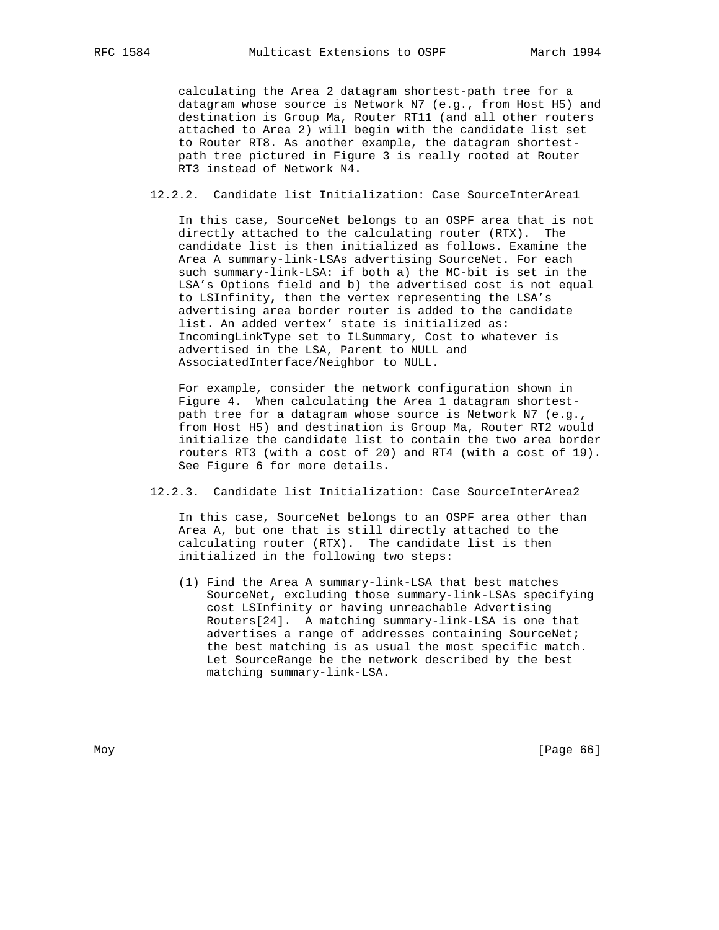calculating the Area 2 datagram shortest-path tree for a datagram whose source is Network N7 (e.g., from Host H5) and destination is Group Ma, Router RT11 (and all other routers attached to Area 2) will begin with the candidate list set to Router RT8. As another example, the datagram shortest path tree pictured in Figure 3 is really rooted at Router RT3 instead of Network N4.

12.2.2. Candidate list Initialization: Case SourceInterArea1

 In this case, SourceNet belongs to an OSPF area that is not directly attached to the calculating router (RTX). The candidate list is then initialized as follows. Examine the Area A summary-link-LSAs advertising SourceNet. For each such summary-link-LSA: if both a) the MC-bit is set in the LSA's Options field and b) the advertised cost is not equal to LSInfinity, then the vertex representing the LSA's advertising area border router is added to the candidate list. An added vertex' state is initialized as: IncomingLinkType set to ILSummary, Cost to whatever is advertised in the LSA, Parent to NULL and AssociatedInterface/Neighbor to NULL.

 For example, consider the network configuration shown in Figure 4. When calculating the Area 1 datagram shortest path tree for a datagram whose source is Network N7 (e.g., from Host H5) and destination is Group Ma, Router RT2 would initialize the candidate list to contain the two area border routers RT3 (with a cost of 20) and RT4 (with a cost of 19). See Figure 6 for more details.

12.2.3. Candidate list Initialization: Case SourceInterArea2

 In this case, SourceNet belongs to an OSPF area other than Area A, but one that is still directly attached to the calculating router (RTX). The candidate list is then initialized in the following two steps:

 (1) Find the Area A summary-link-LSA that best matches SourceNet, excluding those summary-link-LSAs specifying cost LSInfinity or having unreachable Advertising Routers[24]. A matching summary-link-LSA is one that advertises a range of addresses containing SourceNet; the best matching is as usual the most specific match. Let SourceRange be the network described by the best matching summary-link-LSA.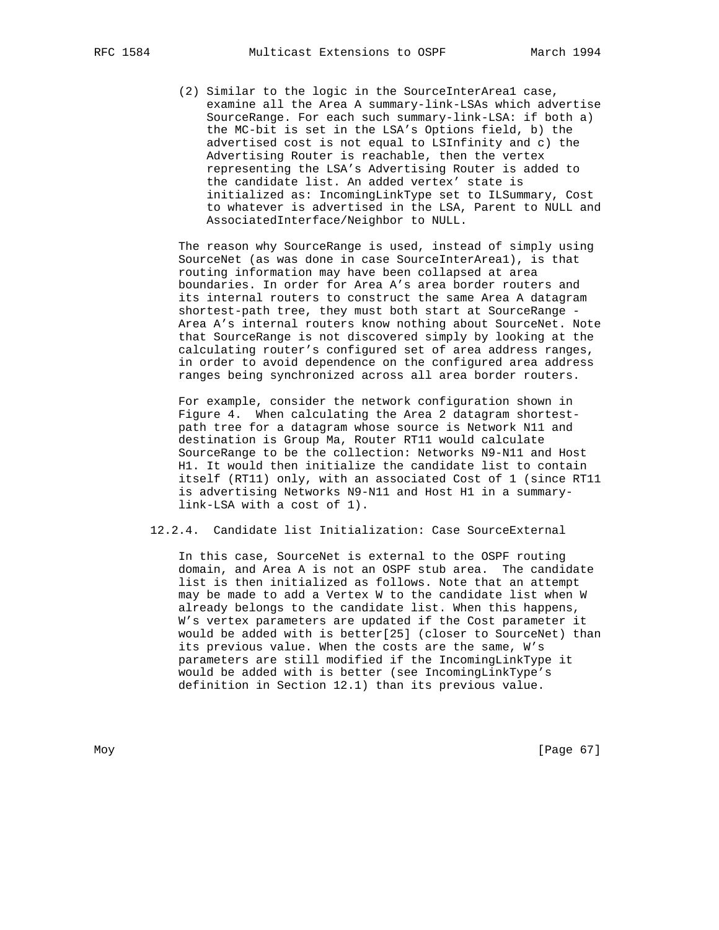(2) Similar to the logic in the SourceInterArea1 case, examine all the Area A summary-link-LSAs which advertise SourceRange. For each such summary-link-LSA: if both a) the MC-bit is set in the LSA's Options field, b) the advertised cost is not equal to LSInfinity and c) the Advertising Router is reachable, then the vertex representing the LSA's Advertising Router is added to the candidate list. An added vertex' state is initialized as: IncomingLinkType set to ILSummary, Cost to whatever is advertised in the LSA, Parent to NULL and AssociatedInterface/Neighbor to NULL.

 The reason why SourceRange is used, instead of simply using SourceNet (as was done in case SourceInterArea1), is that routing information may have been collapsed at area boundaries. In order for Area A's area border routers and its internal routers to construct the same Area A datagram shortest-path tree, they must both start at SourceRange - Area A's internal routers know nothing about SourceNet. Note that SourceRange is not discovered simply by looking at the calculating router's configured set of area address ranges, in order to avoid dependence on the configured area address ranges being synchronized across all area border routers.

 For example, consider the network configuration shown in Figure 4. When calculating the Area 2 datagram shortest path tree for a datagram whose source is Network N11 and destination is Group Ma, Router RT11 would calculate SourceRange to be the collection: Networks N9-N11 and Host H1. It would then initialize the candidate list to contain itself (RT11) only, with an associated Cost of 1 (since RT11 is advertising Networks N9-N11 and Host H1 in a summary link-LSA with a cost of 1).

## 12.2.4. Candidate list Initialization: Case SourceExternal

 In this case, SourceNet is external to the OSPF routing domain, and Area A is not an OSPF stub area. The candidate list is then initialized as follows. Note that an attempt may be made to add a Vertex W to the candidate list when W already belongs to the candidate list. When this happens, W's vertex parameters are updated if the Cost parameter it would be added with is better[25] (closer to SourceNet) than its previous value. When the costs are the same, W's parameters are still modified if the IncomingLinkType it would be added with is better (see IncomingLinkType's definition in Section 12.1) than its previous value.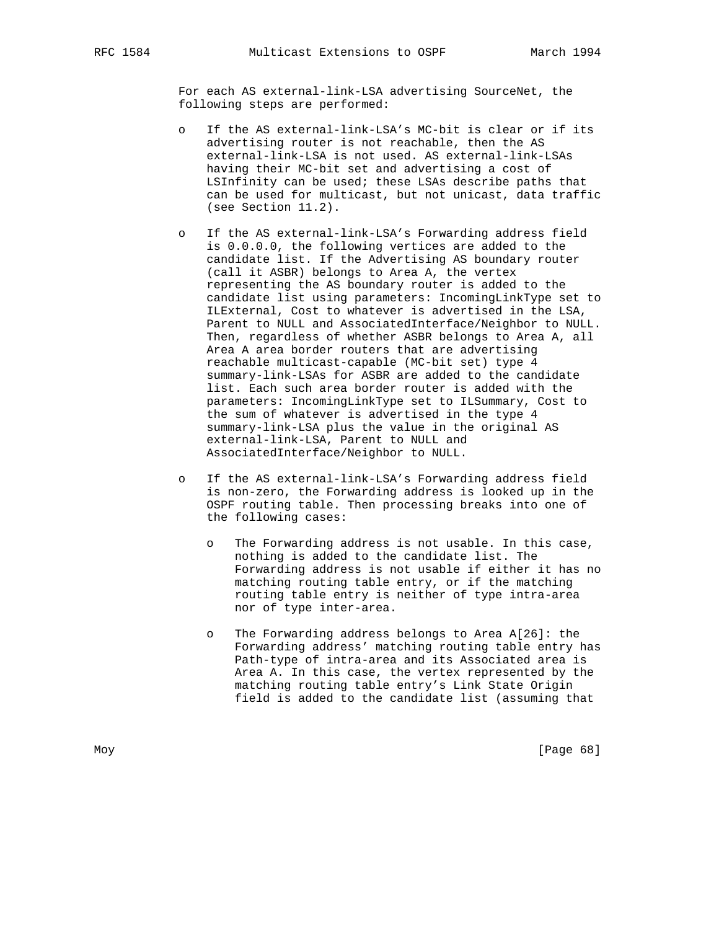For each AS external-link-LSA advertising SourceNet, the following steps are performed:

- o If the AS external-link-LSA's MC-bit is clear or if its advertising router is not reachable, then the AS external-link-LSA is not used. AS external-link-LSAs having their MC-bit set and advertising a cost of LSInfinity can be used; these LSAs describe paths that can be used for multicast, but not unicast, data traffic (see Section 11.2).
- o If the AS external-link-LSA's Forwarding address field is 0.0.0.0, the following vertices are added to the candidate list. If the Advertising AS boundary router (call it ASBR) belongs to Area A, the vertex representing the AS boundary router is added to the candidate list using parameters: IncomingLinkType set to ILExternal, Cost to whatever is advertised in the LSA, Parent to NULL and AssociatedInterface/Neighbor to NULL. Then, regardless of whether ASBR belongs to Area A, all Area A area border routers that are advertising reachable multicast-capable (MC-bit set) type 4 summary-link-LSAs for ASBR are added to the candidate list. Each such area border router is added with the parameters: IncomingLinkType set to ILSummary, Cost to the sum of whatever is advertised in the type 4 summary-link-LSA plus the value in the original AS external-link-LSA, Parent to NULL and AssociatedInterface/Neighbor to NULL.
- o If the AS external-link-LSA's Forwarding address field is non-zero, the Forwarding address is looked up in the OSPF routing table. Then processing breaks into one of the following cases:
	- o The Forwarding address is not usable. In this case, nothing is added to the candidate list. The Forwarding address is not usable if either it has no matching routing table entry, or if the matching routing table entry is neither of type intra-area nor of type inter-area.
	- o The Forwarding address belongs to Area A[26]: the Forwarding address' matching routing table entry has Path-type of intra-area and its Associated area is Area A. In this case, the vertex represented by the matching routing table entry's Link State Origin field is added to the candidate list (assuming that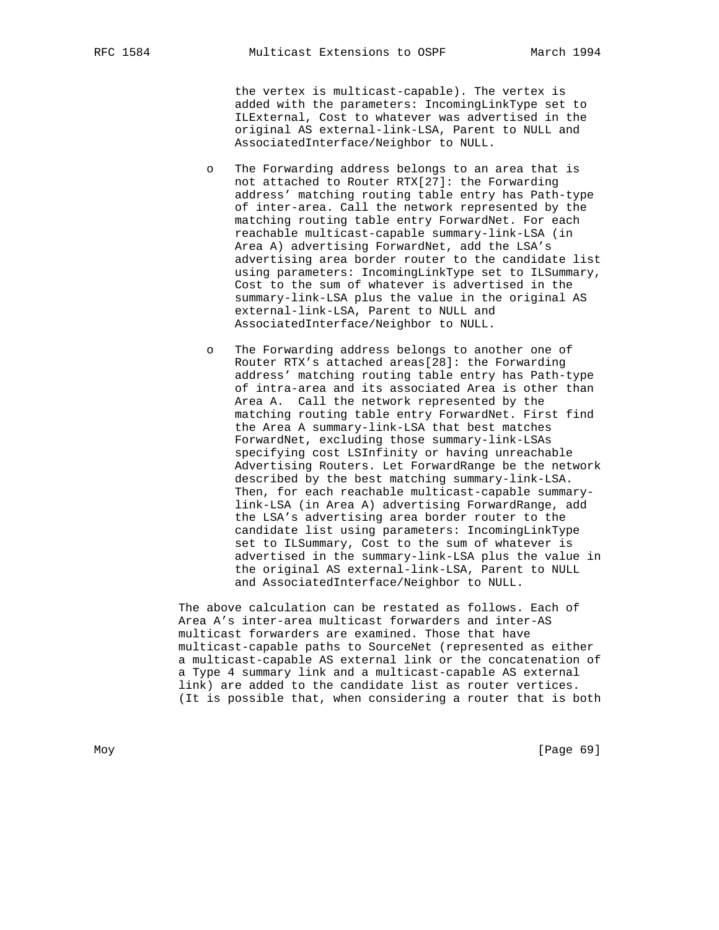the vertex is multicast-capable). The vertex is added with the parameters: IncomingLinkType set to ILExternal, Cost to whatever was advertised in the original AS external-link-LSA, Parent to NULL and AssociatedInterface/Neighbor to NULL.

- o The Forwarding address belongs to an area that is not attached to Router RTX[27]: the Forwarding address' matching routing table entry has Path-type of inter-area. Call the network represented by the matching routing table entry ForwardNet. For each reachable multicast-capable summary-link-LSA (in Area A) advertising ForwardNet, add the LSA's advertising area border router to the candidate list using parameters: IncomingLinkType set to ILSummary, Cost to the sum of whatever is advertised in the summary-link-LSA plus the value in the original AS external-link-LSA, Parent to NULL and AssociatedInterface/Neighbor to NULL.
- o The Forwarding address belongs to another one of Router RTX's attached areas[28]: the Forwarding address' matching routing table entry has Path-type of intra-area and its associated Area is other than Area A. Call the network represented by the matching routing table entry ForwardNet. First find the Area A summary-link-LSA that best matches ForwardNet, excluding those summary-link-LSAs specifying cost LSInfinity or having unreachable Advertising Routers. Let ForwardRange be the network described by the best matching summary-link-LSA. Then, for each reachable multicast-capable summary link-LSA (in Area A) advertising ForwardRange, add the LSA's advertising area border router to the candidate list using parameters: IncomingLinkType set to ILSummary, Cost to the sum of whatever is advertised in the summary-link-LSA plus the value in the original AS external-link-LSA, Parent to NULL and AssociatedInterface/Neighbor to NULL.

 The above calculation can be restated as follows. Each of Area A's inter-area multicast forwarders and inter-AS multicast forwarders are examined. Those that have multicast-capable paths to SourceNet (represented as either a multicast-capable AS external link or the concatenation of a Type 4 summary link and a multicast-capable AS external link) are added to the candidate list as router vertices. (It is possible that, when considering a router that is both

Moy [Page 69]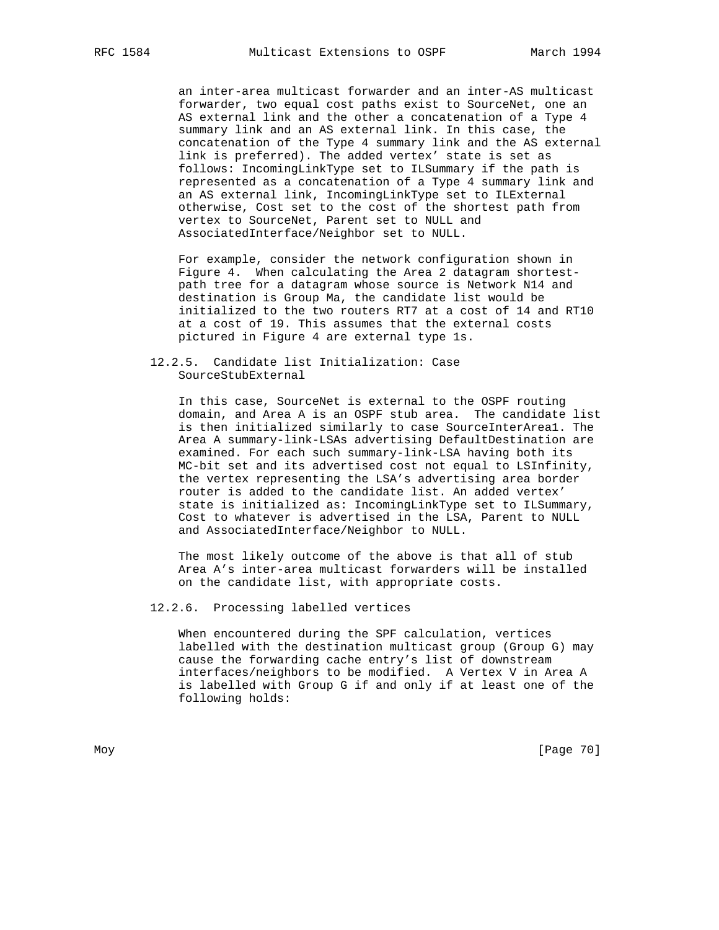an inter-area multicast forwarder and an inter-AS multicast forwarder, two equal cost paths exist to SourceNet, one an AS external link and the other a concatenation of a Type 4 summary link and an AS external link. In this case, the concatenation of the Type 4 summary link and the AS external link is preferred). The added vertex' state is set as follows: IncomingLinkType set to ILSummary if the path is represented as a concatenation of a Type 4 summary link and an AS external link, IncomingLinkType set to ILExternal otherwise, Cost set to the cost of the shortest path from vertex to SourceNet, Parent set to NULL and AssociatedInterface/Neighbor set to NULL.

 For example, consider the network configuration shown in Figure 4. When calculating the Area 2 datagram shortest path tree for a datagram whose source is Network N14 and destination is Group Ma, the candidate list would be initialized to the two routers RT7 at a cost of 14 and RT10 at a cost of 19. This assumes that the external costs pictured in Figure 4 are external type 1s.

## 12.2.5. Candidate list Initialization: Case SourceStubExternal

 In this case, SourceNet is external to the OSPF routing domain, and Area A is an OSPF stub area. The candidate list is then initialized similarly to case SourceInterArea1. The Area A summary-link-LSAs advertising DefaultDestination are examined. For each such summary-link-LSA having both its MC-bit set and its advertised cost not equal to LSInfinity, the vertex representing the LSA's advertising area border router is added to the candidate list. An added vertex' state is initialized as: IncomingLinkType set to ILSummary, Cost to whatever is advertised in the LSA, Parent to NULL and AssociatedInterface/Neighbor to NULL.

 The most likely outcome of the above is that all of stub Area A's inter-area multicast forwarders will be installed on the candidate list, with appropriate costs.

### 12.2.6. Processing labelled vertices

 When encountered during the SPF calculation, vertices labelled with the destination multicast group (Group G) may cause the forwarding cache entry's list of downstream interfaces/neighbors to be modified. A Vertex V in Area A is labelled with Group G if and only if at least one of the following holds: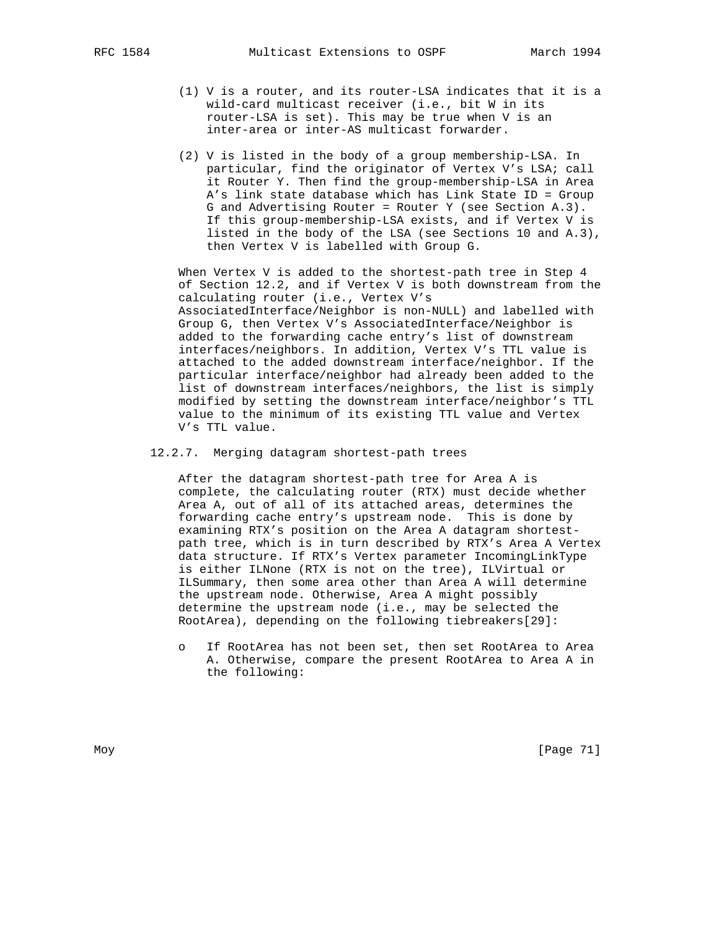- (1) V is a router, and its router-LSA indicates that it is a wild-card multicast receiver (i.e., bit W in its router-LSA is set). This may be true when V is an inter-area or inter-AS multicast forwarder.
- (2) V is listed in the body of a group membership-LSA. In particular, find the originator of Vertex V's LSA; call it Router Y. Then find the group-membership-LSA in Area A's link state database which has Link State ID = Group G and Advertising Router = Router Y (see Section A.3). If this group-membership-LSA exists, and if Vertex V is listed in the body of the LSA (see Sections 10 and A.3), then Vertex V is labelled with Group G.

 When Vertex V is added to the shortest-path tree in Step 4 of Section 12.2, and if Vertex V is both downstream from the calculating router (i.e., Vertex V's AssociatedInterface/Neighbor is non-NULL) and labelled with Group G, then Vertex V's AssociatedInterface/Neighbor is added to the forwarding cache entry's list of downstream interfaces/neighbors. In addition, Vertex V's TTL value is attached to the added downstream interface/neighbor. If the particular interface/neighbor had already been added to the list of downstream interfaces/neighbors, the list is simply modified by setting the downstream interface/neighbor's TTL value to the minimum of its existing TTL value and Vertex V's TTL value.

12.2.7. Merging datagram shortest-path trees

 After the datagram shortest-path tree for Area A is complete, the calculating router (RTX) must decide whether Area A, out of all of its attached areas, determines the forwarding cache entry's upstream node. This is done by examining RTX's position on the Area A datagram shortest path tree, which is in turn described by RTX's Area A Vertex data structure. If RTX's Vertex parameter IncomingLinkType is either ILNone (RTX is not on the tree), ILVirtual or ILSummary, then some area other than Area A will determine the upstream node. Otherwise, Area A might possibly determine the upstream node (i.e., may be selected the RootArea), depending on the following tiebreakers[29]:

If RootArea has not been set, then set RootArea to Area A. Otherwise, compare the present RootArea to Area A in the following: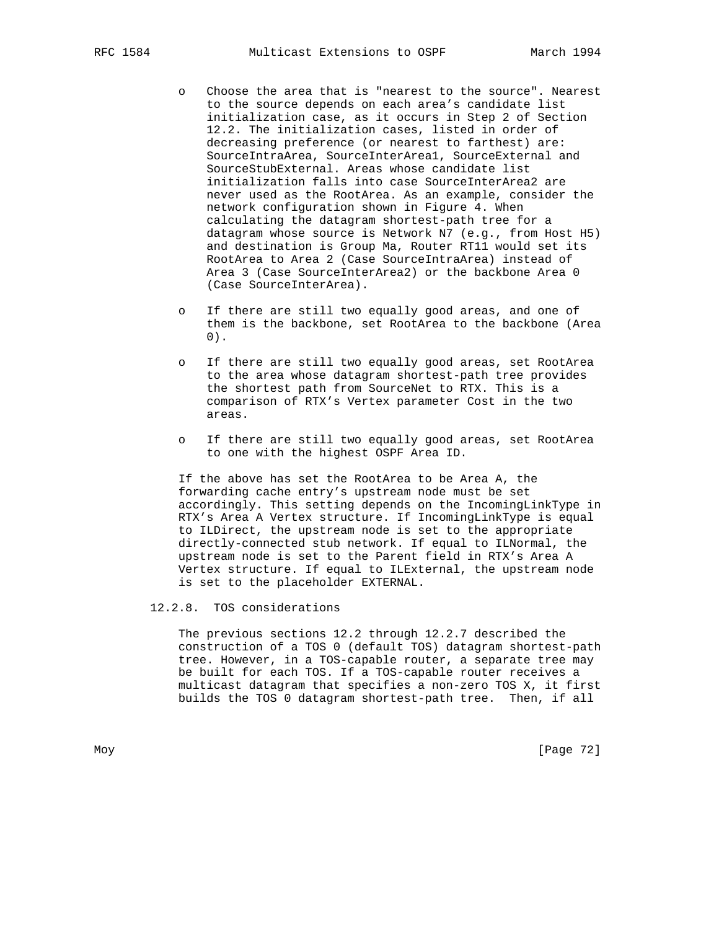- o Choose the area that is "nearest to the source". Nearest to the source depends on each area's candidate list initialization case, as it occurs in Step 2 of Section 12.2. The initialization cases, listed in order of decreasing preference (or nearest to farthest) are: SourceIntraArea, SourceInterArea1, SourceExternal and SourceStubExternal. Areas whose candidate list initialization falls into case SourceInterArea2 are never used as the RootArea. As an example, consider the network configuration shown in Figure 4. When calculating the datagram shortest-path tree for a datagram whose source is Network N7 (e.g., from Host H5) and destination is Group Ma, Router RT11 would set its RootArea to Area 2 (Case SourceIntraArea) instead of Area 3 (Case SourceInterArea2) or the backbone Area 0 (Case SourceInterArea).
- o If there are still two equally good areas, and one of them is the backbone, set RootArea to the backbone (Area 0).
- o If there are still two equally good areas, set RootArea to the area whose datagram shortest-path tree provides the shortest path from SourceNet to RTX. This is a comparison of RTX's Vertex parameter Cost in the two areas.
- o If there are still two equally good areas, set RootArea to one with the highest OSPF Area ID.

 If the above has set the RootArea to be Area A, the forwarding cache entry's upstream node must be set accordingly. This setting depends on the IncomingLinkType in RTX's Area A Vertex structure. If IncomingLinkType is equal to ILDirect, the upstream node is set to the appropriate directly-connected stub network. If equal to ILNormal, the upstream node is set to the Parent field in RTX's Area A Vertex structure. If equal to ILExternal, the upstream node is set to the placeholder EXTERNAL.

### 12.2.8. TOS considerations

 The previous sections 12.2 through 12.2.7 described the construction of a TOS 0 (default TOS) datagram shortest-path tree. However, in a TOS-capable router, a separate tree may be built for each TOS. If a TOS-capable router receives a multicast datagram that specifies a non-zero TOS X, it first builds the TOS 0 datagram shortest-path tree. Then, if all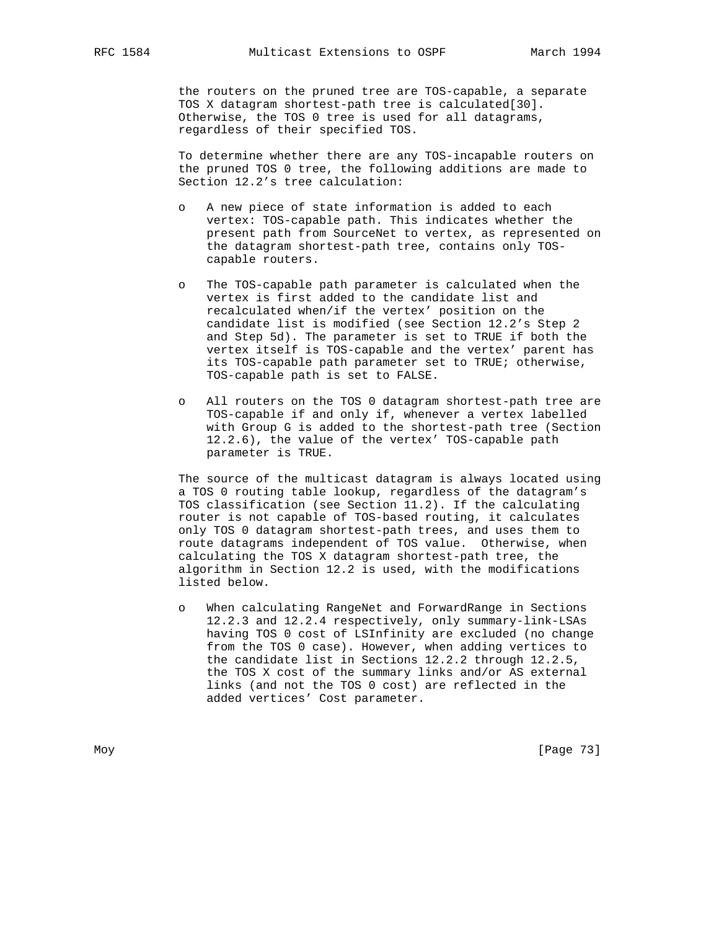the routers on the pruned tree are TOS-capable, a separate TOS X datagram shortest-path tree is calculated[30]. Otherwise, the TOS 0 tree is used for all datagrams, regardless of their specified TOS.

 To determine whether there are any TOS-incapable routers on the pruned TOS 0 tree, the following additions are made to Section 12.2's tree calculation:

- o A new piece of state information is added to each vertex: TOS-capable path. This indicates whether the present path from SourceNet to vertex, as represented on the datagram shortest-path tree, contains only TOS capable routers.
- o The TOS-capable path parameter is calculated when the vertex is first added to the candidate list and recalculated when/if the vertex' position on the candidate list is modified (see Section 12.2's Step 2 and Step 5d). The parameter is set to TRUE if both the vertex itself is TOS-capable and the vertex' parent has its TOS-capable path parameter set to TRUE; otherwise, TOS-capable path is set to FALSE.
- o All routers on the TOS 0 datagram shortest-path tree are TOS-capable if and only if, whenever a vertex labelled with Group G is added to the shortest-path tree (Section 12.2.6), the value of the vertex' TOS-capable path parameter is TRUE.

 The source of the multicast datagram is always located using a TOS 0 routing table lookup, regardless of the datagram's TOS classification (see Section 11.2). If the calculating router is not capable of TOS-based routing, it calculates only TOS 0 datagram shortest-path trees, and uses them to route datagrams independent of TOS value. Otherwise, when calculating the TOS X datagram shortest-path tree, the algorithm in Section 12.2 is used, with the modifications listed below.

 o When calculating RangeNet and ForwardRange in Sections 12.2.3 and 12.2.4 respectively, only summary-link-LSAs having TOS 0 cost of LSInfinity are excluded (no change from the TOS 0 case). However, when adding vertices to the candidate list in Sections 12.2.2 through 12.2.5, the TOS X cost of the summary links and/or AS external links (and not the TOS 0 cost) are reflected in the added vertices' Cost parameter.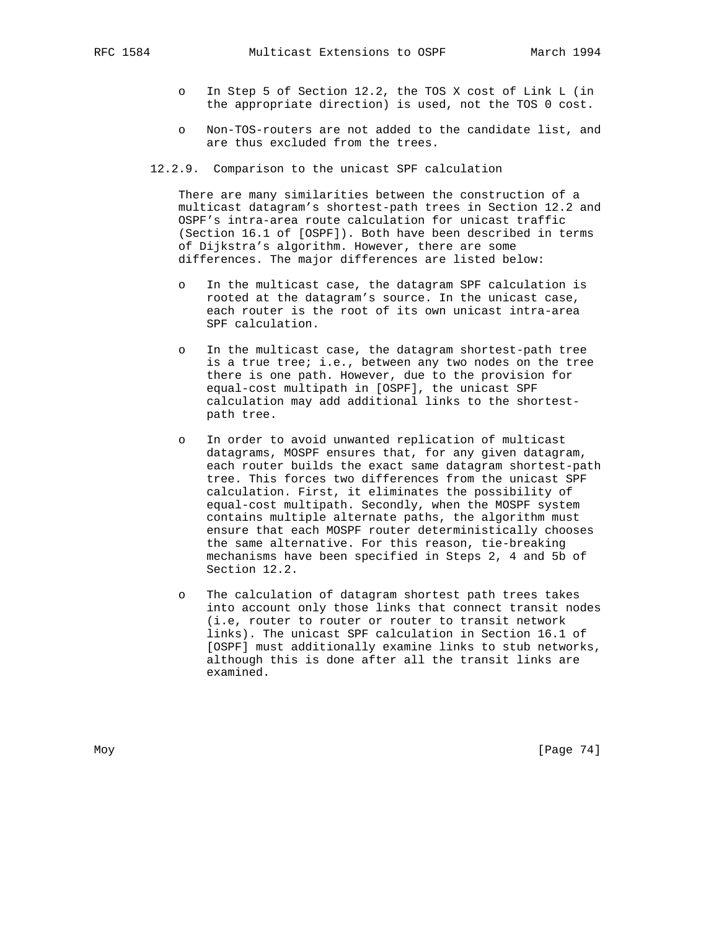- o In Step 5 of Section 12.2, the TOS X cost of Link L (in the appropriate direction) is used, not the TOS 0 cost.
- o Non-TOS-routers are not added to the candidate list, and are thus excluded from the trees.
- 12.2.9. Comparison to the unicast SPF calculation

 There are many similarities between the construction of a multicast datagram's shortest-path trees in Section 12.2 and OSPF's intra-area route calculation for unicast traffic (Section 16.1 of [OSPF]). Both have been described in terms of Dijkstra's algorithm. However, there are some differences. The major differences are listed below:

- o In the multicast case, the datagram SPF calculation is rooted at the datagram's source. In the unicast case, each router is the root of its own unicast intra-area SPF calculation.
- In the multicast case, the datagram shortest-path tree is a true tree; i.e., between any two nodes on the tree there is one path. However, due to the provision for equal-cost multipath in [OSPF], the unicast SPF calculation may add additional links to the shortest path tree.
- o In order to avoid unwanted replication of multicast datagrams, MOSPF ensures that, for any given datagram, each router builds the exact same datagram shortest-path tree. This forces two differences from the unicast SPF calculation. First, it eliminates the possibility of equal-cost multipath. Secondly, when the MOSPF system contains multiple alternate paths, the algorithm must ensure that each MOSPF router deterministically chooses the same alternative. For this reason, tie-breaking mechanisms have been specified in Steps 2, 4 and 5b of Section 12.2.
- o The calculation of datagram shortest path trees takes into account only those links that connect transit nodes (i.e, router to router or router to transit network links). The unicast SPF calculation in Section 16.1 of [OSPF] must additionally examine links to stub networks, although this is done after all the transit links are examined.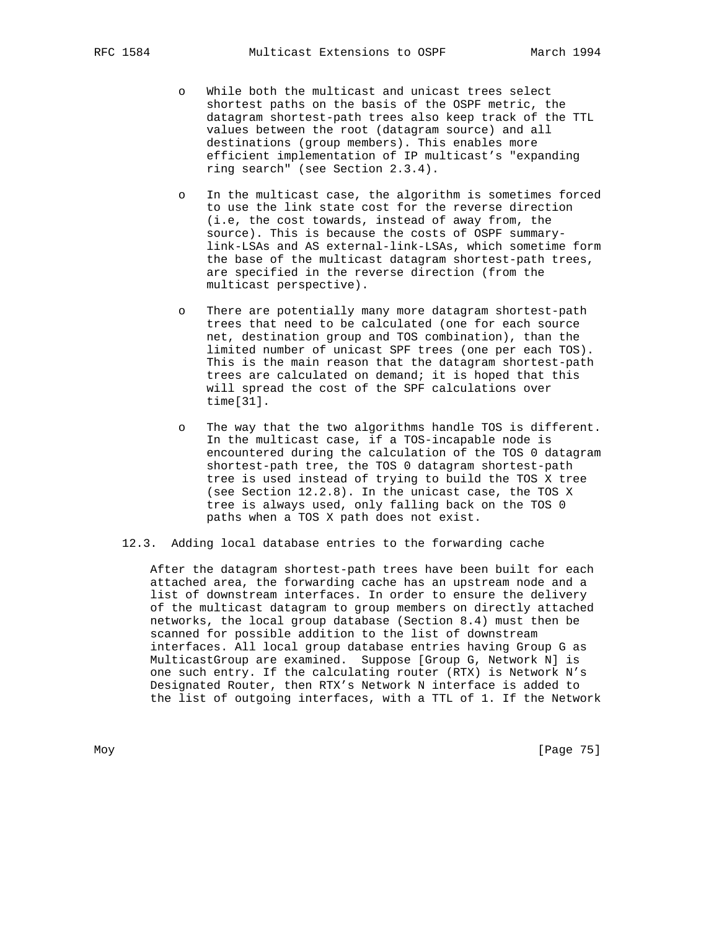- o While both the multicast and unicast trees select shortest paths on the basis of the OSPF metric, the datagram shortest-path trees also keep track of the TTL values between the root (datagram source) and all destinations (group members). This enables more efficient implementation of IP multicast's "expanding ring search" (see Section 2.3.4).
- In the multicast case, the algorithm is sometimes forced to use the link state cost for the reverse direction (i.e, the cost towards, instead of away from, the source). This is because the costs of OSPF summary link-LSAs and AS external-link-LSAs, which sometime form the base of the multicast datagram shortest-path trees, are specified in the reverse direction (from the multicast perspective).
- o There are potentially many more datagram shortest-path trees that need to be calculated (one for each source net, destination group and TOS combination), than the limited number of unicast SPF trees (one per each TOS). This is the main reason that the datagram shortest-path trees are calculated on demand; it is hoped that this will spread the cost of the SPF calculations over time[31].
- o The way that the two algorithms handle TOS is different. In the multicast case, if a TOS-incapable node is encountered during the calculation of the TOS 0 datagram shortest-path tree, the TOS 0 datagram shortest-path tree is used instead of trying to build the TOS X tree (see Section 12.2.8). In the unicast case, the TOS X tree is always used, only falling back on the TOS 0 paths when a TOS X path does not exist.
- 12.3. Adding local database entries to the forwarding cache

 After the datagram shortest-path trees have been built for each attached area, the forwarding cache has an upstream node and a list of downstream interfaces. In order to ensure the delivery of the multicast datagram to group members on directly attached networks, the local group database (Section 8.4) must then be scanned for possible addition to the list of downstream interfaces. All local group database entries having Group G as MulticastGroup are examined. Suppose [Group G, Network N] is one such entry. If the calculating router (RTX) is Network N's Designated Router, then RTX's Network N interface is added to the list of outgoing interfaces, with a TTL of 1. If the Network

Moy [Page 75]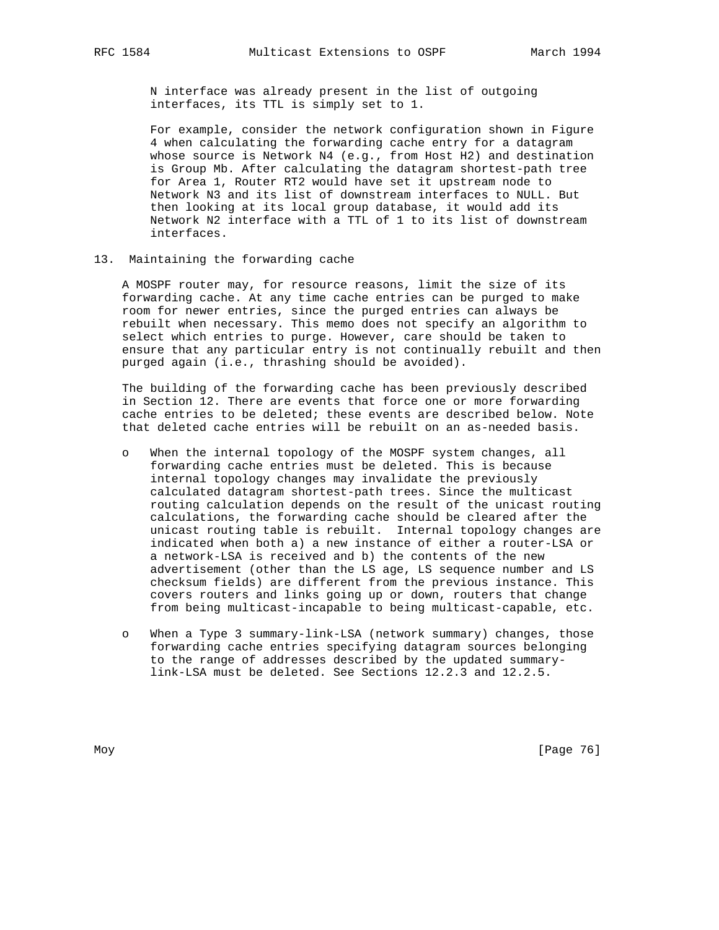N interface was already present in the list of outgoing interfaces, its TTL is simply set to 1.

 For example, consider the network configuration shown in Figure 4 when calculating the forwarding cache entry for a datagram whose source is Network N4 (e.g., from Host H2) and destination is Group Mb. After calculating the datagram shortest-path tree for Area 1, Router RT2 would have set it upstream node to Network N3 and its list of downstream interfaces to NULL. But then looking at its local group database, it would add its Network N2 interface with a TTL of 1 to its list of downstream interfaces.

13. Maintaining the forwarding cache

 A MOSPF router may, for resource reasons, limit the size of its forwarding cache. At any time cache entries can be purged to make room for newer entries, since the purged entries can always be rebuilt when necessary. This memo does not specify an algorithm to select which entries to purge. However, care should be taken to ensure that any particular entry is not continually rebuilt and then purged again (i.e., thrashing should be avoided).

 The building of the forwarding cache has been previously described in Section 12. There are events that force one or more forwarding cache entries to be deleted; these events are described below. Note that deleted cache entries will be rebuilt on an as-needed basis.

- o When the internal topology of the MOSPF system changes, all forwarding cache entries must be deleted. This is because internal topology changes may invalidate the previously calculated datagram shortest-path trees. Since the multicast routing calculation depends on the result of the unicast routing calculations, the forwarding cache should be cleared after the unicast routing table is rebuilt. Internal topology changes are indicated when both a) a new instance of either a router-LSA or a network-LSA is received and b) the contents of the new advertisement (other than the LS age, LS sequence number and LS checksum fields) are different from the previous instance. This covers routers and links going up or down, routers that change from being multicast-incapable to being multicast-capable, etc.
- o When a Type 3 summary-link-LSA (network summary) changes, those forwarding cache entries specifying datagram sources belonging to the range of addresses described by the updated summary link-LSA must be deleted. See Sections 12.2.3 and 12.2.5.

Moy [Page 76]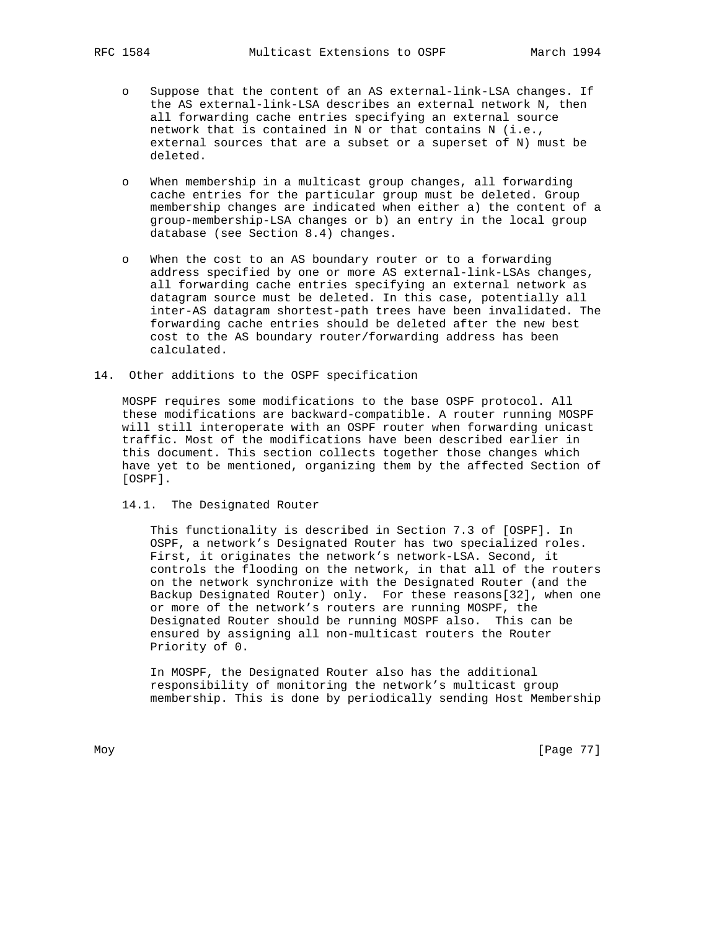- o Suppose that the content of an AS external-link-LSA changes. If the AS external-link-LSA describes an external network N, then all forwarding cache entries specifying an external source network that is contained in N or that contains N (i.e., external sources that are a subset or a superset of N) must be deleted.
- o When membership in a multicast group changes, all forwarding cache entries for the particular group must be deleted. Group membership changes are indicated when either a) the content of a group-membership-LSA changes or b) an entry in the local group database (see Section 8.4) changes.
- o When the cost to an AS boundary router or to a forwarding address specified by one or more AS external-link-LSAs changes, all forwarding cache entries specifying an external network as datagram source must be deleted. In this case, potentially all inter-AS datagram shortest-path trees have been invalidated. The forwarding cache entries should be deleted after the new best cost to the AS boundary router/forwarding address has been calculated.
- 14. Other additions to the OSPF specification

 MOSPF requires some modifications to the base OSPF protocol. All these modifications are backward-compatible. A router running MOSPF will still interoperate with an OSPF router when forwarding unicast traffic. Most of the modifications have been described earlier in this document. This section collects together those changes which have yet to be mentioned, organizing them by the affected Section of [OSPF].

14.1. The Designated Router

 This functionality is described in Section 7.3 of [OSPF]. In OSPF, a network's Designated Router has two specialized roles. First, it originates the network's network-LSA. Second, it controls the flooding on the network, in that all of the routers on the network synchronize with the Designated Router (and the Backup Designated Router) only. For these reasons[32], when one or more of the network's routers are running MOSPF, the Designated Router should be running MOSPF also. This can be ensured by assigning all non-multicast routers the Router Priority of 0.

 In MOSPF, the Designated Router also has the additional responsibility of monitoring the network's multicast group membership. This is done by periodically sending Host Membership

Moy [Page 77]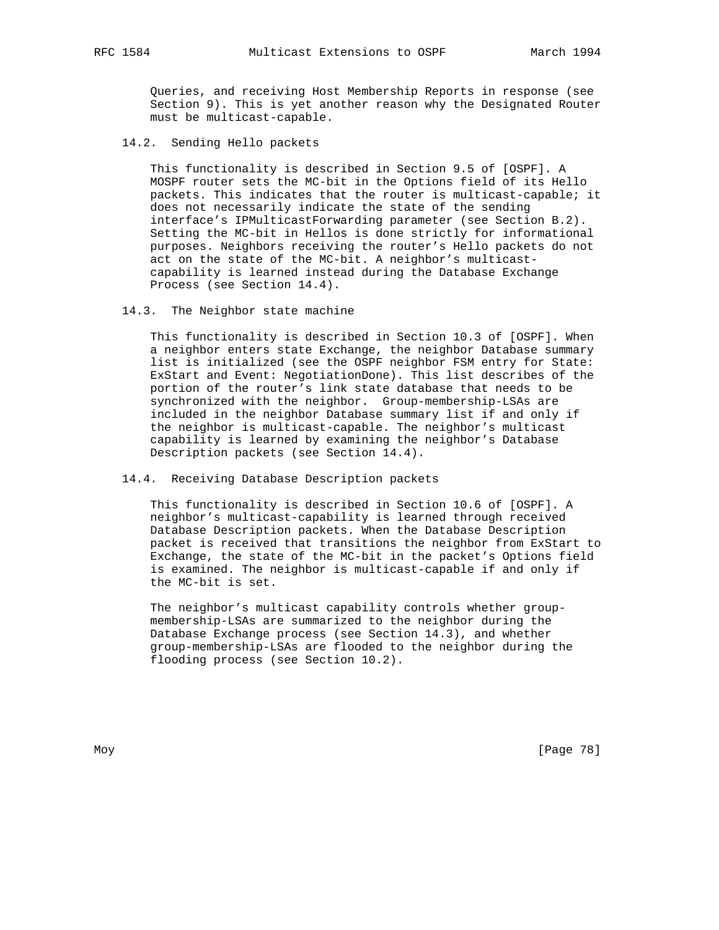Queries, and receiving Host Membership Reports in response (see Section 9). This is yet another reason why the Designated Router must be multicast-capable.

#### 14.2. Sending Hello packets

 This functionality is described in Section 9.5 of [OSPF]. A MOSPF router sets the MC-bit in the Options field of its Hello packets. This indicates that the router is multicast-capable; it does not necessarily indicate the state of the sending interface's IPMulticastForwarding parameter (see Section B.2). Setting the MC-bit in Hellos is done strictly for informational purposes. Neighbors receiving the router's Hello packets do not act on the state of the MC-bit. A neighbor's multicast capability is learned instead during the Database Exchange Process (see Section 14.4).

14.3. The Neighbor state machine

 This functionality is described in Section 10.3 of [OSPF]. When a neighbor enters state Exchange, the neighbor Database summary list is initialized (see the OSPF neighbor FSM entry for State: ExStart and Event: NegotiationDone). This list describes of the portion of the router's link state database that needs to be synchronized with the neighbor. Group-membership-LSAs are included in the neighbor Database summary list if and only if the neighbor is multicast-capable. The neighbor's multicast capability is learned by examining the neighbor's Database Description packets (see Section 14.4).

## 14.4. Receiving Database Description packets

 This functionality is described in Section 10.6 of [OSPF]. A neighbor's multicast-capability is learned through received Database Description packets. When the Database Description packet is received that transitions the neighbor from ExStart to Exchange, the state of the MC-bit in the packet's Options field is examined. The neighbor is multicast-capable if and only if the MC-bit is set.

 The neighbor's multicast capability controls whether group membership-LSAs are summarized to the neighbor during the Database Exchange process (see Section 14.3), and whether group-membership-LSAs are flooded to the neighbor during the flooding process (see Section 10.2).

Moy [Page 78]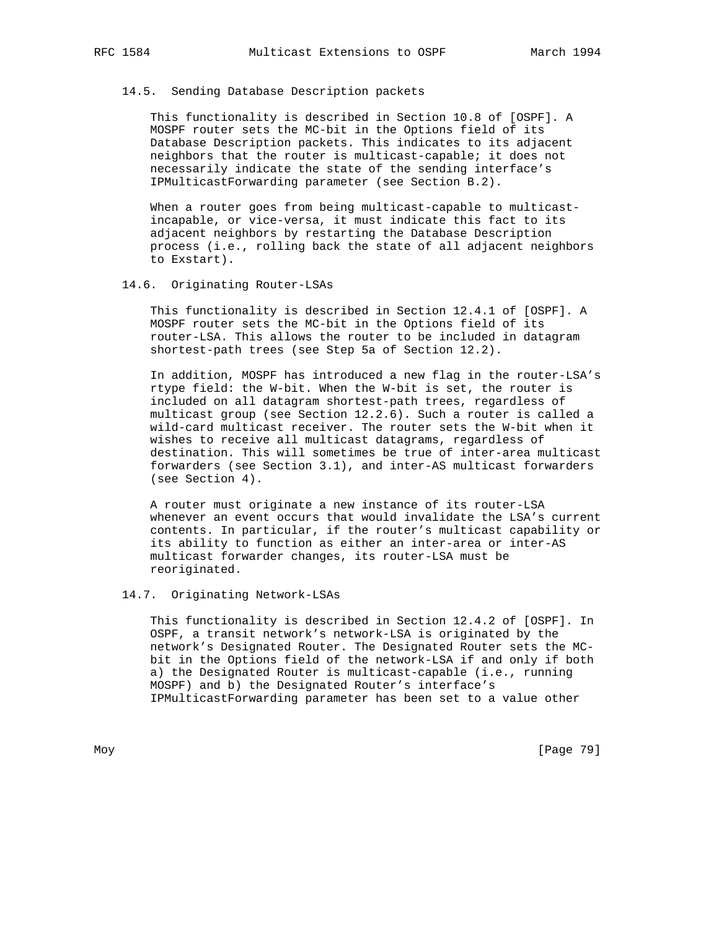### 14.5. Sending Database Description packets

 This functionality is described in Section 10.8 of [OSPF]. A MOSPF router sets the MC-bit in the Options field of its Database Description packets. This indicates to its adjacent neighbors that the router is multicast-capable; it does not necessarily indicate the state of the sending interface's IPMulticastForwarding parameter (see Section B.2).

 When a router goes from being multicast-capable to multicast incapable, or vice-versa, it must indicate this fact to its adjacent neighbors by restarting the Database Description process (i.e., rolling back the state of all adjacent neighbors to Exstart).

## 14.6. Originating Router-LSAs

 This functionality is described in Section 12.4.1 of [OSPF]. A MOSPF router sets the MC-bit in the Options field of its router-LSA. This allows the router to be included in datagram shortest-path trees (see Step 5a of Section 12.2).

 In addition, MOSPF has introduced a new flag in the router-LSA's rtype field: the W-bit. When the W-bit is set, the router is included on all datagram shortest-path trees, regardless of multicast group (see Section 12.2.6). Such a router is called a wild-card multicast receiver. The router sets the W-bit when it wishes to receive all multicast datagrams, regardless of destination. This will sometimes be true of inter-area multicast forwarders (see Section 3.1), and inter-AS multicast forwarders (see Section 4).

 A router must originate a new instance of its router-LSA whenever an event occurs that would invalidate the LSA's current contents. In particular, if the router's multicast capability or its ability to function as either an inter-area or inter-AS multicast forwarder changes, its router-LSA must be reoriginated.

### 14.7. Originating Network-LSAs

 This functionality is described in Section 12.4.2 of [OSPF]. In OSPF, a transit network's network-LSA is originated by the network's Designated Router. The Designated Router sets the MC bit in the Options field of the network-LSA if and only if both a) the Designated Router is multicast-capable (i.e., running MOSPF) and b) the Designated Router's interface's IPMulticastForwarding parameter has been set to a value other

Moy [Page 79]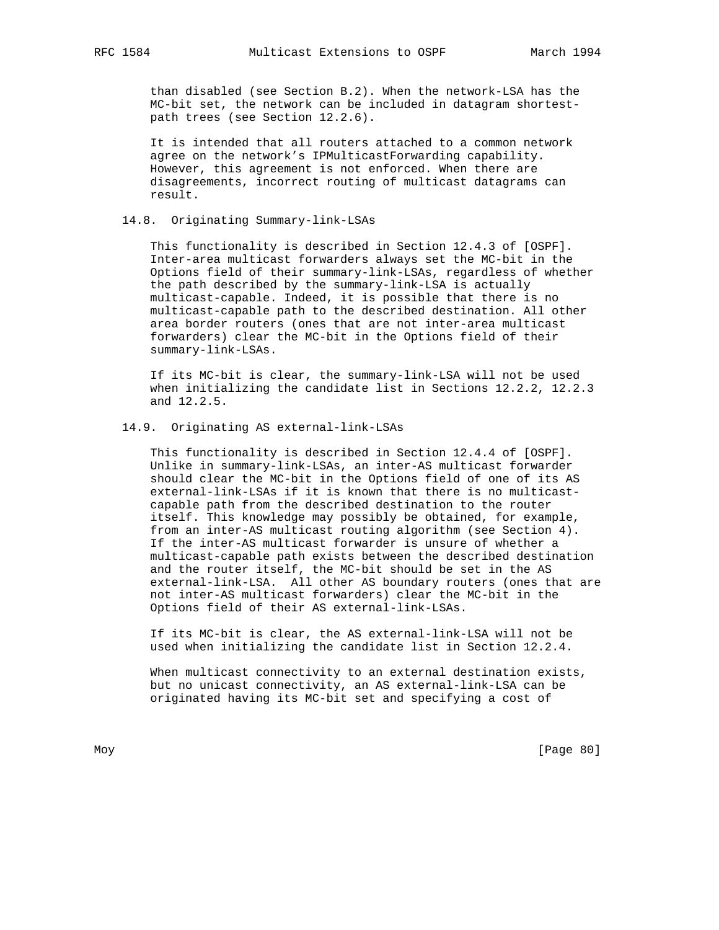than disabled (see Section B.2). When the network-LSA has the MC-bit set, the network can be included in datagram shortest path trees (see Section 12.2.6).

 It is intended that all routers attached to a common network agree on the network's IPMulticastForwarding capability. However, this agreement is not enforced. When there are disagreements, incorrect routing of multicast datagrams can result.

## 14.8. Originating Summary-link-LSAs

 This functionality is described in Section 12.4.3 of [OSPF]. Inter-area multicast forwarders always set the MC-bit in the Options field of their summary-link-LSAs, regardless of whether the path described by the summary-link-LSA is actually multicast-capable. Indeed, it is possible that there is no multicast-capable path to the described destination. All other area border routers (ones that are not inter-area multicast forwarders) clear the MC-bit in the Options field of their summary-link-LSAs.

 If its MC-bit is clear, the summary-link-LSA will not be used when initializing the candidate list in Sections 12.2.2, 12.2.3 and 12.2.5.

## 14.9. Originating AS external-link-LSAs

 This functionality is described in Section 12.4.4 of [OSPF]. Unlike in summary-link-LSAs, an inter-AS multicast forwarder should clear the MC-bit in the Options field of one of its AS external-link-LSAs if it is known that there is no multicast capable path from the described destination to the router itself. This knowledge may possibly be obtained, for example, from an inter-AS multicast routing algorithm (see Section 4). If the inter-AS multicast forwarder is unsure of whether a multicast-capable path exists between the described destination and the router itself, the MC-bit should be set in the AS external-link-LSA. All other AS boundary routers (ones that are not inter-AS multicast forwarders) clear the MC-bit in the Options field of their AS external-link-LSAs.

 If its MC-bit is clear, the AS external-link-LSA will not be used when initializing the candidate list in Section 12.2.4.

 When multicast connectivity to an external destination exists, but no unicast connectivity, an AS external-link-LSA can be originated having its MC-bit set and specifying a cost of

Moy [Page 80]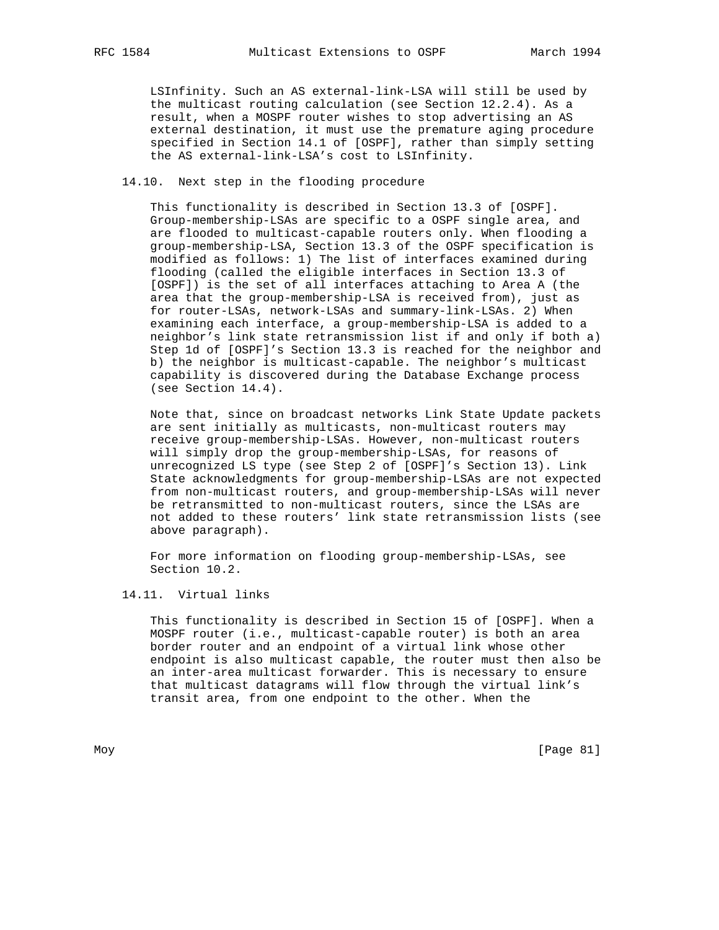LSInfinity. Such an AS external-link-LSA will still be used by the multicast routing calculation (see Section 12.2.4). As a result, when a MOSPF router wishes to stop advertising an AS external destination, it must use the premature aging procedure specified in Section 14.1 of [OSPF], rather than simply setting the AS external-link-LSA's cost to LSInfinity.

### 14.10. Next step in the flooding procedure

 This functionality is described in Section 13.3 of [OSPF]. Group-membership-LSAs are specific to a OSPF single area, and are flooded to multicast-capable routers only. When flooding a group-membership-LSA, Section 13.3 of the OSPF specification is modified as follows: 1) The list of interfaces examined during flooding (called the eligible interfaces in Section 13.3 of [OSPF]) is the set of all interfaces attaching to Area A (the area that the group-membership-LSA is received from), just as for router-LSAs, network-LSAs and summary-link-LSAs. 2) When examining each interface, a group-membership-LSA is added to a neighbor's link state retransmission list if and only if both a) Step 1d of [OSPF]'s Section 13.3 is reached for the neighbor and b) the neighbor is multicast-capable. The neighbor's multicast capability is discovered during the Database Exchange process (see Section 14.4).

 Note that, since on broadcast networks Link State Update packets are sent initially as multicasts, non-multicast routers may receive group-membership-LSAs. However, non-multicast routers will simply drop the group-membership-LSAs, for reasons of unrecognized LS type (see Step 2 of [OSPF]'s Section 13). Link State acknowledgments for group-membership-LSAs are not expected from non-multicast routers, and group-membership-LSAs will never be retransmitted to non-multicast routers, since the LSAs are not added to these routers' link state retransmission lists (see above paragraph).

 For more information on flooding group-membership-LSAs, see Section 10.2.

#### 14.11. Virtual links

 This functionality is described in Section 15 of [OSPF]. When a MOSPF router (i.e., multicast-capable router) is both an area border router and an endpoint of a virtual link whose other endpoint is also multicast capable, the router must then also be an inter-area multicast forwarder. This is necessary to ensure that multicast datagrams will flow through the virtual link's transit area, from one endpoint to the other. When the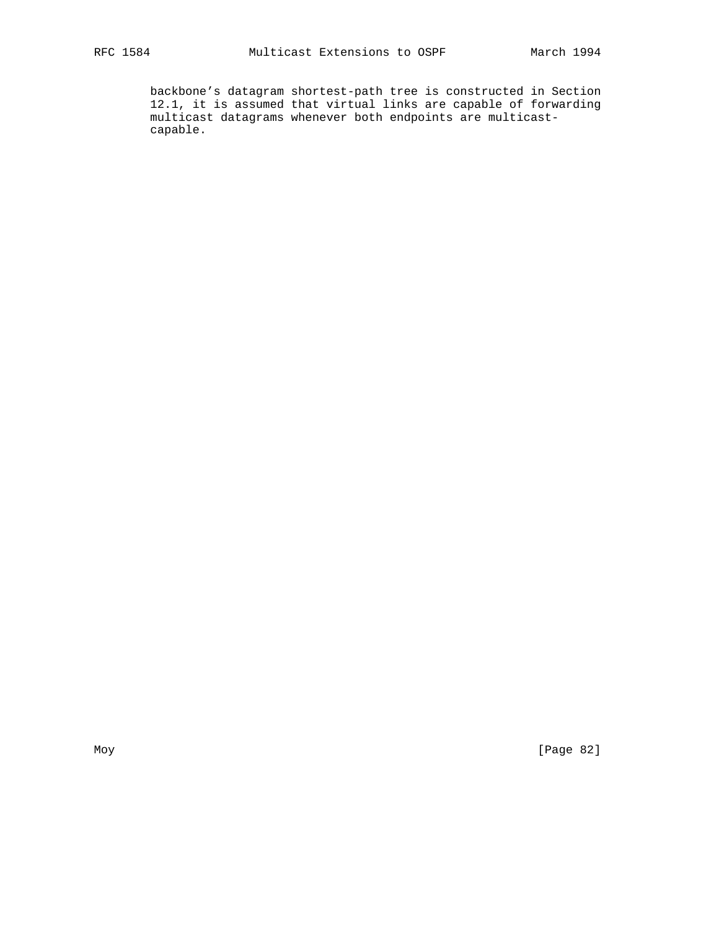backbone's datagram shortest-path tree is constructed in Section 12.1, it is assumed that virtual links are capable of forwarding multicast datagrams whenever both endpoints are multicast capable.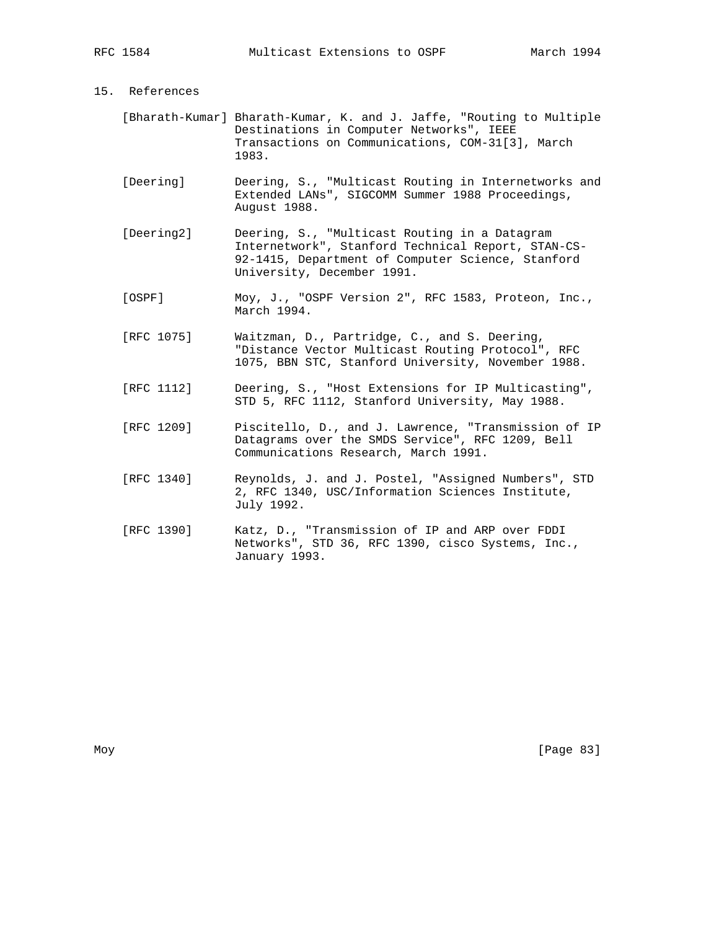## 15. References

- [Bharath-Kumar] Bharath-Kumar, K. and J. Jaffe, "Routing to Multiple Destinations in Computer Networks", IEEE Transactions on Communications, COM-31[3], March 1983.
- [Deering] Deering, S., "Multicast Routing in Internetworks and Extended LANs", SIGCOMM Summer 1988 Proceedings, August 1988.
- [Deering2] Deering, S., "Multicast Routing in a Datagram Internetwork", Stanford Technical Report, STAN-CS- 92-1415, Department of Computer Science, Stanford University, December 1991.
- [OSPF] Moy, J., "OSPF Version 2", RFC 1583, Proteon, Inc., March 1994.
- [RFC 1075] Waitzman, D., Partridge, C., and S. Deering, "Distance Vector Multicast Routing Protocol", RFC 1075, BBN STC, Stanford University, November 1988.
- [RFC 1112] Deering, S., "Host Extensions for IP Multicasting", STD 5, RFC 1112, Stanford University, May 1988.
- [RFC 1209] Piscitello, D., and J. Lawrence, "Transmission of IP Datagrams over the SMDS Service", RFC 1209, Bell Communications Research, March 1991.
	- [RFC 1340] Reynolds, J. and J. Postel, "Assigned Numbers", STD 2, RFC 1340, USC/Information Sciences Institute, July 1992.
	- [RFC 1390] Katz, D., "Transmission of IP and ARP over FDDI Networks", STD 36, RFC 1390, cisco Systems, Inc., January 1993.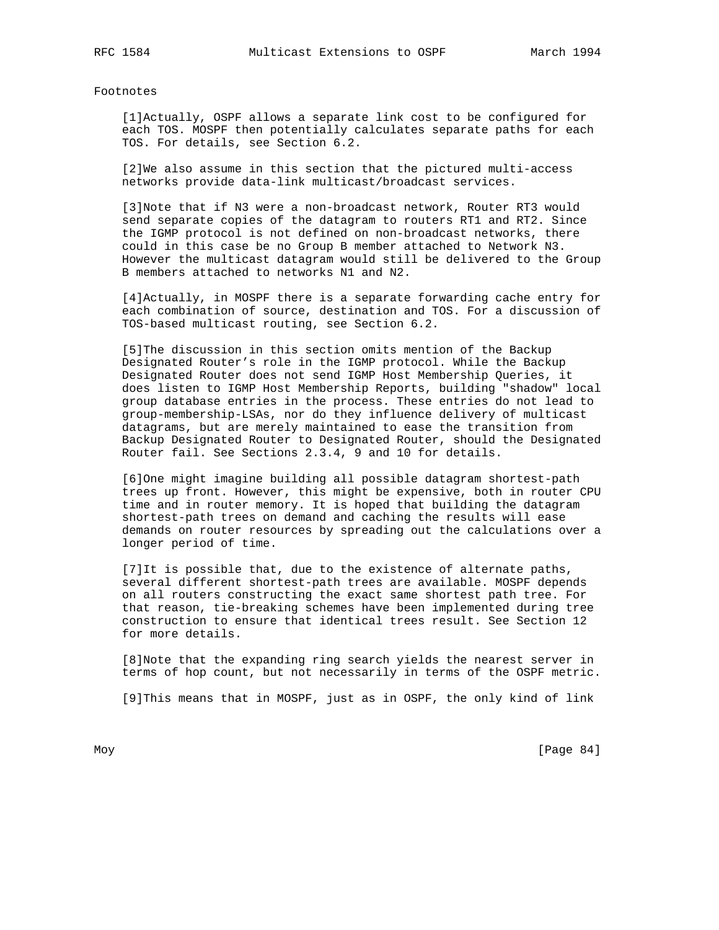## Footnotes

 [1]Actually, OSPF allows a separate link cost to be configured for each TOS. MOSPF then potentially calculates separate paths for each TOS. For details, see Section 6.2.

 [2]We also assume in this section that the pictured multi-access networks provide data-link multicast/broadcast services.

 [3]Note that if N3 were a non-broadcast network, Router RT3 would send separate copies of the datagram to routers RT1 and RT2. Since the IGMP protocol is not defined on non-broadcast networks, there could in this case be no Group B member attached to Network N3. However the multicast datagram would still be delivered to the Group B members attached to networks N1 and N2.

 [4]Actually, in MOSPF there is a separate forwarding cache entry for each combination of source, destination and TOS. For a discussion of TOS-based multicast routing, see Section 6.2.

 [5]The discussion in this section omits mention of the Backup Designated Router's role in the IGMP protocol. While the Backup Designated Router does not send IGMP Host Membership Queries, it does listen to IGMP Host Membership Reports, building "shadow" local group database entries in the process. These entries do not lead to group-membership-LSAs, nor do they influence delivery of multicast datagrams, but are merely maintained to ease the transition from Backup Designated Router to Designated Router, should the Designated Router fail. See Sections 2.3.4, 9 and 10 for details.

 [6]One might imagine building all possible datagram shortest-path trees up front. However, this might be expensive, both in router CPU time and in router memory. It is hoped that building the datagram shortest-path trees on demand and caching the results will ease demands on router resources by spreading out the calculations over a longer period of time.

 [7]It is possible that, due to the existence of alternate paths, several different shortest-path trees are available. MOSPF depends on all routers constructing the exact same shortest path tree. For that reason, tie-breaking schemes have been implemented during tree construction to ensure that identical trees result. See Section 12 for more details.

 [8]Note that the expanding ring search yields the nearest server in terms of hop count, but not necessarily in terms of the OSPF metric.

[9]This means that in MOSPF, just as in OSPF, the only kind of link

Moy [Page 84]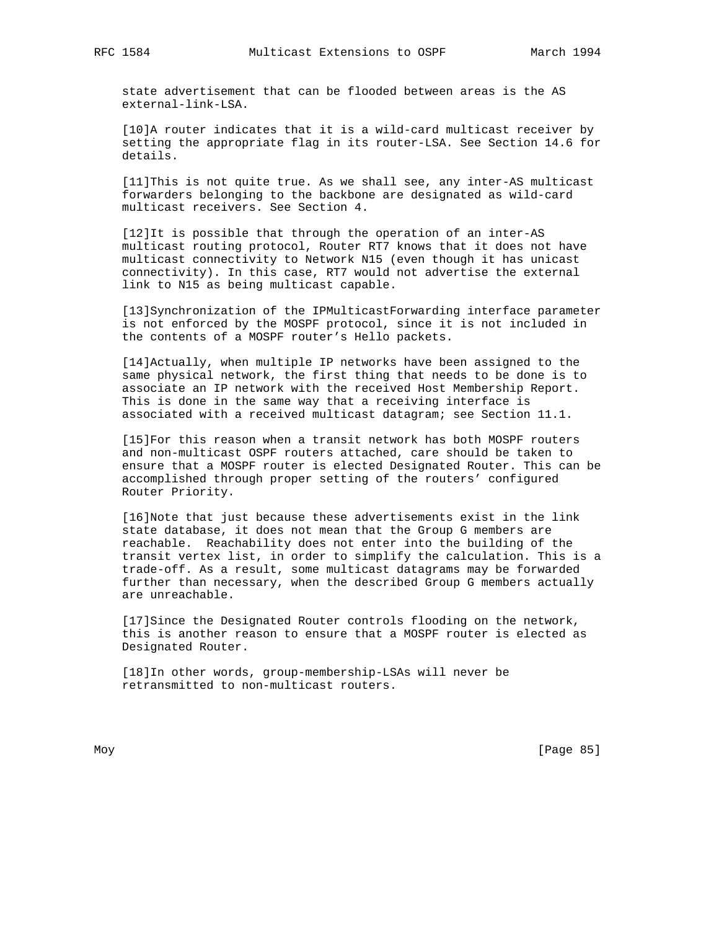state advertisement that can be flooded between areas is the AS external-link-LSA.

 [10]A router indicates that it is a wild-card multicast receiver by setting the appropriate flag in its router-LSA. See Section 14.6 for details.

 [11]This is not quite true. As we shall see, any inter-AS multicast forwarders belonging to the backbone are designated as wild-card multicast receivers. See Section 4.

 [12]It is possible that through the operation of an inter-AS multicast routing protocol, Router RT7 knows that it does not have multicast connectivity to Network N15 (even though it has unicast connectivity). In this case, RT7 would not advertise the external link to N15 as being multicast capable.

 [13]Synchronization of the IPMulticastForwarding interface parameter is not enforced by the MOSPF protocol, since it is not included in the contents of a MOSPF router's Hello packets.

 [14]Actually, when multiple IP networks have been assigned to the same physical network, the first thing that needs to be done is to associate an IP network with the received Host Membership Report. This is done in the same way that a receiving interface is associated with a received multicast datagram; see Section 11.1.

 [15]For this reason when a transit network has both MOSPF routers and non-multicast OSPF routers attached, care should be taken to ensure that a MOSPF router is elected Designated Router. This can be accomplished through proper setting of the routers' configured Router Priority.

 [16]Note that just because these advertisements exist in the link state database, it does not mean that the Group G members are reachable. Reachability does not enter into the building of the transit vertex list, in order to simplify the calculation. This is a trade-off. As a result, some multicast datagrams may be forwarded further than necessary, when the described Group G members actually are unreachable.

 [17]Since the Designated Router controls flooding on the network, this is another reason to ensure that a MOSPF router is elected as Designated Router.

 [18]In other words, group-membership-LSAs will never be retransmitted to non-multicast routers.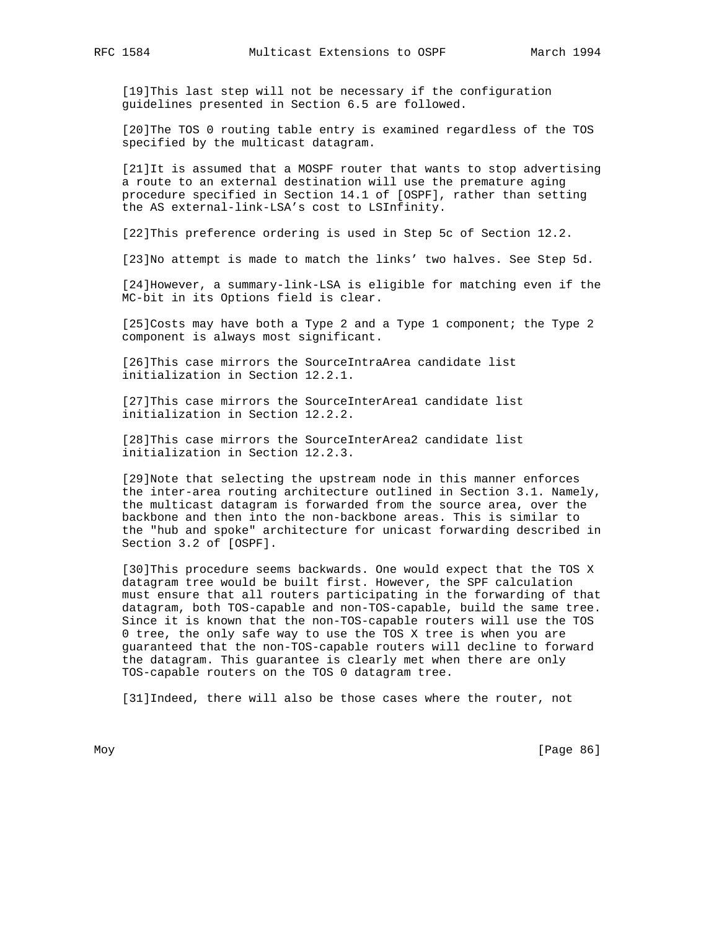[19]This last step will not be necessary if the configuration guidelines presented in Section 6.5 are followed.

 [20]The TOS 0 routing table entry is examined regardless of the TOS specified by the multicast datagram.

 [21]It is assumed that a MOSPF router that wants to stop advertising a route to an external destination will use the premature aging procedure specified in Section 14.1 of [OSPF], rather than setting the AS external-link-LSA's cost to LSInfinity.

[22]This preference ordering is used in Step 5c of Section 12.2.

[23]No attempt is made to match the links' two halves. See Step 5d.

 [24]However, a summary-link-LSA is eligible for matching even if the MC-bit in its Options field is clear.

[25]Costs may have both a Type 2 and a Type 1 component; the Type 2 component is always most significant.

 [26]This case mirrors the SourceIntraArea candidate list initialization in Section 12.2.1.

 [27]This case mirrors the SourceInterArea1 candidate list initialization in Section 12.2.2.

 [28]This case mirrors the SourceInterArea2 candidate list initialization in Section 12.2.3.

 [29]Note that selecting the upstream node in this manner enforces the inter-area routing architecture outlined in Section 3.1. Namely, the multicast datagram is forwarded from the source area, over the backbone and then into the non-backbone areas. This is similar to the "hub and spoke" architecture for unicast forwarding described in Section 3.2 of [OSPF].

[30]This procedure seems backwards. One would expect that the TOS X datagram tree would be built first. However, the SPF calculation must ensure that all routers participating in the forwarding of that datagram, both TOS-capable and non-TOS-capable, build the same tree. Since it is known that the non-TOS-capable routers will use the TOS 0 tree, the only safe way to use the TOS X tree is when you are guaranteed that the non-TOS-capable routers will decline to forward the datagram. This guarantee is clearly met when there are only TOS-capable routers on the TOS 0 datagram tree.

[31] Indeed, there will also be those cases where the router, not

Moy [Page 86]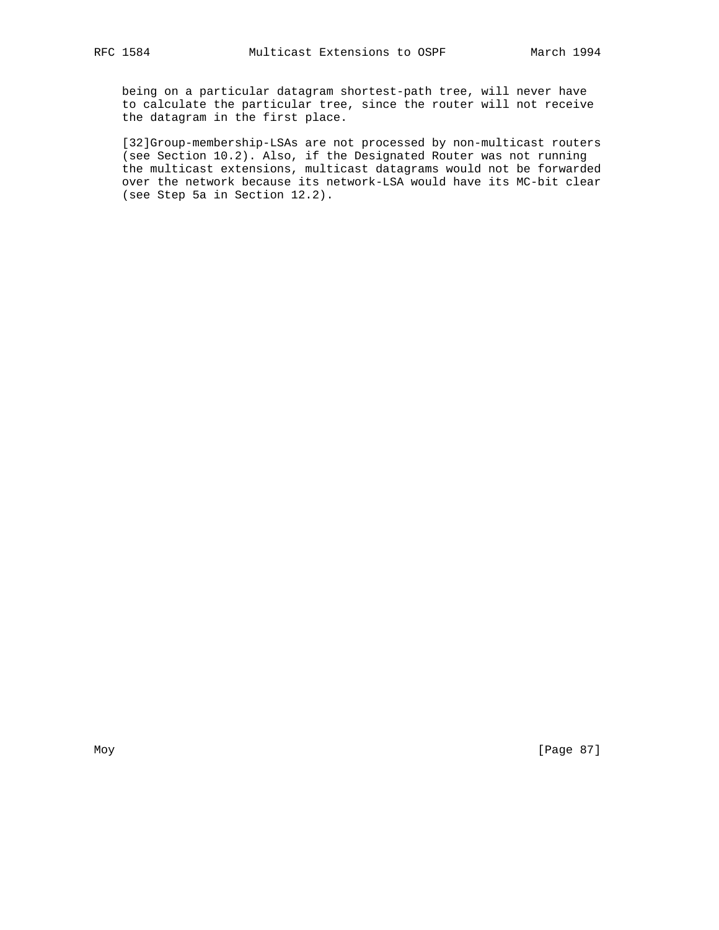being on a particular datagram shortest-path tree, will never have to calculate the particular tree, since the router will not receive the datagram in the first place.

 [32]Group-membership-LSAs are not processed by non-multicast routers (see Section 10.2). Also, if the Designated Router was not running the multicast extensions, multicast datagrams would not be forwarded over the network because its network-LSA would have its MC-bit clear (see Step 5a in Section 12.2).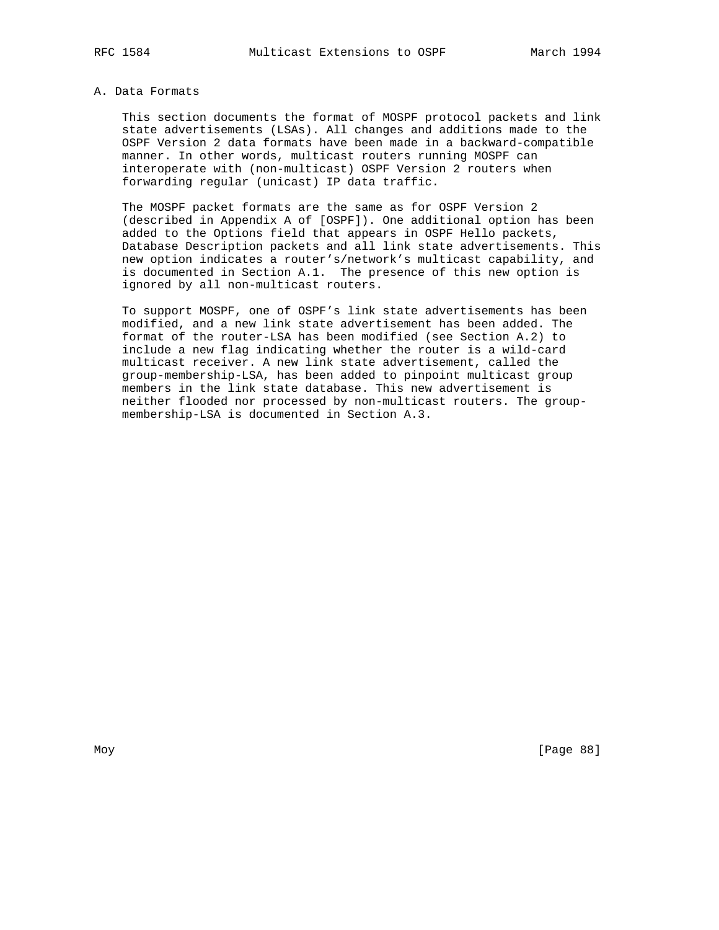## A. Data Formats

 This section documents the format of MOSPF protocol packets and link state advertisements (LSAs). All changes and additions made to the OSPF Version 2 data formats have been made in a backward-compatible manner. In other words, multicast routers running MOSPF can interoperate with (non-multicast) OSPF Version 2 routers when forwarding regular (unicast) IP data traffic.

 The MOSPF packet formats are the same as for OSPF Version 2 (described in Appendix A of [OSPF]). One additional option has been added to the Options field that appears in OSPF Hello packets, Database Description packets and all link state advertisements. This new option indicates a router's/network's multicast capability, and is documented in Section A.1. The presence of this new option is ignored by all non-multicast routers.

 To support MOSPF, one of OSPF's link state advertisements has been modified, and a new link state advertisement has been added. The format of the router-LSA has been modified (see Section A.2) to include a new flag indicating whether the router is a wild-card multicast receiver. A new link state advertisement, called the group-membership-LSA, has been added to pinpoint multicast group members in the link state database. This new advertisement is neither flooded nor processed by non-multicast routers. The group membership-LSA is documented in Section A.3.

Moy [Page 88]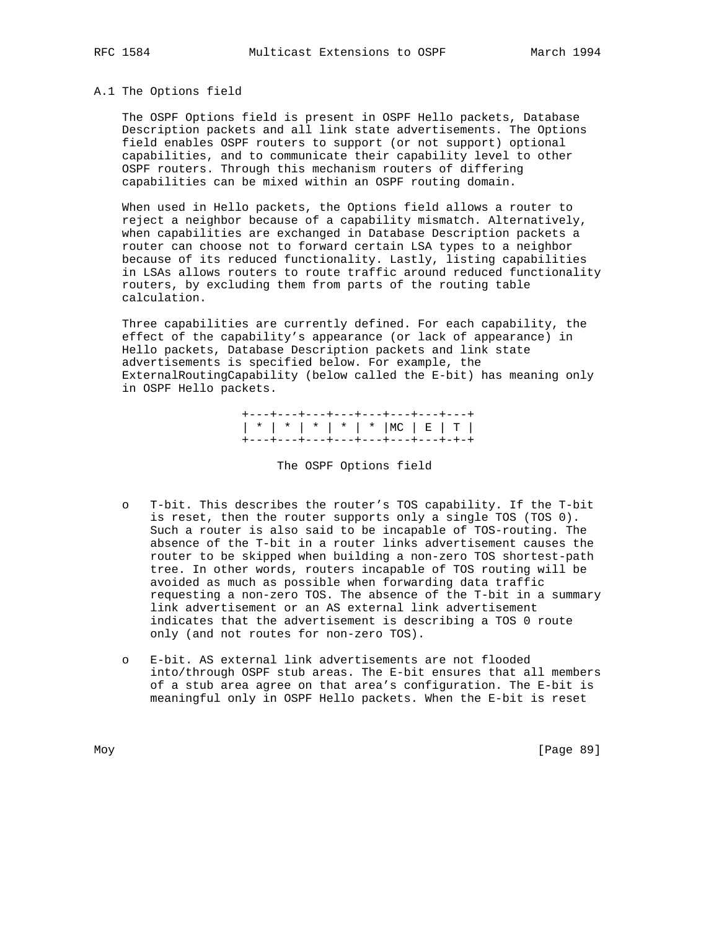#### A.1 The Options field

 The OSPF Options field is present in OSPF Hello packets, Database Description packets and all link state advertisements. The Options field enables OSPF routers to support (or not support) optional capabilities, and to communicate their capability level to other OSPF routers. Through this mechanism routers of differing capabilities can be mixed within an OSPF routing domain.

 When used in Hello packets, the Options field allows a router to reject a neighbor because of a capability mismatch. Alternatively, when capabilities are exchanged in Database Description packets a router can choose not to forward certain LSA types to a neighbor because of its reduced functionality. Lastly, listing capabilities in LSAs allows routers to route traffic around reduced functionality routers, by excluding them from parts of the routing table calculation.

 Three capabilities are currently defined. For each capability, the effect of the capability's appearance (or lack of appearance) in Hello packets, Database Description packets and link state advertisements is specified below. For example, the ExternalRoutingCapability (below called the E-bit) has meaning only in OSPF Hello packets.

 +---+---+---+---+---+---+---+---+ | \* | \* | \* | \* | \* |MC | E | T | +---+---+---+---+---+---+---+-+-+

The OSPF Options field

- T-bit. This describes the router's TOS capability. If the T-bit is reset, then the router supports only a single TOS (TOS 0). Such a router is also said to be incapable of TOS-routing. The absence of the T-bit in a router links advertisement causes the router to be skipped when building a non-zero TOS shortest-path tree. In other words, routers incapable of TOS routing will be avoided as much as possible when forwarding data traffic requesting a non-zero TOS. The absence of the T-bit in a summary link advertisement or an AS external link advertisement indicates that the advertisement is describing a TOS 0 route only (and not routes for non-zero TOS).
- o E-bit. AS external link advertisements are not flooded into/through OSPF stub areas. The E-bit ensures that all members of a stub area agree on that area's configuration. The E-bit is meaningful only in OSPF Hello packets. When the E-bit is reset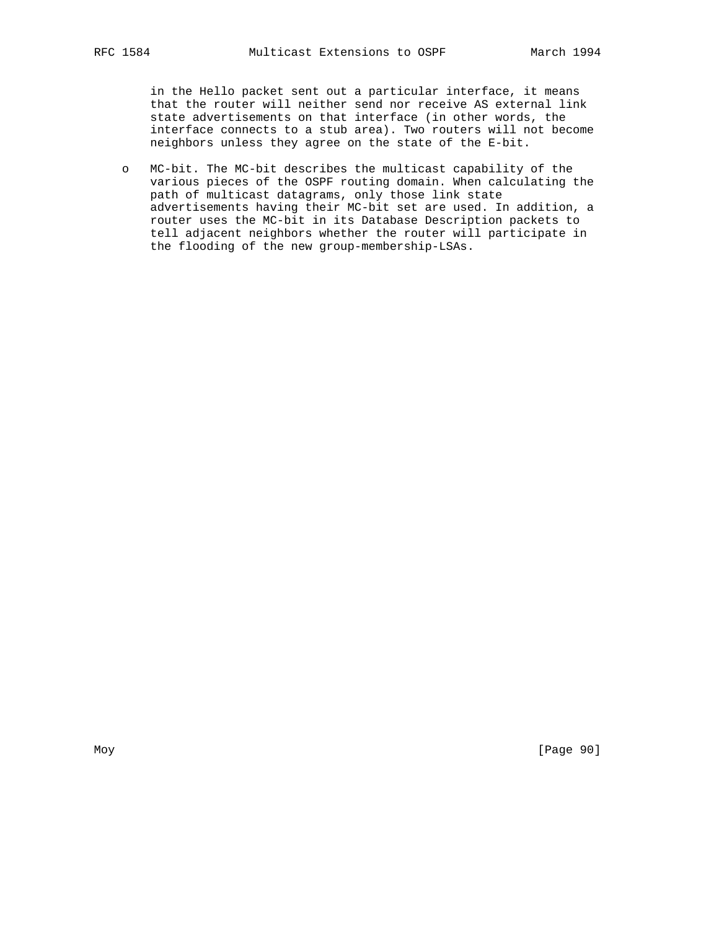in the Hello packet sent out a particular interface, it means that the router will neither send nor receive AS external link state advertisements on that interface (in other words, the interface connects to a stub area). Two routers will not become neighbors unless they agree on the state of the E-bit.

 o MC-bit. The MC-bit describes the multicast capability of the various pieces of the OSPF routing domain. When calculating the path of multicast datagrams, only those link state advertisements having their MC-bit set are used. In addition, a router uses the MC-bit in its Database Description packets to tell adjacent neighbors whether the router will participate in the flooding of the new group-membership-LSAs.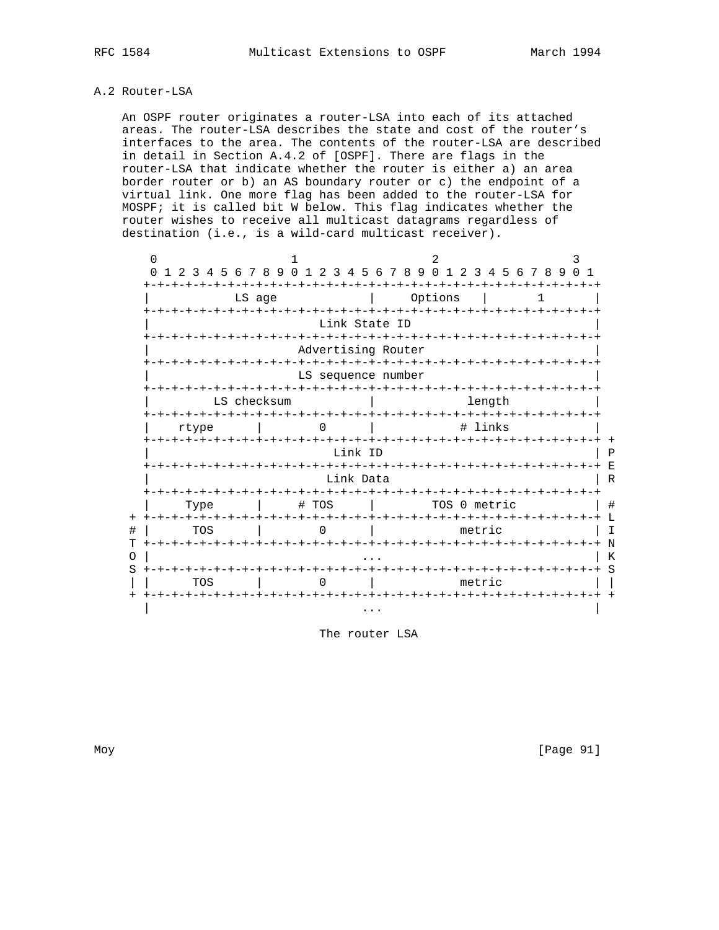#### A.2 Router-LSA

 An OSPF router originates a router-LSA into each of its attached areas. The router-LSA describes the state and cost of the router's interfaces to the area. The contents of the router-LSA are described in detail in Section A.4.2 of [OSPF]. There are flags in the router-LSA that indicate whether the router is either a) an area border router or b) an AS boundary router or c) the endpoint of a virtual link. One more flag has been added to the router-LSA for MOSPF; it is called bit W below. This flag indicates whether the router wishes to receive all multicast datagrams regardless of destination (i.e., is a wild-card multicast receiver).

| 0<br>$\Omega$ | 1 2 3 4 5 6 7 8 9                                       |  |          |  | 0 <sub>1</sub> | 2<br>3                  |        | 45            |  |  | 67890123456789                     | 2. |                             |  |        |  |  |                  | 3 | 0 1     |
|---------------|---------------------------------------------------------|--|----------|--|----------------|-------------------------|--------|---------------|--|--|------------------------------------|----|-----------------------------|--|--------|--|--|------------------|---|---------|
|               |                                                         |  | LS age   |  |                |                         |        |               |  |  |                                    |    | Options                     |  |        |  |  |                  |   |         |
|               | +-+-+-+-+-+-+-+-+-+                                     |  |          |  |                |                         |        | Link State ID |  |  | -+-+-+-+-+-+-+                     |    |                             |  | - +    |  |  | -+-+-+-+-+-+-+-+ |   |         |
|               |                                                         |  |          |  |                | Advertising Router      |        |               |  |  |                                    |    |                             |  |        |  |  |                  |   |         |
|               |                                                         |  |          |  |                | LS sequence number      |        |               |  |  |                                    |    |                             |  |        |  |  |                  |   |         |
|               | LS checksum                                             |  |          |  |                |                         | length |               |  |  |                                    |    |                             |  |        |  |  |                  |   |         |
|               | +-+-+-+-+-+-+-+<br># links<br>rtype<br>-+-+-+-+-+-+-+ + |  |          |  |                |                         |        |               |  |  |                                    |    |                             |  |        |  |  |                  |   |         |
|               | - + – + – + – + – + – +                                 |  |          |  |                | +-+-+-+-+-+-+-+-+-+     | -+–+   | Link ID       |  |  |                                    |    |                             |  |        |  |  |                  |   |         |
|               |                                                         |  |          |  |                |                         |        | Link Data     |  |  | -+-+-+-+                           |    |                             |  |        |  |  |                  |   |         |
|               | Type<br>キーキーキーキーキーキーキ                                   |  |          |  |                | # TOS<br>-+-+-+-+-+-+-+ |        |               |  |  | -+-+-+-+-+-+-+-+-+-+-+-+-+-+-+-+-+ |    | TOS 0 metric                |  |        |  |  |                  |   |         |
|               | TOS                                                     |  |          |  |                | U                       |        | -+-+-+-+-+    |  |  |                                    |    | -+-+-+-+-+-+-+-+-+-+-+-+-+- |  | metric |  |  |                  |   |         |
|               |                                                         |  | -+-+-+-+ |  |                |                         |        |               |  |  | -+-+-+-+-+-+-+-+-+-+-+-+-+-+-+-    |    |                             |  |        |  |  |                  |   |         |
| S             | TOS<br>+-+-+-+-+-+-+-+                                  |  |          |  |                |                         |        |               |  |  |                                    |    | -+-+-+-+-+-+-+-+-+-+-+-+    |  | metric |  |  |                  |   | $+$ $+$ |
|               |                                                         |  |          |  |                |                         |        |               |  |  |                                    |    |                             |  |        |  |  |                  |   |         |

The router LSA

Moy [Page 91]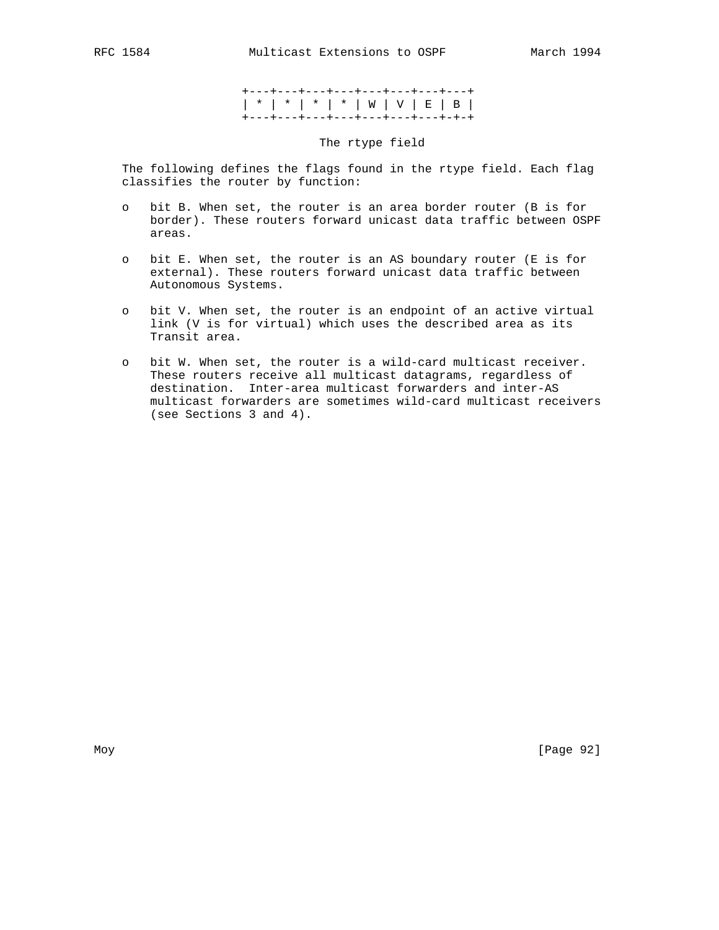+---+---+---+---+---+---+---+---+ | \* | \* | \* | \* | W | V | E | B | +---+---+---+---+---+---+---+-+-+

## The rtype field

 The following defines the flags found in the rtype field. Each flag classifies the router by function:

- o bit B. When set, the router is an area border router (B is for border). These routers forward unicast data traffic between OSPF areas.
- o bit E. When set, the router is an AS boundary router (E is for external). These routers forward unicast data traffic between Autonomous Systems.
- o bit V. When set, the router is an endpoint of an active virtual link (V is for virtual) which uses the described area as its Transit area.
- o bit W. When set, the router is a wild-card multicast receiver. These routers receive all multicast datagrams, regardless of destination. Inter-area multicast forwarders and inter-AS multicast forwarders are sometimes wild-card multicast receivers (see Sections 3 and 4).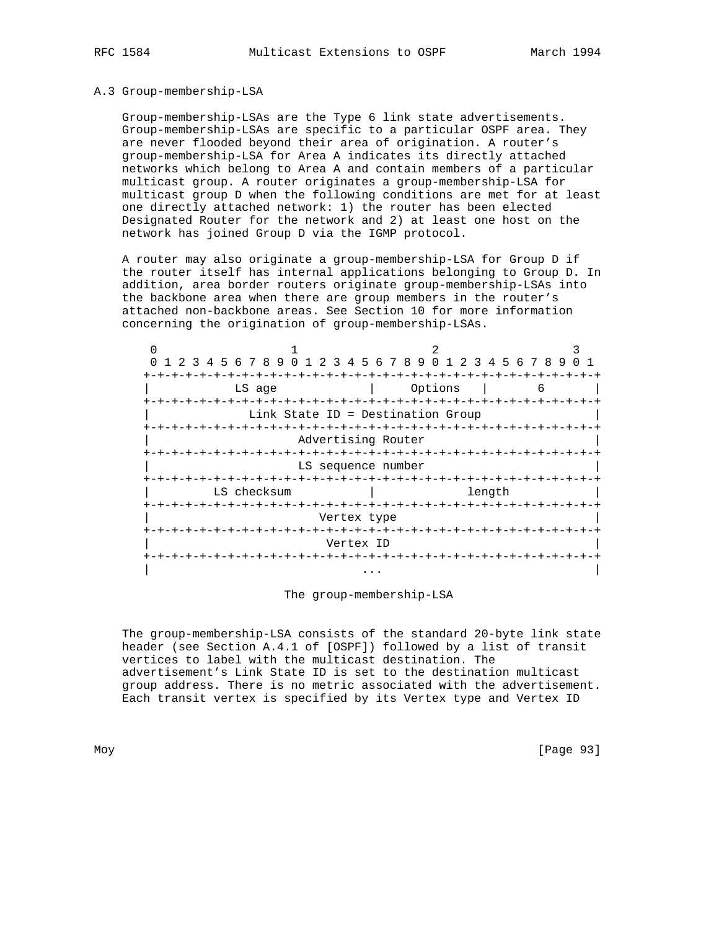#### A.3 Group-membership-LSA

 Group-membership-LSAs are the Type 6 link state advertisements. Group-membership-LSAs are specific to a particular OSPF area. They are never flooded beyond their area of origination. A router's group-membership-LSA for Area A indicates its directly attached networks which belong to Area A and contain members of a particular multicast group. A router originates a group-membership-LSA for multicast group D when the following conditions are met for at least one directly attached network: 1) the router has been elected Designated Router for the network and 2) at least one host on the network has joined Group D via the IGMP protocol.

 A router may also originate a group-membership-LSA for Group D if the router itself has internal applications belonging to Group D. In addition, area border routers originate group-membership-LSAs into the backbone area when there are group members in the router's attached non-backbone areas. See Section 10 for more information concerning the origination of group-membership-LSAs.

| 1 2 3 4 5 6 7 8 9 0 1 2 3 4 5 6 7 8 9 0 1 2 3 4 5 6 7 8 9 |                                   |                |                  |  |  |  |  |  |  |
|-----------------------------------------------------------|-----------------------------------|----------------|------------------|--|--|--|--|--|--|
|                                                           |                                   |                |                  |  |  |  |  |  |  |
| Options<br>LS age<br>6                                    |                                   |                |                  |  |  |  |  |  |  |
| -+-+-+-+-+-+-+-+-+                                        |                                   | -+-+-+-+-+-+-+ |                  |  |  |  |  |  |  |
|                                                           | Link State ID = Destination Group |                |                  |  |  |  |  |  |  |
| +-+-+-+-+-+-+-+-+-+-+-                                    | -+-+-+-+-+-+                      |                | -+-+-+-+-+-+-+-+ |  |  |  |  |  |  |
|                                                           | Advertising Router                |                |                  |  |  |  |  |  |  |
|                                                           |                                   |                |                  |  |  |  |  |  |  |
|                                                           | LS sequence number                |                |                  |  |  |  |  |  |  |
|                                                           |                                   |                |                  |  |  |  |  |  |  |
| LS checksum                                               |                                   |                |                  |  |  |  |  |  |  |
|                                                           |                                   |                |                  |  |  |  |  |  |  |
|                                                           | Vertex type                       |                |                  |  |  |  |  |  |  |
|                                                           |                                   |                |                  |  |  |  |  |  |  |
|                                                           | Vertex ID                         |                |                  |  |  |  |  |  |  |
|                                                           | -+-+-+-+-+-+-+                    |                |                  |  |  |  |  |  |  |
|                                                           |                                   |                |                  |  |  |  |  |  |  |

The group-membership-LSA

 The group-membership-LSA consists of the standard 20-byte link state header (see Section A.4.1 of [OSPF]) followed by a list of transit vertices to label with the multicast destination. The advertisement's Link State ID is set to the destination multicast group address. There is no metric associated with the advertisement. Each transit vertex is specified by its Vertex type and Vertex ID

Moy [Page 93]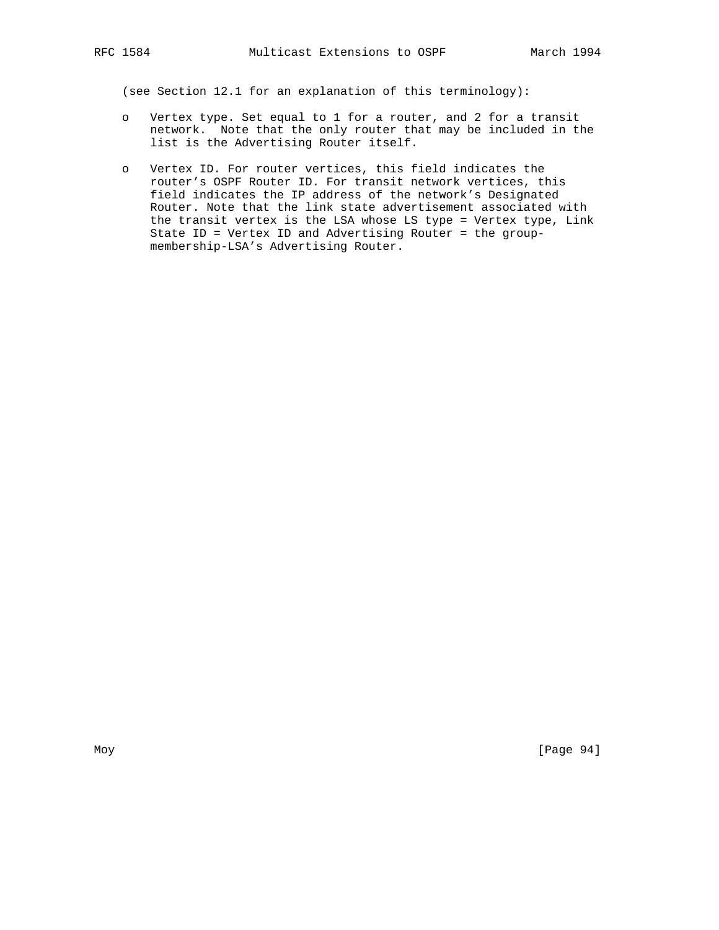(see Section 12.1 for an explanation of this terminology):

- o Vertex type. Set equal to 1 for a router, and 2 for a transit network. Note that the only router that may be included in the list is the Advertising Router itself.
- o Vertex ID. For router vertices, this field indicates the router's OSPF Router ID. For transit network vertices, this field indicates the IP address of the network's Designated Router. Note that the link state advertisement associated with the transit vertex is the LSA whose LS type = Vertex type, Link State ID = Vertex ID and Advertising Router = the group membership-LSA's Advertising Router.

Moy [Page 94]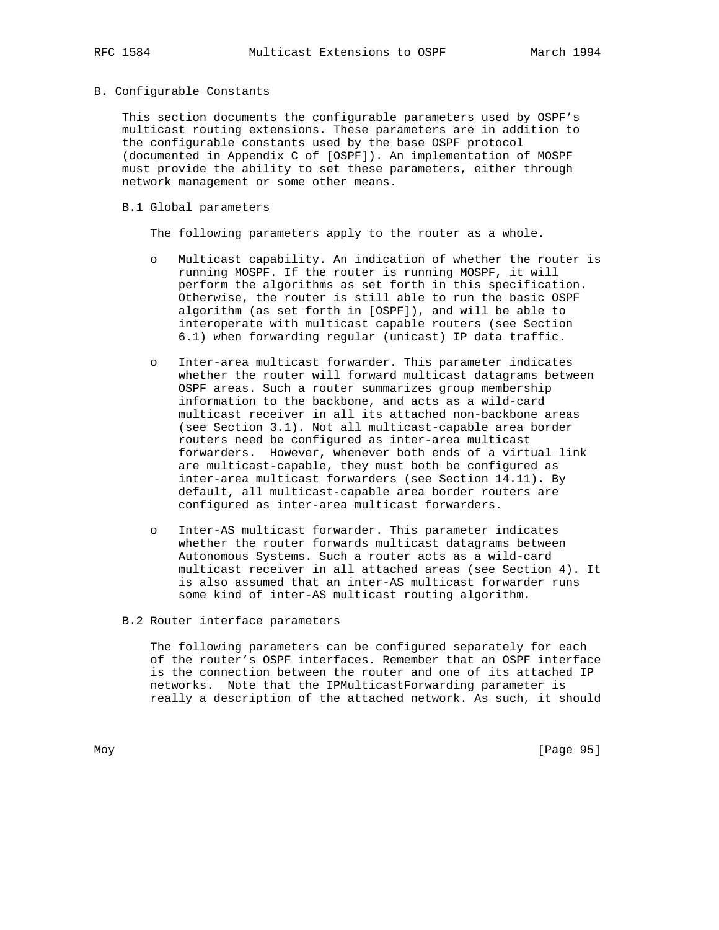#### B. Configurable Constants

 This section documents the configurable parameters used by OSPF's multicast routing extensions. These parameters are in addition to the configurable constants used by the base OSPF protocol (documented in Appendix C of [OSPF]). An implementation of MOSPF must provide the ability to set these parameters, either through network management or some other means.

### B.1 Global parameters

The following parameters apply to the router as a whole.

- Multicast capability. An indication of whether the router is running MOSPF. If the router is running MOSPF, it will perform the algorithms as set forth in this specification. Otherwise, the router is still able to run the basic OSPF algorithm (as set forth in [OSPF]), and will be able to interoperate with multicast capable routers (see Section 6.1) when forwarding regular (unicast) IP data traffic.
- o Inter-area multicast forwarder. This parameter indicates whether the router will forward multicast datagrams between OSPF areas. Such a router summarizes group membership information to the backbone, and acts as a wild-card multicast receiver in all its attached non-backbone areas (see Section 3.1). Not all multicast-capable area border routers need be configured as inter-area multicast forwarders. However, whenever both ends of a virtual link are multicast-capable, they must both be configured as inter-area multicast forwarders (see Section 14.11). By default, all multicast-capable area border routers are configured as inter-area multicast forwarders.
- o Inter-AS multicast forwarder. This parameter indicates whether the router forwards multicast datagrams between Autonomous Systems. Such a router acts as a wild-card multicast receiver in all attached areas (see Section 4). It is also assumed that an inter-AS multicast forwarder runs some kind of inter-AS multicast routing algorithm.

## B.2 Router interface parameters

 The following parameters can be configured separately for each of the router's OSPF interfaces. Remember that an OSPF interface is the connection between the router and one of its attached IP networks. Note that the IPMulticastForwarding parameter is really a description of the attached network. As such, it should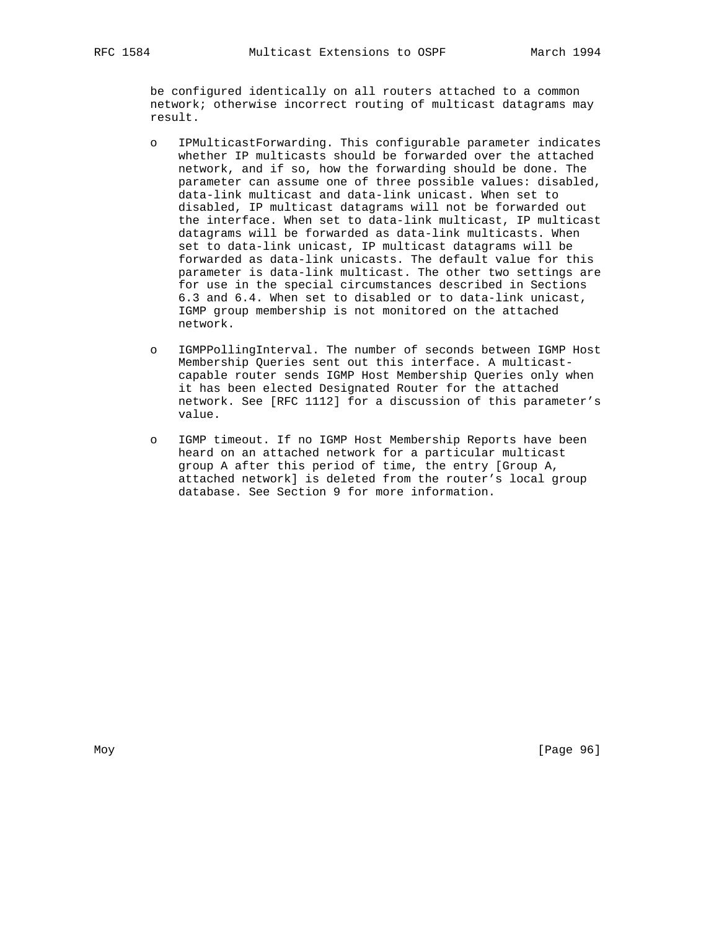be configured identically on all routers attached to a common network; otherwise incorrect routing of multicast datagrams may result.

- o IPMulticastForwarding. This configurable parameter indicates whether IP multicasts should be forwarded over the attached network, and if so, how the forwarding should be done. The parameter can assume one of three possible values: disabled, data-link multicast and data-link unicast. When set to disabled, IP multicast datagrams will not be forwarded out the interface. When set to data-link multicast, IP multicast datagrams will be forwarded as data-link multicasts. When set to data-link unicast, IP multicast datagrams will be forwarded as data-link unicasts. The default value for this parameter is data-link multicast. The other two settings are for use in the special circumstances described in Sections 6.3 and 6.4. When set to disabled or to data-link unicast, IGMP group membership is not monitored on the attached network.
- o IGMPPollingInterval. The number of seconds between IGMP Host Membership Queries sent out this interface. A multicast capable router sends IGMP Host Membership Queries only when it has been elected Designated Router for the attached network. See [RFC 1112] for a discussion of this parameter's value.
- o IGMP timeout. If no IGMP Host Membership Reports have been heard on an attached network for a particular multicast group A after this period of time, the entry [Group A, attached network] is deleted from the router's local group database. See Section 9 for more information.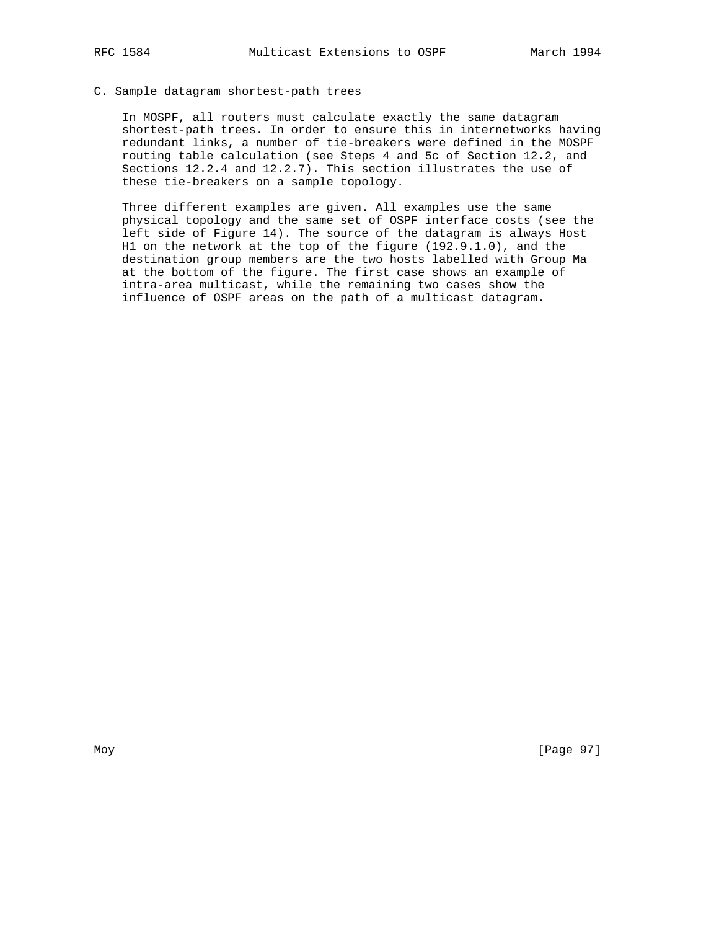#### C. Sample datagram shortest-path trees

 In MOSPF, all routers must calculate exactly the same datagram shortest-path trees. In order to ensure this in internetworks having redundant links, a number of tie-breakers were defined in the MOSPF routing table calculation (see Steps 4 and 5c of Section 12.2, and Sections 12.2.4 and 12.2.7). This section illustrates the use of these tie-breakers on a sample topology.

 Three different examples are given. All examples use the same physical topology and the same set of OSPF interface costs (see the left side of Figure 14). The source of the datagram is always Host H1 on the network at the top of the figure (192.9.1.0), and the destination group members are the two hosts labelled with Group Ma at the bottom of the figure. The first case shows an example of intra-area multicast, while the remaining two cases show the influence of OSPF areas on the path of a multicast datagram.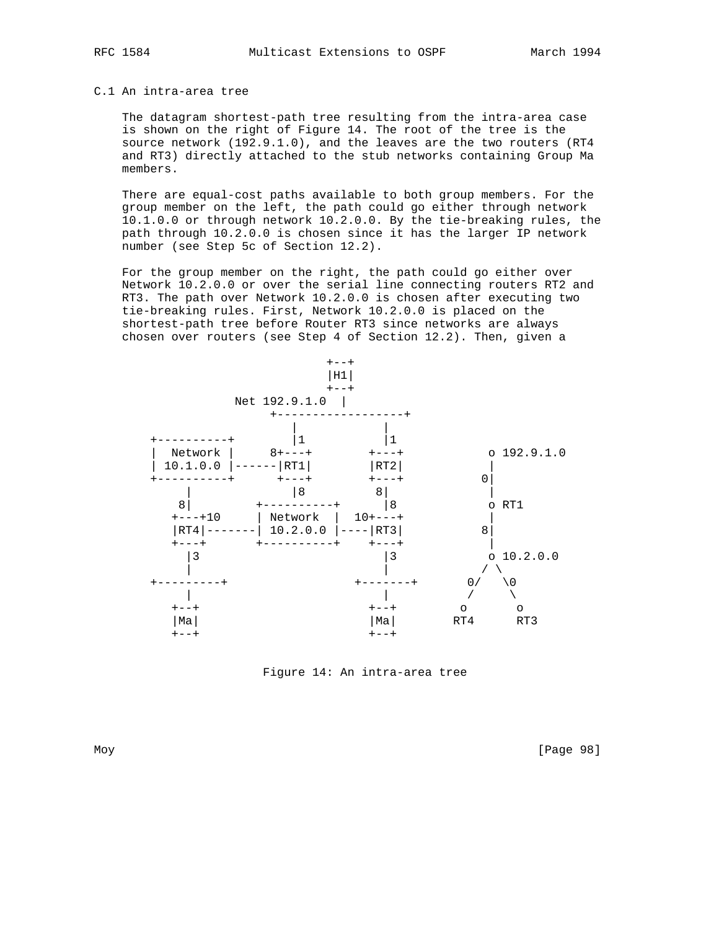## C.1 An intra-area tree

 The datagram shortest-path tree resulting from the intra-area case is shown on the right of Figure 14. The root of the tree is the source network (192.9.1.0), and the leaves are the two routers (RT4 and RT3) directly attached to the stub networks containing Group Ma members.

 There are equal-cost paths available to both group members. For the group member on the left, the path could go either through network 10.1.0.0 or through network 10.2.0.0. By the tie-breaking rules, the path through 10.2.0.0 is chosen since it has the larger IP network number (see Step 5c of Section 12.2).

 For the group member on the right, the path could go either over Network 10.2.0.0 or over the serial line connecting routers RT2 and RT3. The path over Network 10.2.0.0 is chosen after executing two tie-breaking rules. First, Network 10.2.0.0 is placed on the shortest-path tree before Router RT3 since networks are always chosen over routers (see Step 4 of Section 12.2). Then, given a



Figure 14: An intra-area tree

Moy [Page 98]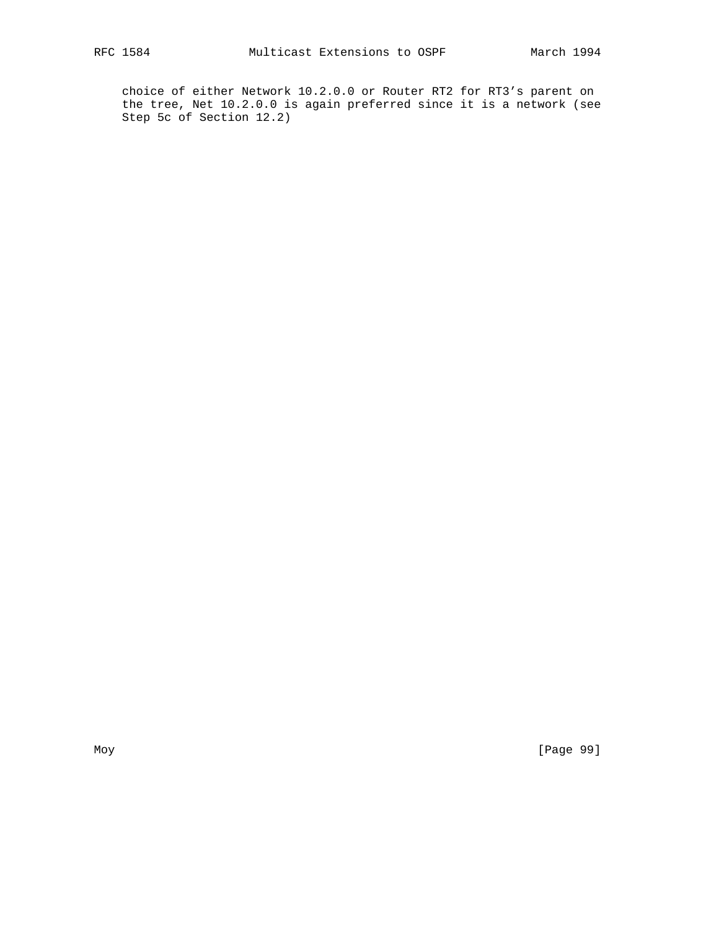choice of either Network 10.2.0.0 or Router RT2 for RT3's parent on the tree, Net 10.2.0.0 is again preferred since it is a network (see Step 5c of Section 12.2)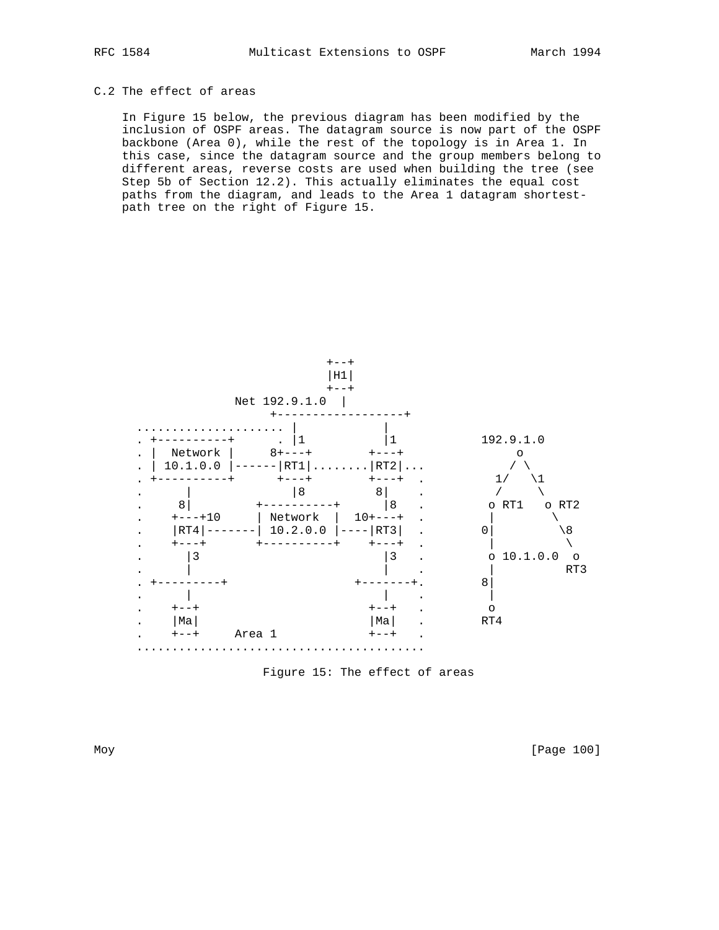## C.2 The effect of areas

 In Figure 15 below, the previous diagram has been modified by the inclusion of OSPF areas. The datagram source is now part of the OSPF backbone (Area 0), while the rest of the topology is in Area 1. In this case, since the datagram source and the group members belong to different areas, reverse costs are used when building the tree (see Step 5b of Section 12.2). This actually eliminates the equal cost paths from the diagram, and leads to the Area 1 datagram shortest path tree on the right of Figure 15.



Figure 15: The effect of areas

Moy [Page 100]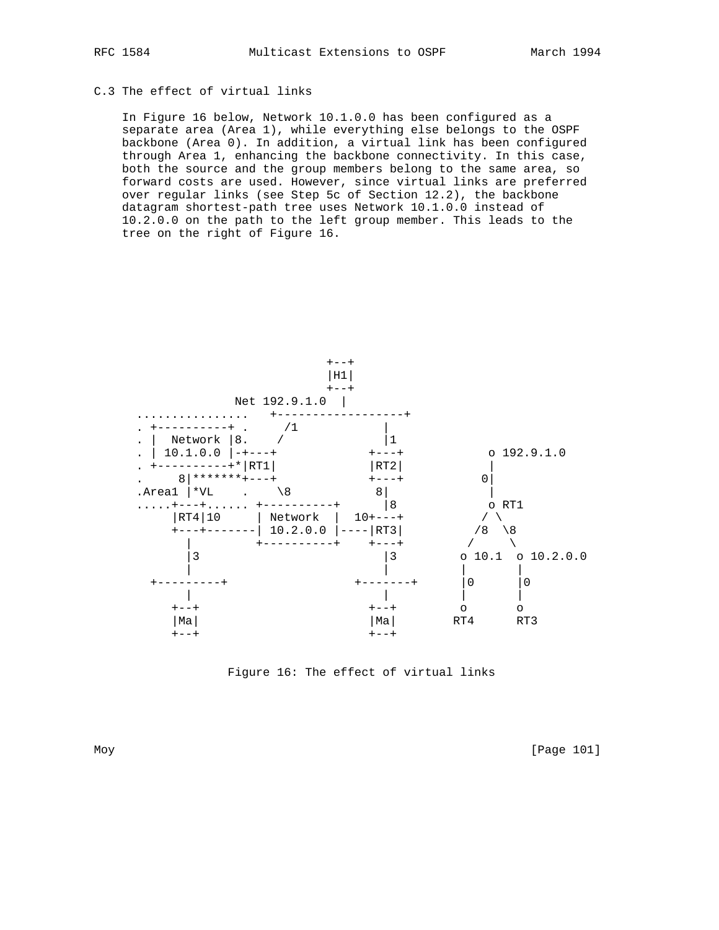## C.3 The effect of virtual links

 In Figure 16 below, Network 10.1.0.0 has been configured as a separate area (Area 1), while everything else belongs to the OSPF backbone (Area 0). In addition, a virtual link has been configured through Area 1, enhancing the backbone connectivity. In this case, both the source and the group members belong to the same area, so forward costs are used. However, since virtual links are preferred over regular links (see Step 5c of Section 12.2), the backbone datagram shortest-path tree uses Network 10.1.0.0 instead of 10.2.0.0 on the path to the left group member. This leads to the tree on the right of Figure 16.



Figure 16: The effect of virtual links

Moy [Page 101]